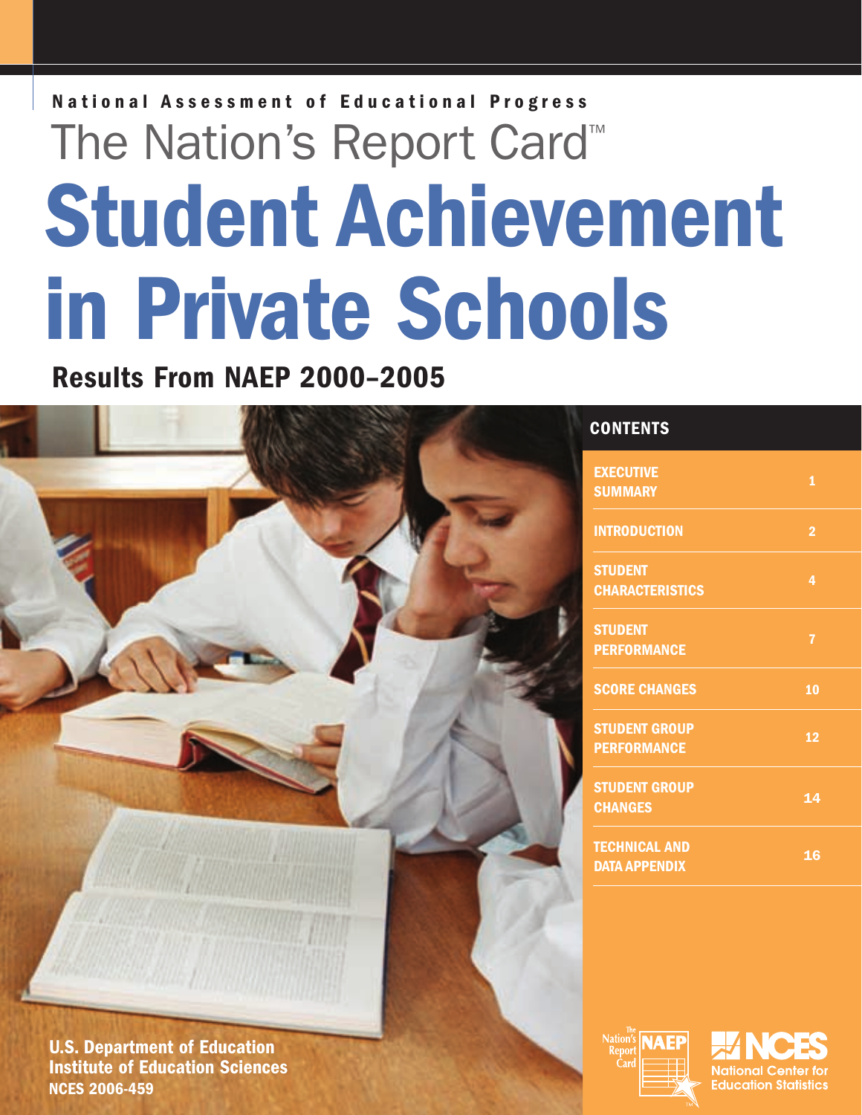# **Student Achievement in Private Schools National Assessment of Educational Progress** The Nation's Report Card™

**Results From NAEP 2000–2005**

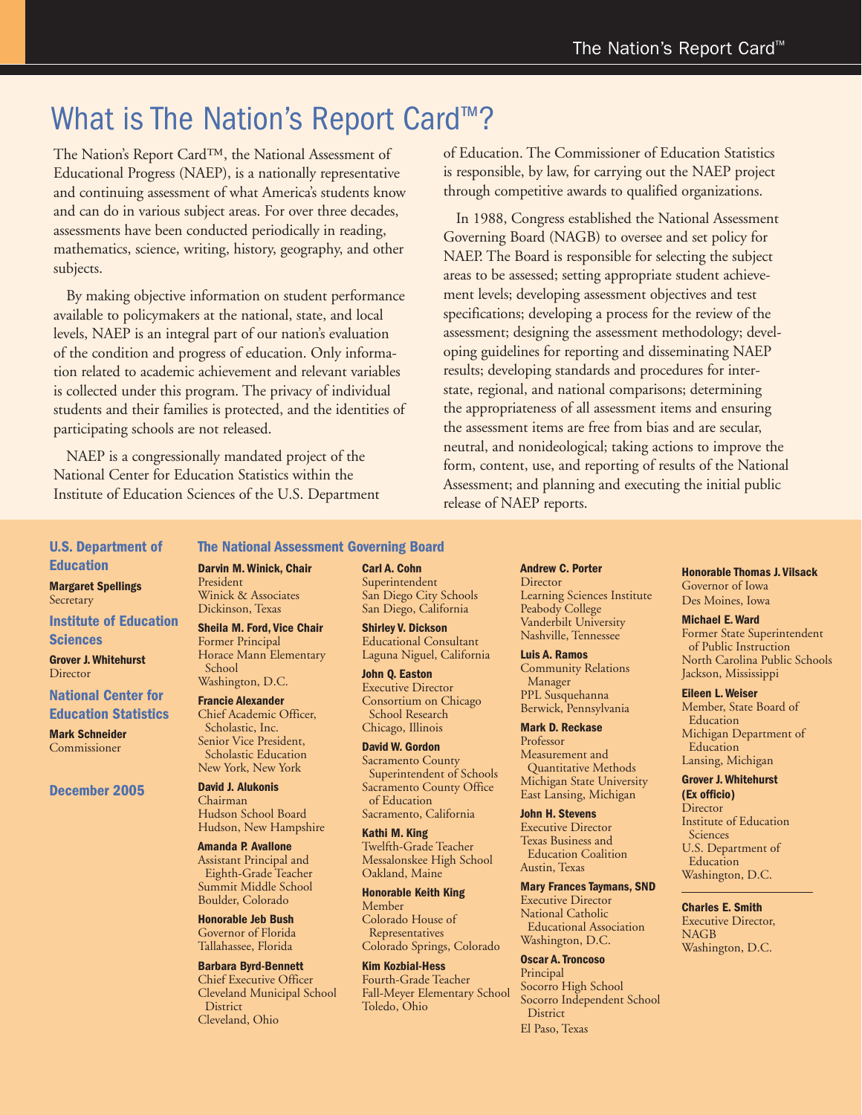### What is The Nation's Report Card<sup>™?</sup>

The Nation's Report Card™, the National Assessment of Educational Progress (NAEP), is a nationally representative and continuing assessment of what America's students know and can do in various subject areas. For over three decades, assessments have been conducted periodically in reading, mathematics, science, writing, history, geography, and other subjects.

 By making objective information on student performance available to policymakers at the national, state, and local levels, NAEP is an integral part of our nation's evaluation of the condition and progress of education. Only information related to academic achievement and relevant variables is collected under this program. The privacy of individual students and their families is protected, and the identities of participating schools are not released.

 NAEP is a congressionally mandated project of the National Center for Education Statistics within the Institute of Education Sciences of the U.S. Department of Education. The Commissioner of Education Statistics is responsible, by law, for carrying out the NAEP project through competitive awards to qualified organizations.

 In 1988, Congress established the National Assessment Governing Board (NAGB) to oversee and set policy for NAEP. The Board is responsible for selecting the subject areas to be assessed; setting appropriate student achievement levels; developing assessment objectives and test specifications; developing a process for the review of the assessment; designing the assessment methodology; developing guidelines for reporting and disseminating NAEP results; developing standards and procedures for interstate, regional, and national comparisons; determining the appropriateness of all assessment items and ensuring the assessment items are free from bias and are secular, neutral, and nonideological; taking actions to improve the form, content, use, and reporting of results of the National Assessment; and planning and executing the initial public release of NAEP reports.

#### **U.S. Department of Education**

**Margaret Spellings Secretary** 

#### **Institute of Education Sciences**

**Grover J. Whitehurst Director** 

#### **National Center for Education Statistics**

**Mark Schneider** Commissioner

**December 2005**

#### **The National Assessment Governing Board Darvin M. Winick, Chair** President Winick & Associates Dickinson, Texas

**Sheila M. Ford, Vice Chair**  Former Principal Horace Mann Elementary School Washington, D.C.

#### **Francie Alexander** Chief Academic Officer, Scholastic, Inc. Senior Vice President, Scholastic Education New York, New York

**David J. Alukonis** Chairman Hudson School Board Hudson, New Hampshire

#### **Amanda P. Avallone**  Assistant Principal and Eighth-Grade Teacher Summit Middle School Boulder, Colorado

**Honorable Jeb Bush** Governor of Florida Tallahassee, Florida

#### **Barbara Byrd-Bennett** Chief Executive Officer Cleveland Municipal School **District** Cleveland, Ohio

**Carl A. Cohn**  Superintendent San Diego City Schools San Diego, California

**Shirley V. Dickson** Educational Consultant Laguna Niguel, California

**John Q. Easton** Executive Director Consortium on Chicago School Research Chicago, Illinois

**David W. Gordon**  Sacramento County Superintendent of Schools Sacramento County Office of Education Sacramento, California

**Kathi M. King**

Twelfth-Grade Teacher Messalonskee High School Oakland, Maine

**Honorable Keith King**  Member Colorado House of Representatives Colorado Springs, Colorado

**Kim Kozbial-Hess** Fourth-Grade Teacher Fall-Meyer Elementary School Toledo, Ohio

#### **Andrew C. Porter Director** Learning Sciences Institute Peabody College Vanderbilt University Nashville, Tennessee

**Luis A. Ramos**  Community Relations Manager PPL Susquehanna Berwick, Pennsylvania

**Mark D. Reckase** Professor Measurement and Quantitative Methods Michigan State University East Lansing, Michigan

**John H. Stevens**  Executive Director Texas Business and Education Coalition Austin, Texas

**Mary Frances Taymans, SND** Executive Director National Catholic Educational Association Washington, D.C.

#### **Oscar A. Troncoso** Principal Socorro High School Socorro Independent School **District** El Paso, Texas

**Honorable Thomas J. Vilsack** Governor of Iowa Des Moines, Iowa

**Michael E. Ward**

Former State Superintendent of Public Instruction North Carolina Public Schools Jackson, Mississippi

**Eileen L. Weiser** Member, State Board of Education Michigan Department of Education Lansing, Michigan

#### **Grover J. Whitehurst**

**(Ex officio) Director** Institute of Education **Sciences** U.S. Department of Education Washington, D.C.

**Charles E. Smith** Executive Director, NAGB Washington, D.C.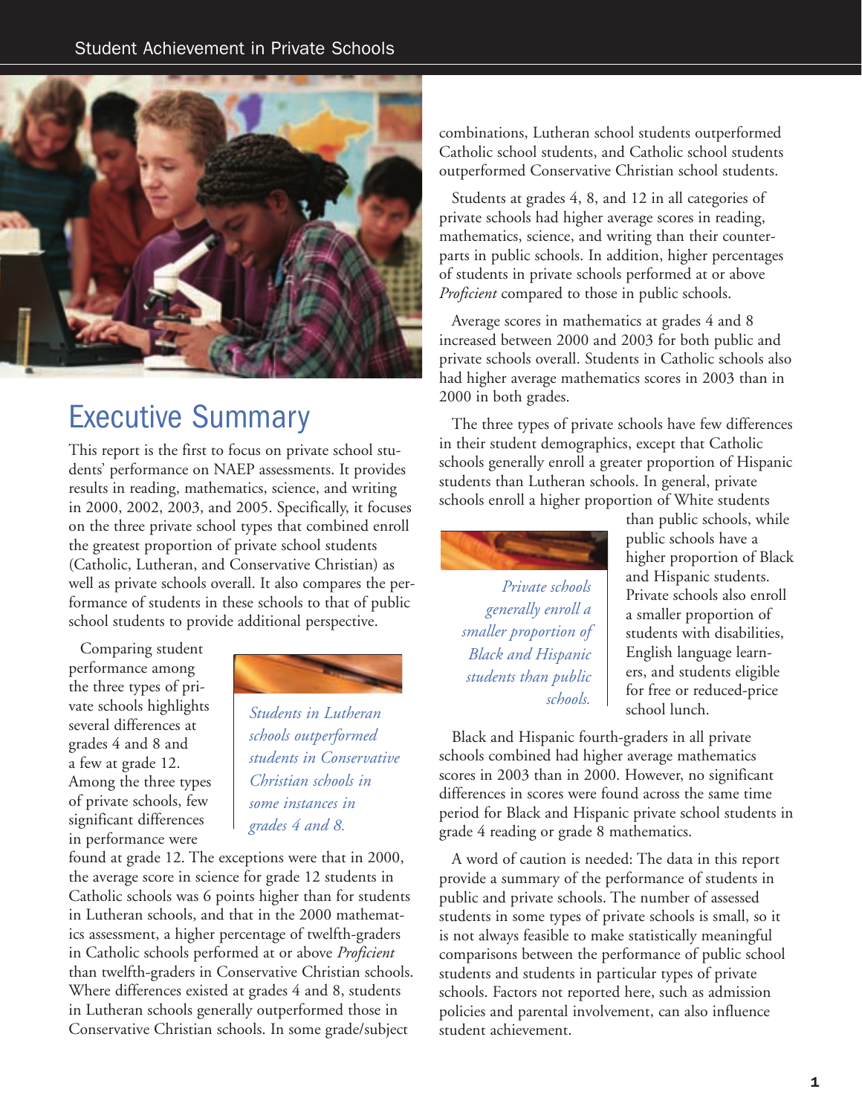

### Executive Summary

This report is the first to focus on private school students' performance on NAEP assessments. It provides results in reading, mathematics, science, and writing in 2000, 2002, 2003, and 2005. Specifically, it focuses on the three private school types that combined enroll the greatest proportion of private school students (Catholic, Lutheran, and Conservative Christian) as well as private schools overall. It also compares the performance of students in these schools to that of public school students to provide additional perspective.

 Comparing student performance among the three types of private schools highlights several differences at grades 4 and 8 and a few at grade 12. Among the three types of private schools, few significant differences in performance were



 *Students in Lutheran schools outperformed students in Conservative Christian schools in some instances in grades 4 and 8.*

found at grade 12. The exceptions were that in 2000, the average score in science for grade 12 students in Catholic schools was 6 points higher than for students in Lutheran schools, and that in the 2000 mathematics assessment, a higher percentage of twelfth-graders in Catholic schools performed at or above *Proficient* than twelfth-graders in Conservative Christian schools. Where differences existed at grades 4 and 8, students in Lutheran schools generally outperformed those in Conservative Christian schools. In some grade/subject

combinations, Lutheran school students outperformed Catholic school students, and Catholic school students outperformed Conservative Christian school students.

 Students at grades 4, 8, and 12 in all categories of private schools had higher average scores in reading, mathematics, science, and writing than their counterparts in public schools. In addition, higher percentages of students in private schools performed at or above *Proficient* compared to those in public schools.

 Average scores in mathematics at grades 4 and 8 increased between 2000 and 2003 for both public and private schools overall. Students in Catholic schools also had higher average mathematics scores in 2003 than in 2000 in both grades.

 The three types of private schools have few differences in their student demographics, except that Catholic schools generally enroll a greater proportion of Hispanic students than Lutheran schools. In general, private schools enroll a higher proportion of White students



*Private schools generally enroll a smaller proportion of Black and Hispanic students than public schools.*

than public schools, while public schools have a higher proportion of Black and Hispanic students. Private schools also enroll a smaller proportion of students with disabilities, English language learners, and students eligible for free or reduced-price school lunch.

 Black and Hispanic fourth-graders in all private schools combined had higher average mathematics scores in 2003 than in 2000. However, no significant differences in scores were found across the same time period for Black and Hispanic private school students in grade 4 reading or grade 8 mathematics.

 A word of caution is needed: The data in this report provide a summary of the performance of students in public and private schools. The number of assessed students in some types of private schools is small, so it is not always feasible to make statistically meaningful comparisons between the performance of public school students and students in particular types of private schools. Factors not reported here, such as admission policies and parental involvement, can also influence student achievement.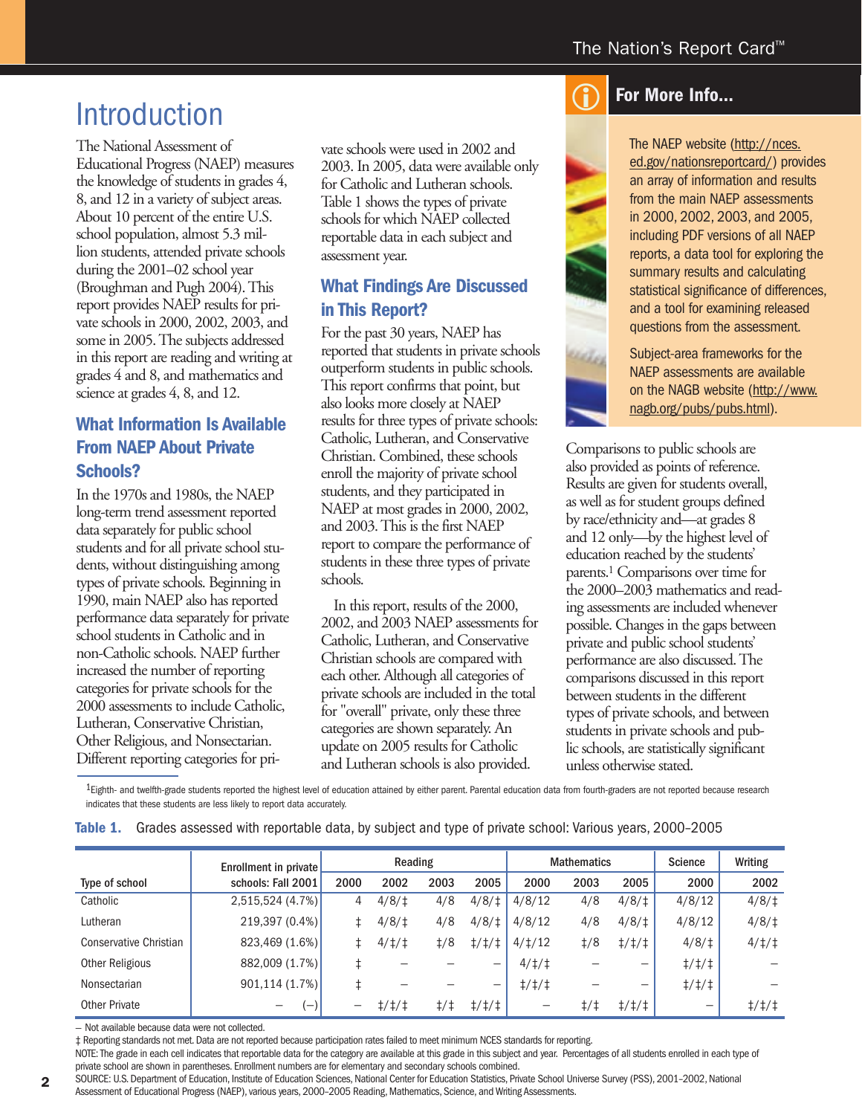## Introduction

The National Assessment of Educational Progress (NAEP) measures the knowledge of students in grades 4, 8, and 12 in a variety of subject areas. About 10 percent of the entire U.S. school population, almost 5.3 million students, attended private schools during the 2001–02 school year (Broughman and Pugh 2004). This report provides NAEP results for private schools in 2000, 2002, 2003, and some in 2005. The subjects addressed in this report are reading and writing at grades 4 and 8, and mathematics and science at grades 4, 8, and 12.

#### **What Information Is Available From NAEP About Private Schools?**

In the 1970s and 1980s, the NAEP long-term trend assessment reported data separately for public school students and for all private school students, without distinguishing among types of private schools. Beginning in 1990, main NAEP also has reported performance data separately for private school students in Catholic and in non-Catholic schools. NAEP further increased the number of reporting categories for private schools for the 2000 assessments to include Catholic, Lutheran, Conservative Christian, Other Religious, and Nonsectarian. Different reporting categories for private schools were used in 2002 and 2003. In 2005, data were available only for Catholic and Lutheran schools. Table 1 shows the types of private schools for which NAEP collected reportable data in each subject and assessment year.

#### **What Findings Are Discussed in This Report?**

For the past 30 years, NAEP has reported that students in private schools outperform students in public schools. This report confirms that point, but also looks more closely at NAEP results for three types of private schools: Catholic, Lutheran, and Conservative Christian. Combined, these schools enroll the majority of private school students, and they participated in NAEP at most grades in 2000, 2002, and 2003. This is the first NAEP report to compare the performance of students in these three types of private schools.

 In this report, results of the 2000, 2002, and 2003 NAEP assessments for Catholic, Lutheran, and Conservative Christian schools are compared with each other. Although all categories of private schools are included in the total for "overall" private, only these three categories are shown separately. An update on 2005 results for Catholic and Lutheran schools is also provided.

#### **For More Info...**  $\bigodot$

The NAEP website (http://nces. ed.gov/nationsreportcard/) provides an array of information and results from the main NAEP assessments in 2000, 2002, 2003, and 2005, including PDF versions of all NAEP reports, a data tool for exploring the summary results and calculating statistical significance of differences, and a tool for examining released questions from the assessment.

Subject-area frameworks for the NAEP assessments are available on the NAGB website (http://www. nagb.org/pubs/pubs.html).

Comparisons to public schools are also provided as points of reference. Results are given for students overall, as well as for student groups defined by race/ethnicity and—at grades 8 and 12 only—by the highest level of education reached by the students' parents.1 Comparisons over time for the 2000–2003 mathematics and reading assessments are included whenever possible. Changes in the gaps between private and public school students' performance are also discussed. The comparisons discussed in this report between students in the different types of private schools, and between students in private schools and public schools, are statistically significant unless otherwise stated.

1Eighth- and twelfth-grade students reported the highest level of education attained by either parent. Parental education data from fourth-graders are not reported because research indicates that these students are less likely to report data accurately.

|                        | Enrollment in private    |       | Reading               |                         |               |                       | <b>Mathematics</b>  | <b>Science</b> | Writing                  |               |
|------------------------|--------------------------|-------|-----------------------|-------------------------|---------------|-----------------------|---------------------|----------------|--------------------------|---------------|
| Type of school         | schools: Fall 2001       | 2000  | 2002                  | 2003                    | 2005          | 2000                  | 2003                | 2005           | 2000                     | 2002          |
| Catholic               | 2,515,524(4.7%)          | 4     | 4/8/                  | 4/8                     | 4/8/1         | 4/8/12                | 4/8                 | 4/8/1          | 4/8/12                   | 4/8/1         |
| Lutheran               | 219,397 (0.4%)           | ŧ.    | 4/8/                  | 4/8                     | 4/8/          | 4/8/12                | 4/8                 | 4/8/1          | 4/8/12                   | 4/8/1         |
| Conservative Christian | 823,469(1.6%)            | $\pm$ | $4/\ddagger/\ddagger$ | $\frac{1}{8}$           | $\frac{1}{1}$ | $4/\frac{1}{2}$       | $\frac{1}{8}$       | $\frac{1}{1}$  | 4/8/1                    | 4/1/1         |
| <b>Other Religious</b> | 882,009 (1.7%)           |       |                       |                         | -             | $4/\ddagger/\ddagger$ |                     | -              | $\frac{1}{1}$            |               |
| Nonsectarian           | 901,114(1.7%)            |       |                       |                         | -             | $\frac{1}{1}$         |                     | -              | $\frac{1}{1}$            |               |
| Other Private          | $\overline{\phantom{0}}$ |       | $\frac{1}{1}$         | $\ddagger$ / $\ddagger$ | $\frac{1}{1}$ | -                     | $\ddagger/\ddagger$ | $\frac{1}{1}$  | $\overline{\phantom{a}}$ | $\frac{1}{1}$ |

**Table 1.** Grades assessed with reportable data, by subject and type of private school: Various years, 2000–2005

— Not available because data were not collected.

‡ Reporting standards not met. Data are not reported because participation rates failed to meet minimum NCES standards for reporting.

NOTE: The grade in each cell indicates that reportable data for the category are available at this grade in this subject and year. Percentages of all students enrolled in each type of private school are shown in parentheses. Enrollment numbers are for elementary and secondary schools combined.

SOURCE: U.S. Department of Education, Institute of Education Sciences, National Center for Education Statistics, Private School Universe Survey (PSS), 2001–2002, National Assessment of Educational Progress (NAEP), various years, 2000–2005 Reading, Mathematics, Science, and Writing Assessments.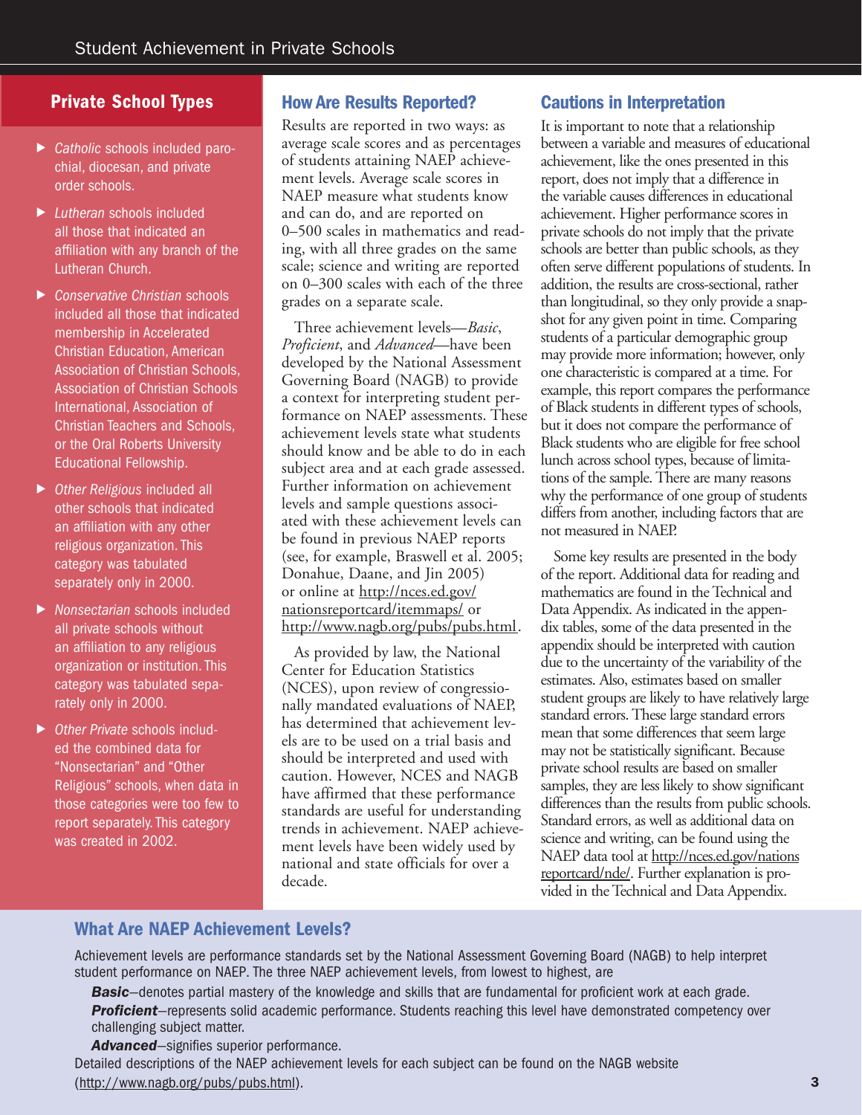- ▶ *Catholic* schools included parochial, diocesan, and private order schools.
- ! *Lutheran* schools included all those that indicated an affiliation with any branch of the Lutheran Church.
- ! *Conservative Christian* schools included all those that indicated membership in Accelerated Christian Education, American Association of Christian Schools, Association of Christian Schools International, Association of Christian Teachers and Schools, or the Oral Roberts University Educational Fellowship.
- ▶ Other Religious included all other schools that indicated an affiliation with any other religious organization. This category was tabulated separately only in 2000.
- ! *Nonsectarian* schools included all private schools without an affiliation to any religious organization or institution. This category was tabulated separately only in 2000.
- ! *Other Private* schools included the combined data for "Nonsectarian" and "Other Religious" schools, when data in those categories were too few to report separately. This category was created in 2002.

#### **Private School Types How Are Results Reported?**

Results are reported in two ways: as average scale scores and as percentages of students attaining NAEP achievement levels. Average scale scores in NAEP measure what students know and can do, and are reported on 0–500 scales in mathematics and reading, with all three grades on the same scale; science and writing are reported on 0–300 scales with each of the three grades on a separate scale.

 Three achievement levels—*Basic*, *Proficient*, and *Advanced*—have been developed by the National Assessment Governing Board (NAGB) to provide a context for interpreting student performance on NAEP assessments. These achievement levels state what students should know and be able to do in each subject area and at each grade assessed. Further information on achievement levels and sample questions associated with these achievement levels can be found in previous NAEP reports (see, for example, Braswell et al. 2005; Donahue, Daane, and Jin 2005) or online at http://nces.ed.gov/ nationsreportcard/itemmaps/ or http://www.nagb.org/pubs/pubs.html.

 As provided by law, the National Center for Education Statistics (NCES), upon review of congressionally mandated evaluations of NAEP, has determined that achievement levels are to be used on a trial basis and should be interpreted and used with caution. However, NCES and NAGB have affirmed that these performance standards are useful for understanding trends in achievement. NAEP achievement levels have been widely used by national and state officials for over a decade.

#### **Cautions in Interpretation**

It is important to note that a relationship between a variable and measures of educational achievement, like the ones presented in this report, does not imply that a difference in the variable causes differences in educational achievement. Higher performance scores in private schools do not imply that the private schools are better than public schools, as they often serve different populations of students. In addition, the results are cross-sectional, rather than longitudinal, so they only provide a snapshot for any given point in time. Comparing students of a particular demographic group may provide more information; however, only one characteristic is compared at a time. For example, this report compares the performance of Black students in different types of schools, but it does not compare the performance of Black students who are eligible for free school lunch across school types, because of limitations of the sample. There are many reasons why the performance of one group of students differs from another, including factors that are not measured in NAEP.

 Some key results are presented in the body of the report. Additional data for reading and mathematics are found in the Technical and Data Appendix. As indicated in the appendix tables, some of the data presented in the appendix should be interpreted with caution due to the uncertainty of the variability of the estimates. Also, estimates based on smaller student groups are likely to have relatively large standard errors. These large standard errors mean that some differences that seem large may not be statistically significant. Because private school results are based on smaller samples, they are less likely to show significant differences than the results from public schools. Standard errors, as well as additional data on science and writing, can be found using the NAEP data tool at http://nces.ed.gov/nations reportcard/nde/. Further explanation is provided in the Technical and Data Appendix.

#### **What Are NAEP Achievement Levels?**

Achievement levels are performance standards set by the National Assessment Governing Board (NAGB) to help interpret student performance on NAEP. The three NAEP achievement levels, from lowest to highest, are

*Basic*—denotes partial mastery of the knowledge and skills that are fundamental for proficient work at each grade. *Proficient*—represents solid academic performance. Students reaching this level have demonstrated competency over challenging subject matter.

*Advanced*—signifies superior performance.

Detailed descriptions of the NAEP achievement levels for each subject can be found on the NAGB website (http://www.nagb.org/pubs/pubs.html).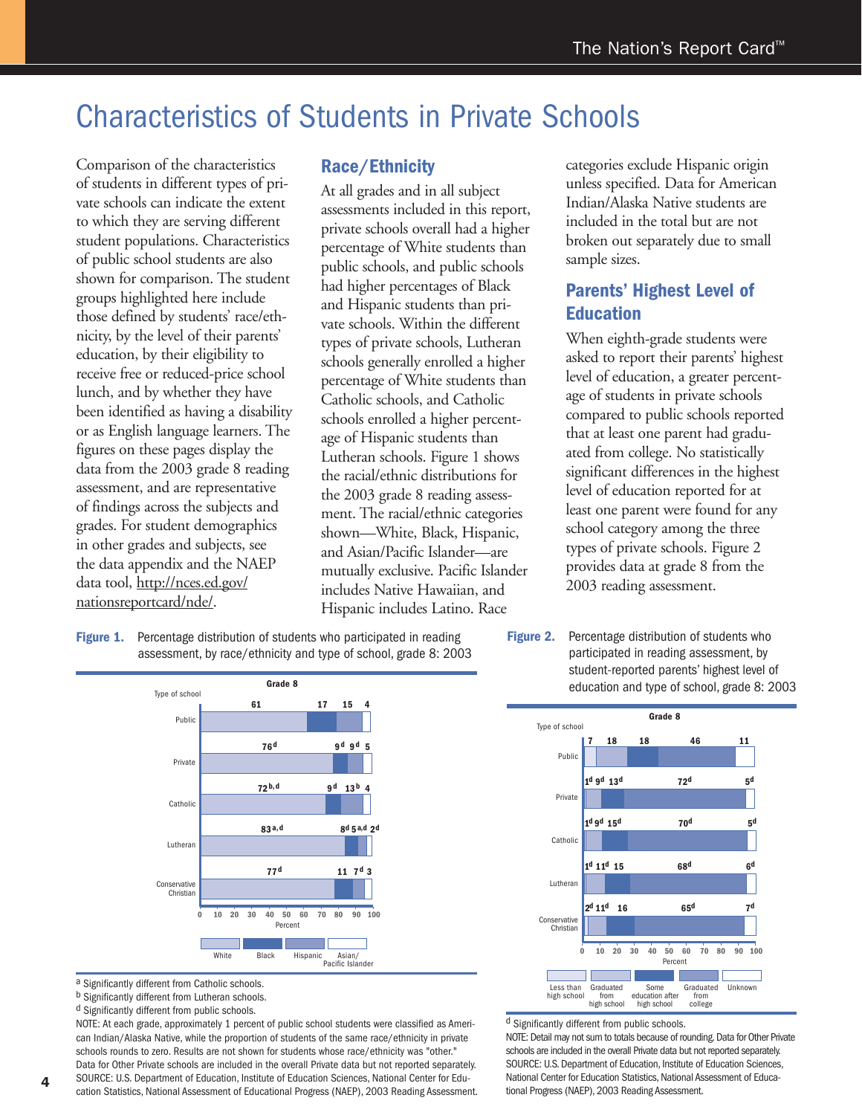### Characteristics of Students in Private Schools

Comparison of the characteristics of students in different types of private schools can indicate the extent to which they are serving different student populations. Characteristics of public school students are also shown for comparison. The student groups highlighted here include those defined by students' race/ethnicity, by the level of their parents' education, by their eligibility to receive free or reduced-price school lunch, and by whether they have been identified as having a disability or as English language learners. The figures on these pages display the data from the 2003 grade 8 reading assessment, and are representative of findings across the subjects and grades. For student demographics in other grades and subjects, see the data appendix and the NAEP data tool, http://nces.ed.gov/ nationsreportcard/nde/.

#### **Race/Ethnicity**

At all grades and in all subject assessments included in this report, private schools overall had a higher percentage of White students than public schools, and public schools had higher percentages of Black and Hispanic students than private schools. Within the different types of private schools, Lutheran schools generally enrolled a higher percentage of White students than Catholic schools, and Catholic schools enrolled a higher percentage of Hispanic students than Lutheran schools. Figure 1 shows the racial/ethnic distributions for the 2003 grade 8 reading assessment. The racial/ethnic categories shown—White, Black, Hispanic, and Asian/Pacific Islander—are mutually exclusive. Pacific Islander includes Native Hawaiian, and Hispanic includes Latino. Race

categories exclude Hispanic origin unless specified. Data for American Indian/Alaska Native students are included in the total but are not broken out separately due to small sample sizes.

#### **Parents' Highest Level of Education**

When eighth-grade students were asked to report their parents' highest level of education, a greater percentage of students in private schools compared to public schools reported that at least one parent had graduated from college. No statistically significant differences in the highest level of education reported for at least one parent were found for any school category among the three types of private schools. Figure 2 provides data at grade 8 from the 2003 reading assessment.

#### **Figure 1.** Percentage distribution of students who participated in reading assessment, by race/ethnicity and type of school, grade 8: 2003

**77d 83a,d 72b,d 76d 61 11 7d 3 8d 5a,d 2d 9d 13b 9d 9d 5 17 15 4 4 0 100 10 20 30 40 50 60 70 80 90** Conservative Christian **Catholic** Lutheran Private Public Type of school Percent White Black Hispanic Asian/<br>Pacific Islande **Grade 8**

a Significantly different from Catholic schools.

b Significantly different from Lutheran schools.

<sup>d</sup> Significantly different from public schools.

NOTE: At each grade, approximately 1 percent of public school students were classified as American Indian/Alaska Native, while the proportion of students of the same race/ethnicity in private schools rounds to zero. Results are not shown for students whose race/ethnicity was "other." Data for Other Private schools are included in the overall Private data but not reported separately. SOURCE: U.S. Department of Education, Institute of Education Sciences, National Center for Edu-

cation Statistics, National Assessment of Educational Progress (NAEP), 2003 Reading Assessment.

**Figure 2.** Percentage distribution of students who participated in reading assessment, by student-reported parents' highest level of education and type of school, grade 8: 2003



d Significantly different from public schools.

NOTE: Detail may not sum to totals because of rounding. Data for Other Private schools are included in the overall Private data but not reported separately. SOURCE: U.S. Department of Education, Institute of Education Sciences, National Center for Education Statistics, National Assessment of Educational Progress (NAEP), 2003 Reading Assessment.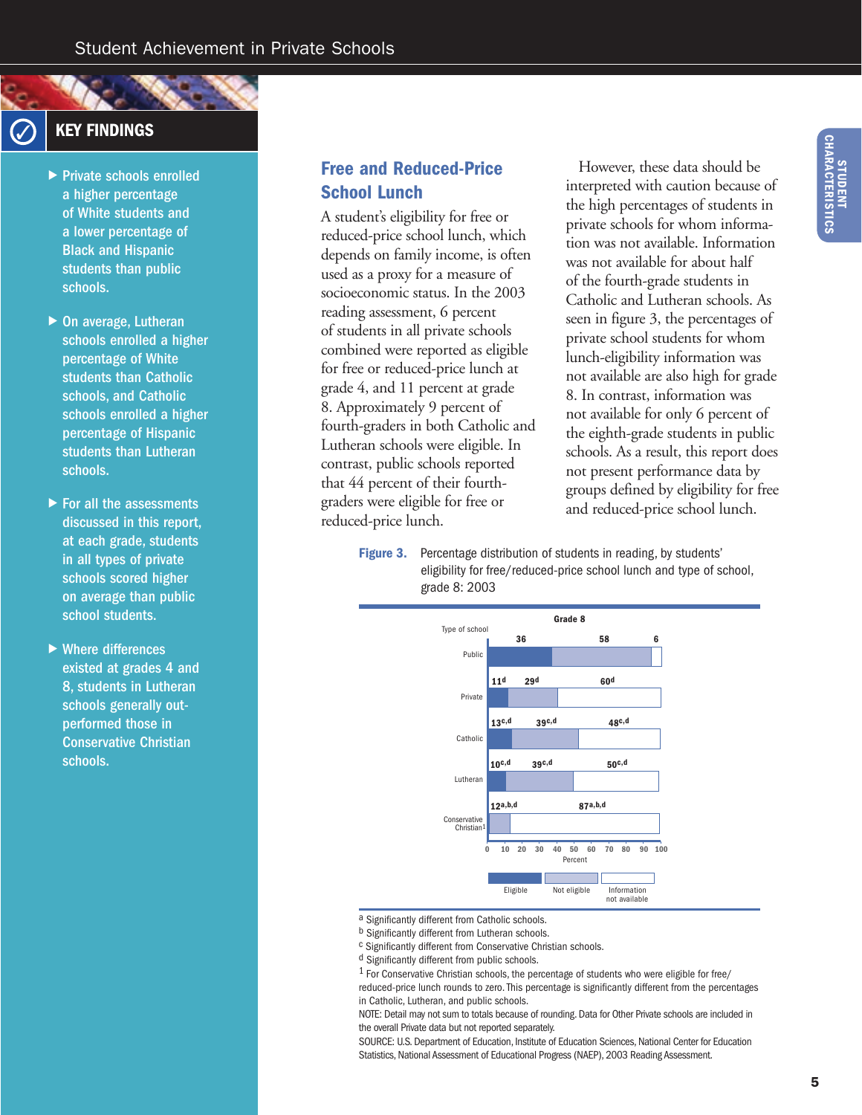#### **KEY FINDINGS**

- ▶ Private schools enrolled a higher percentage of White students and a lower percentage of Black and Hispanic students than public schools.
- $\triangleright$  On average, Lutheran schools enrolled a higher percentage of White students than Catholic schools, and Catholic schools enrolled a higher percentage of Hispanic students than Lutheran schools.
- $\blacktriangleright$  For all the assessments discussed in this report, at each grade, students in all types of private schools scored higher on average than public school students.
- $\blacktriangleright$  Where differences existed at grades 4 and 8, students in Lutheran schools generally outperformed those in Conservative Christian schools.

#### **Free and Reduced-Price School Lunch**

A student's eligibility for free or reduced-price school lunch, which depends on family income, is often used as a proxy for a measure of socioeconomic status. In the 2003 reading assessment, 6 percent of students in all private schools combined were reported as eligible for free or reduced-price lunch at grade 4, and 11 percent at grade 8. Approximately 9 percent of fourth-graders in both Catholic and Lutheran schools were eligible. In contrast, public schools reported that 44 percent of their fourthgraders were eligible for free or reduced-price lunch.

 However, these data should be interpreted with caution because of the high percentages of students in private schools for whom information was not available. Information was not available for about half of the fourth-grade students in Catholic and Lutheran schools. As seen in figure 3, the percentages of private school students for whom lunch-eligibility information was not available are also high for grade 8. In contrast, information was not available for only 6 percent of the eighth-grade students in public schools. As a result, this report does not present performance data by groups defined by eligibility for free and reduced-price school lunch.

**Figure 3.** Percentage distribution of students in reading, by students' eligibility for free/reduced-price school lunch and type of school, grade 8: 2003



a Significantly different from Catholic schools.

SOURCE: U.S. Department of Education, Institute of Education Sciences, National Center for Education Statistics, National Assessment of Educational Progress (NAEP), 2003 Reading Assessment.

b Significantly different from Lutheran schools.

c Significantly different from Conservative Christian schools.

d Significantly different from public schools.

 $1$  For Conservative Christian schools, the percentage of students who were eligible for free/ reduced-price lunch rounds to zero. This percentage is significantly different from the percentages in Catholic, Lutheran, and public schools.

NOTE: Detail may not sum to totals because of rounding. Data for Other Private schools are included in the overall Private data but not reported separately.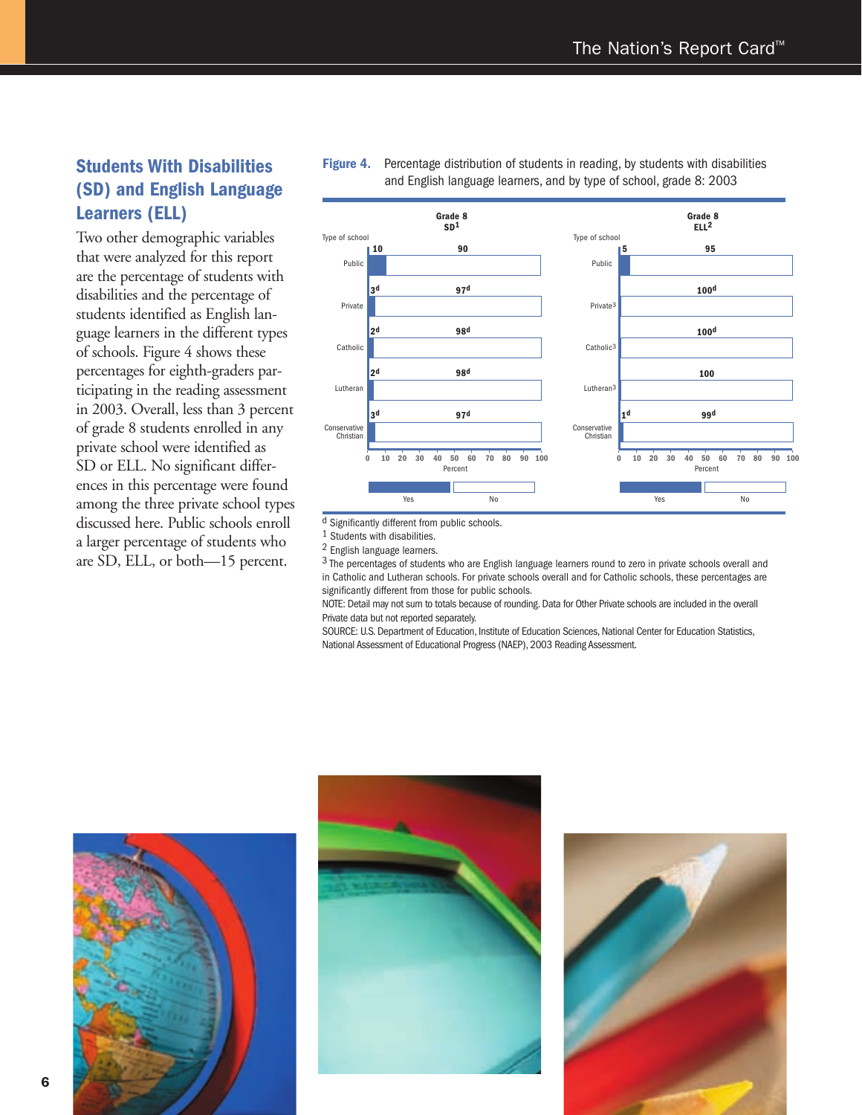#### **Students With Disabilities (SD) and English Language Learners (ELL)**

Two other demographic variables that were analyzed for this report are the percentage of students with disabilities and the percentage of students identified as English language learners in the different types of schools. Figure 4 shows these percentages for eighth-graders participating in the reading assessment in 2003. Overall, less than 3 percent of grade 8 students enrolled in any private school were identified as SD or ELL. No significant differences in this percentage were found among the three private school types discussed here. Public schools enroll a larger percentage of students who are SD, ELL, or both—15 percent.



**Figure 4.** Percentage distribution of students in reading, by students with disabilities and English language learners, and by type of school, grade 8: 2003

d Significantly different from public schools.

1 Students with disabilities.

2 English language learners.

3 The percentages of students who are English language learners round to zero in private schools overall and in Catholic and Lutheran schools. For private schools overall and for Catholic schools, these percentages are significantly different from those for public schools.

NOTE: Detail may not sum to totals because of rounding. Data for Other Private schools are included in the overall Private data but not reported separately.

SOURCE: U.S. Department of Education, Institute of Education Sciences, National Center for Education Statistics, National Assessment of Educational Progress (NAEP), 2003 Reading Assessment.





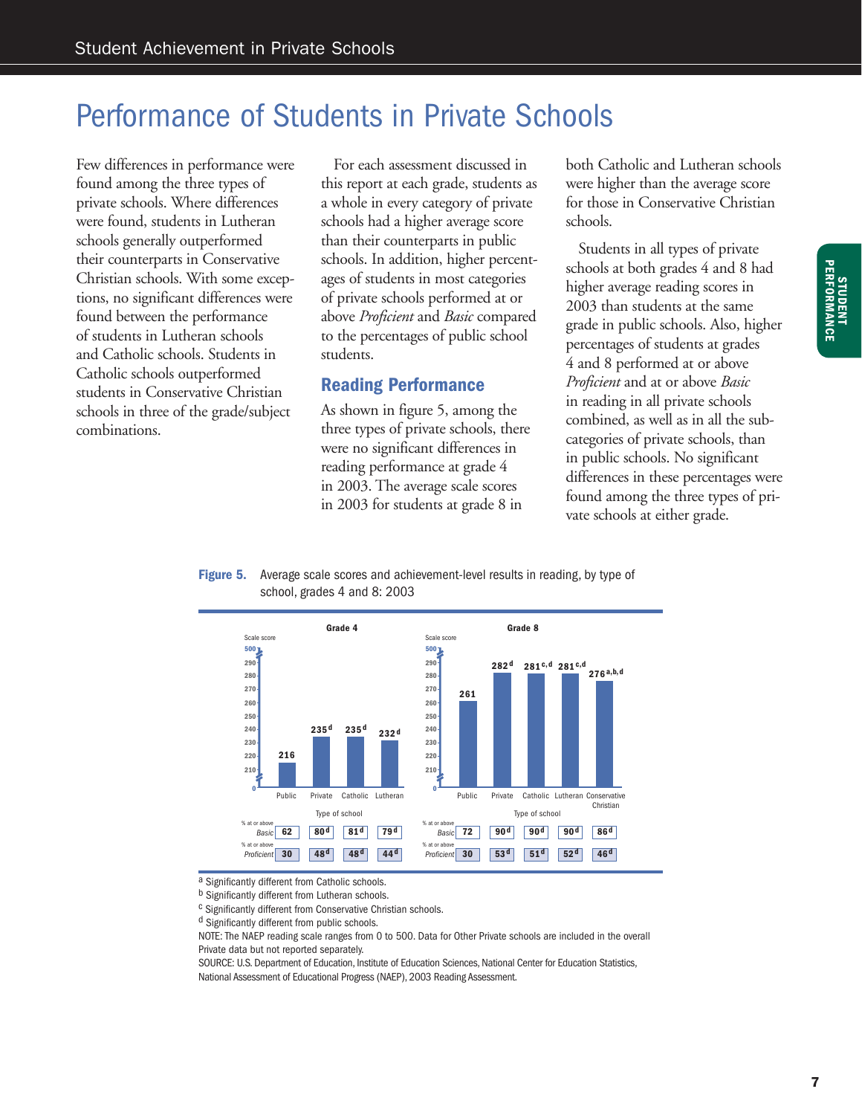### Performance of Students in Private Schools

Few differences in performance were found among the three types of private schools. Where differences were found, students in Lutheran schools generally outperformed their counterparts in Conservative Christian schools. With some exceptions, no significant differences were found between the performance of students in Lutheran schools and Catholic schools. Students in Catholic schools outperformed students in Conservative Christian schools in three of the grade/subject combinations.

 For each assessment discussed in this report at each grade, students as a whole in every category of private schools had a higher average score than their counterparts in public schools. In addition, higher percentages of students in most categories of private schools performed at or above *Proficient* and *Basic* compared to the percentages of public school students.

#### **Reading Performance**

As shown in figure 5, among the three types of private schools, there were no significant differences in reading performance at grade 4 in 2003. The average scale scores in 2003 for students at grade 8 in

both Catholic and Lutheran schools were higher than the average score for those in Conservative Christian schools.

 Students in all types of private schools at both grades 4 and 8 had higher average reading scores in 2003 than students at the same grade in public schools. Also, higher percentages of students at grades 4 and 8 performed at or above *Proficient* and at or above *Basic* in reading in all private schools combined, as well as in all the subcategories of private schools, than in public schools. No significant differences in these percentages were found among the three types of private schools at either grade.

#### **Figure 5.** Average scale scores and achievement-level results in reading, by type of school, grades 4 and 8: 2003



a Significantly different from Catholic schools.

c Significantly different from Conservative Christian schools.

d Significantly different from public schools.

NOTE: The NAEP reading scale ranges from 0 to 500. Data for Other Private schools are included in the overall Private data but not reported separately.

SOURCE: U.S. Department of Education, Institute of Education Sciences, National Center for Education Statistics, National Assessment of Educational Progress (NAEP), 2003 Reading Assessment.

b Significantly different from Lutheran schools.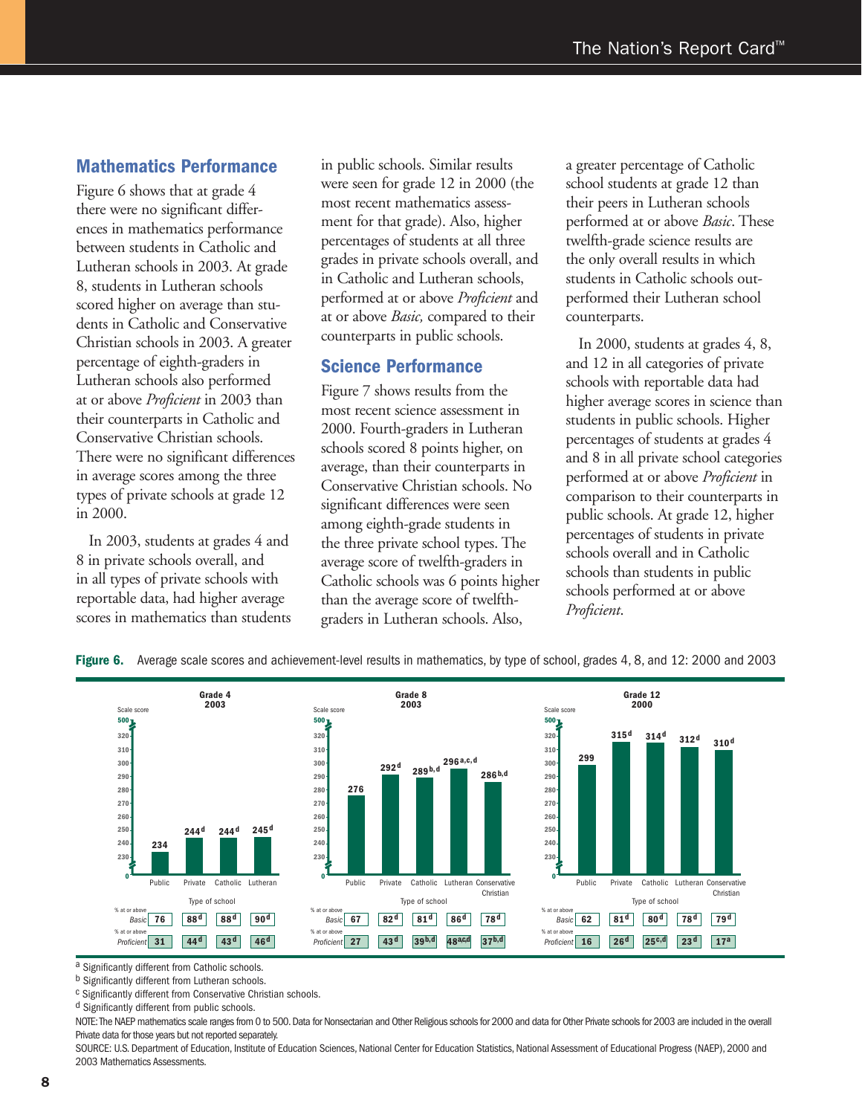#### **Mathematics Performance**

Figure 6 shows that at grade 4 there were no significant differences in mathematics performance between students in Catholic and Lutheran schools in 2003. At grade 8, students in Lutheran schools scored higher on average than students in Catholic and Conservative Christian schools in 2003. A greater percentage of eighth-graders in Lutheran schools also performed at or above *Proficient* in 2003 than their counterparts in Catholic and Conservative Christian schools. There were no significant differences in average scores among the three types of private schools at grade 12 in 2000.

 In 2003, students at grades 4 and 8 in private schools overall, and in all types of private schools with reportable data, had higher average scores in mathematics than students

in public schools. Similar results were seen for grade 12 in 2000 (the most recent mathematics assessment for that grade). Also, higher percentages of students at all three grades in private schools overall, and in Catholic and Lutheran schools, performed at or above *Proficient* and at or above *Basic,* compared to their counterparts in public schools.

#### **Science Performance**

Figure 7 shows results from the most recent science assessment in 2000. Fourth-graders in Lutheran schools scored 8 points higher, on average, than their counterparts in Conservative Christian schools. No significant differences were seen among eighth-grade students in the three private school types. The average score of twelfth-graders in Catholic schools was 6 points higher than the average score of twelfthgraders in Lutheran schools. Also,

a greater percentage of Catholic school students at grade 12 than their peers in Lutheran schools performed at or above *Basic*. These twelfth-grade science results are the only overall results in which students in Catholic schools outperformed their Lutheran school counterparts.

 In 2000, students at grades 4, 8, and 12 in all categories of private schools with reportable data had higher average scores in science than students in public schools. Higher percentages of students at grades 4 and 8 in all private school categories performed at or above *Proficient* in comparison to their counterparts in public schools. At grade 12, higher percentages of students in private schools overall and in Catholic schools than students in public schools performed at or above *Proficient*.



**Figure 6.** Average scale scores and achievement-level results in mathematics, by type of school, grades 4, 8, and 12: 2000 and 2003

a Significantly different from Catholic schools.

b Significantly different from Lutheran schools.

c Significantly different from Conservative Christian schools.

<sup>d</sup> Significantly different from public schools.

NOTE: The NAEP mathematics scale ranges from 0 to 500. Data for Nonsectarian and Other Religious schools for 2000 and data for Other Private schools for 2003 are included in the overall Private data for those years but not reported separately.

SOURCE: U.S. Department of Education, Institute of Education Sciences, National Center for Education Statistics, National Assessment of Educational Progress (NAEP), 2000 and 2003 Mathematics Assessments.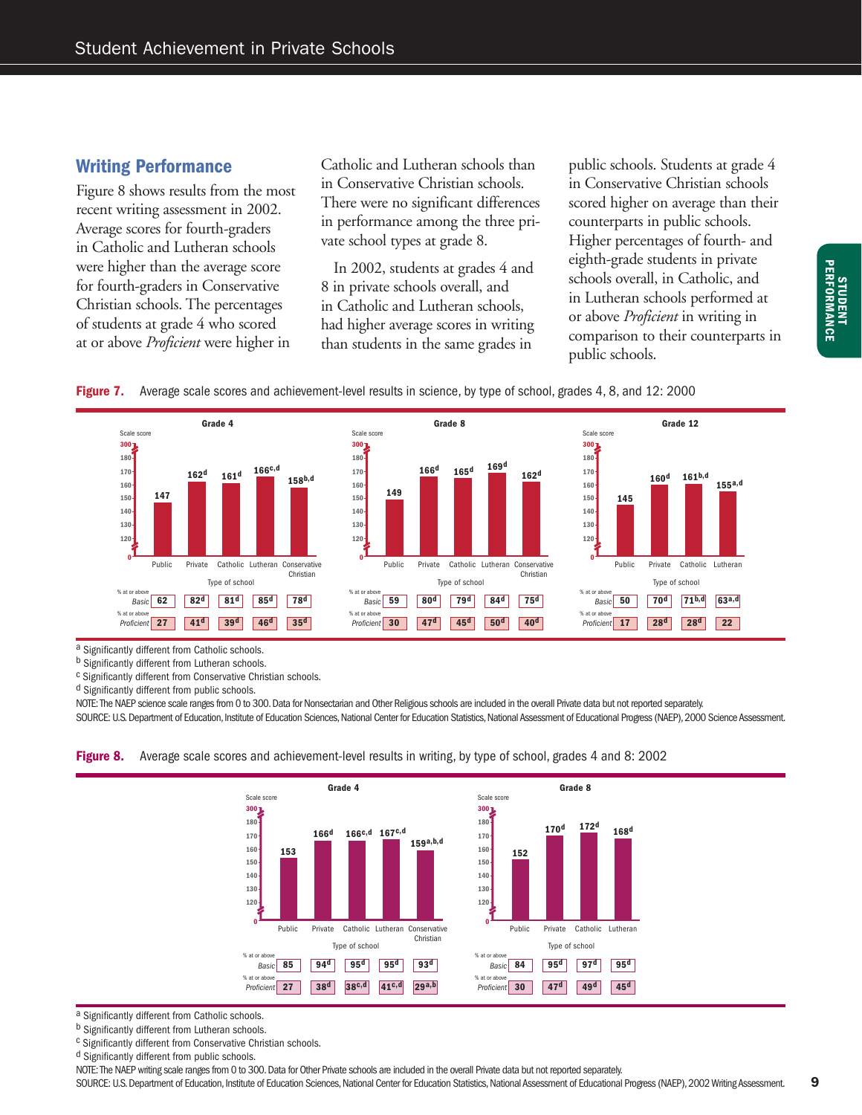#### **Writing Performance**

Figure 8 shows results from the most recent writing assessment in 2002. Average scores for fourth-graders in Catholic and Lutheran schools were higher than the average score for fourth-graders in Conservative Christian schools. The percentages of students at grade 4 who scored at or above *Proficient* were higher in

Catholic and Lutheran schools than in Conservative Christian schools. There were no significant differences in performance among the three private school types at grade 8.

 In 2002, students at grades 4 and 8 in private schools overall, and in Catholic and Lutheran schools, had higher average scores in writing than students in the same grades in

public schools. Students at grade 4 in Conservative Christian schools scored higher on average than their counterparts in public schools. Higher percentages of fourth- and eighth-grade students in private schools overall, in Catholic, and in Lutheran schools performed at or above *Proficient* in writing in comparison to their counterparts in public schools.





a Significantly different from Catholic schools.

b Significantly different from Lutheran schools.

c Significantly different from Conservative Christian schools.

d Significantly different from public schools.

NOTE: The NAEP science scale ranges from 0 to 300. Data for Nonsectarian and Other Religious schools are included in the overall Private data but not reported separately. SOURCE: U.S. Department of Education, Institute of Education Sciences, National Center for Education Statistics, National Assessment of Educational Progress (NAEP), 2000 Science Assessment.





a Significantly different from Catholic schools.

b Significantly different from Lutheran schools.

c Significantly different from Conservative Christian schools.

<sup>d</sup> Significantly different from public schools.

NOTE: The NAEP writing scale ranges from 0 to 300. Data for Other Private schools are included in the overall Private data but not reported separately. SOURCE: U.S. Department of Education, Institute of Education Sciences, National Center for Education Statistics, National Assessment of Educational Progress (NAEP), 2002 Writing Assessment. 9

**STUDENT PERFORMANCE**

**STUDENT<br>PERFORMANCE**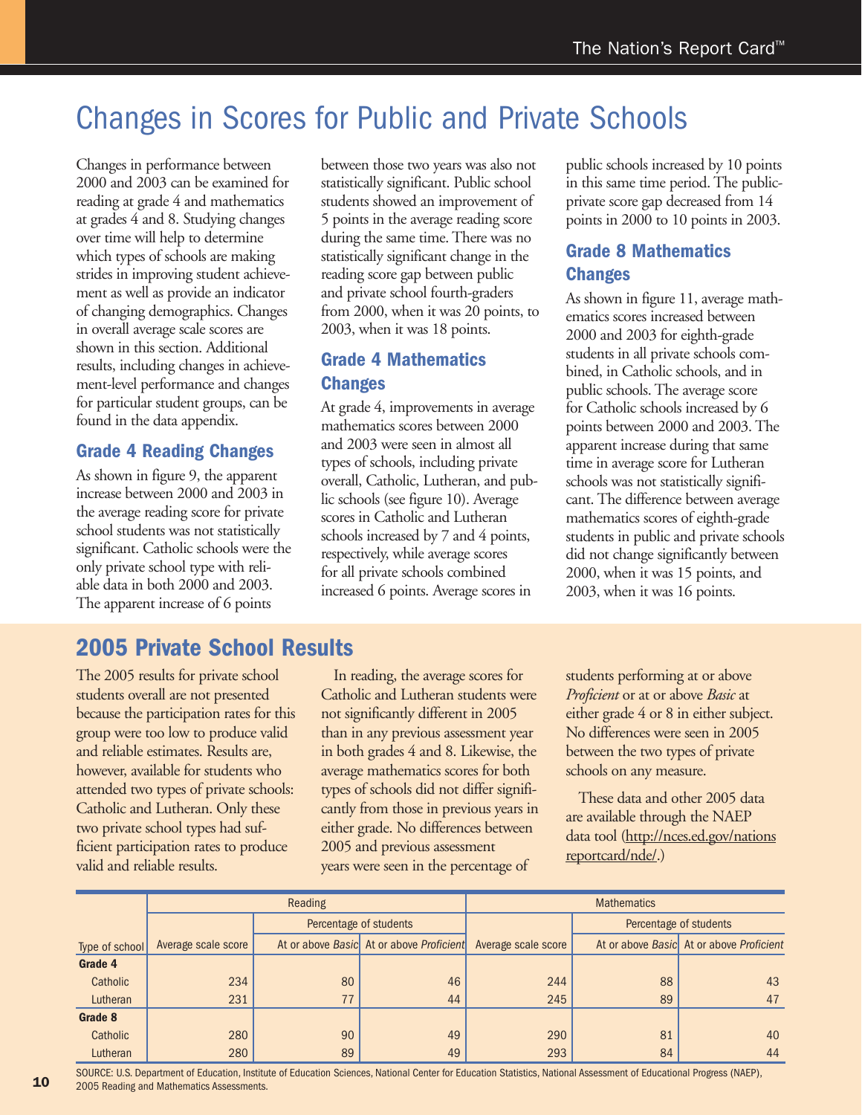### Changes in Scores for Public and Private Schools

Changes in performance between 2000 and 2003 can be examined for reading at grade 4 and mathematics at grades 4 and 8. Studying changes over time will help to determine which types of schools are making strides in improving student achievement as well as provide an indicator of changing demographics. Changes in overall average scale scores are shown in this section. Additional results, including changes in achievement-level performance and changes for particular student groups, can be found in the data appendix.

#### **Grade 4 Reading Changes**

As shown in figure 9, the apparent increase between 2000 and 2003 in the average reading score for private school students was not statistically significant. Catholic schools were the only private school type with reliable data in both 2000 and 2003. The apparent increase of 6 points

between those two years was also not statistically significant. Public school students showed an improvement of 5 points in the average reading score during the same time. There was no statistically significant change in the reading score gap between public and private school fourth-graders from 2000, when it was 20 points, to 2003, when it was 18 points.

#### **Grade 4 Mathematics Changes**

At grade 4, improvements in average mathematics scores between 2000 and 2003 were seen in almost all types of schools, including private overall, Catholic, Lutheran, and public schools (see figure 10). Average scores in Catholic and Lutheran schools increased by 7 and 4 points, respectively, while average scores for all private schools combined increased 6 points. Average scores in

public schools increased by 10 points in this same time period. The publicprivate score gap decreased from 14 points in 2000 to 10 points in 2003.

#### **Grade 8 Mathematics Changes**

As shown in figure 11, average mathematics scores increased between 2000 and 2003 for eighth-grade students in all private schools combined, in Catholic schools, and in public schools. The average score for Catholic schools increased by 6 points between 2000 and 2003. The apparent increase during that same time in average score for Lutheran schools was not statistically significant. The difference between average mathematics scores of eighth-grade students in public and private schools did not change significantly between 2000, when it was 15 points, and 2003, when it was 16 points.

### **2005 Private School Results**

The 2005 results for private school students overall are not presented because the participation rates for this group were too low to produce valid and reliable estimates. Results are, however, available for students who attended two types of private schools: Catholic and Lutheran. Only these two private school types had sufficient participation rates to produce valid and reliable results.

 In reading, the average scores for Catholic and Lutheran students were not significantly different in 2005 than in any previous assessment year in both grades 4 and 8. Likewise, the average mathematics scores for both types of schools did not differ significantly from those in previous years in either grade. No differences between 2005 and previous assessment years were seen in the percentage of

students performing at or above *Proficient* or at or above *Basic* at either grade 4 or 8 in either subject. No differences were seen in 2005 between the two types of private schools on any measure.

 These data and other 2005 data are available through the NAEP data tool (http://nces.ed.gov/nations reportcard/nde/.)

|                |                     | Reading |                                          | <b>Mathematics</b>  |                        |                                          |  |  |  |
|----------------|---------------------|---------|------------------------------------------|---------------------|------------------------|------------------------------------------|--|--|--|
|                |                     |         | Percentage of students                   |                     | Percentage of students |                                          |  |  |  |
| Type of school | Average scale score |         | At or above Basic At or above Proficient | Average scale score |                        | At or above Basic At or above Proficient |  |  |  |
| Grade 4        |                     |         |                                          |                     |                        |                                          |  |  |  |
| Catholic       | 234                 | 80      | 46                                       | 244                 | 88                     | 43                                       |  |  |  |
| Lutheran       | 231                 | 77      | 44                                       | 245                 | 89                     | 47                                       |  |  |  |
| Grade 8        |                     |         |                                          |                     |                        |                                          |  |  |  |
| Catholic       | 280                 | 90      | 49                                       | 290                 | 81                     | 40                                       |  |  |  |
| Lutheran       | 280                 | 89      | 49                                       | 293                 | 84                     | 44                                       |  |  |  |

SOURCE: U.S. Department of Education, Institute of Education Sciences, National Center for Educations Statistics, National Assessment of Educational Progress (NAEP), 2005 Reading and Mathematics Assessments.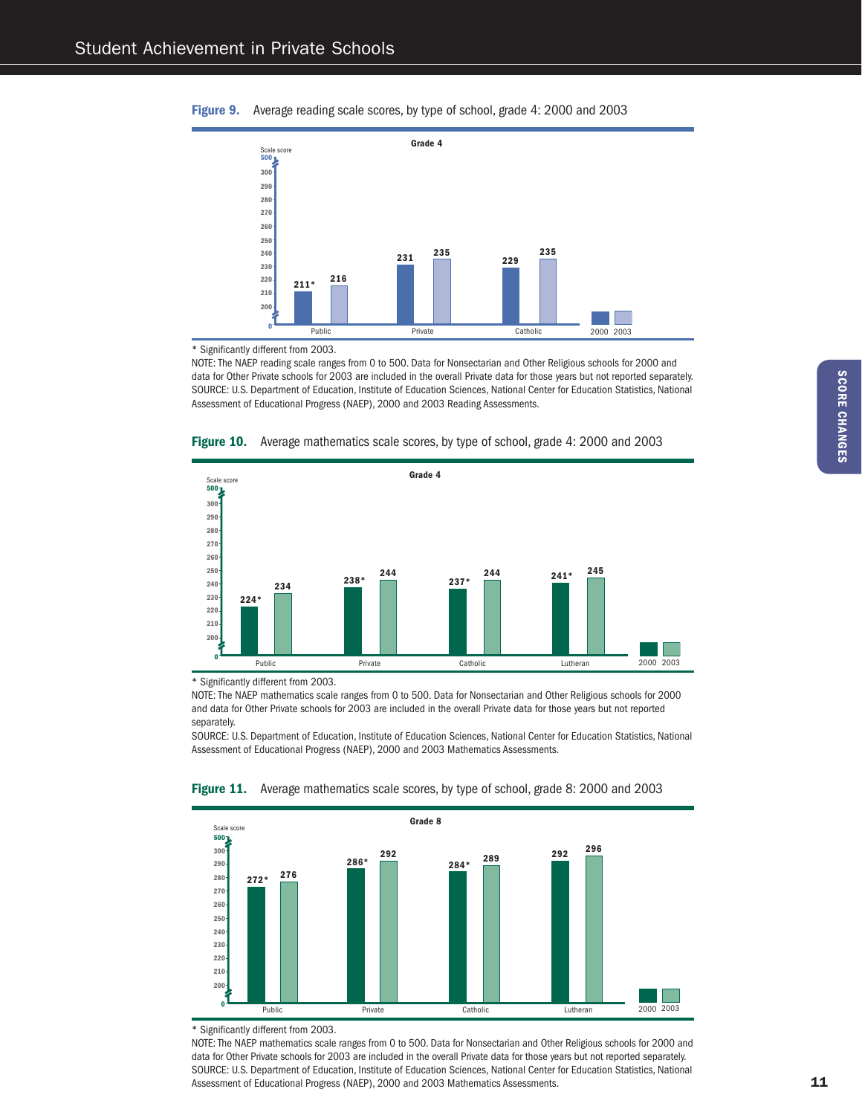



\* Significantly different from 2003.

NOTE: The NAEP reading scale ranges from 0 to 500. Data for Nonsectarian and Other Religious schools for 2000 and data for Other Private schools for 2003 are included in the overall Private data for those years but not reported separately. SOURCE: U.S. Department of Education, Institute of Education Sciences, National Center for Education Statistics, National Assessment of Educational Progress (NAEP), 2000 and 2003 Reading Assessments.





\* Significantly different from 2003.

NOTE: The NAEP mathematics scale ranges from 0 to 500. Data for Nonsectarian and Other Religious schools for 2000 and data for Other Private schools for 2003 are included in the overall Private data for those years but not reported separately.

SOURCE: U.S. Department of Education, Institute of Education Sciences, National Center for Education Statistics, National Assessment of Educational Progress (NAEP), 2000 and 2003 Mathematics Assessments.



**Figure 11.** Average mathematics scale scores, by type of school, grade 8: 2000 and 2003

\* Significantly different from 2003.

NOTE: The NAEP mathematics scale ranges from 0 to 500. Data for Nonsectarian and Other Religious schools for 2000 and data for Other Private schools for 2003 are included in the overall Private data for those years but not reported separately. SOURCE: U.S. Department of Education, Institute of Education Sciences, National Center for Education Statistics, National Assessment of Educational Progress (NAEP), 2000 and 2003 Mathematics Assessments.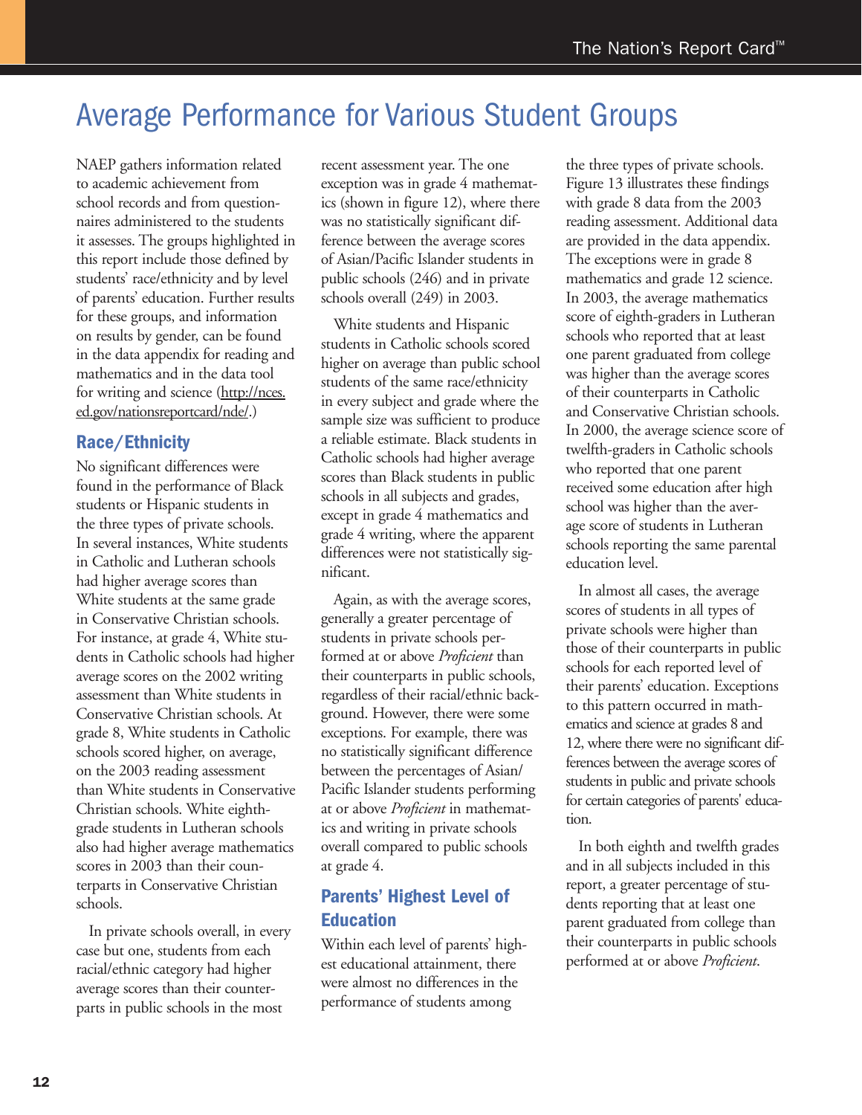### Average Performance for Various Student Groups

NAEP gathers information related to academic achievement from school records and from questionnaires administered to the students it assesses. The groups highlighted in this report include those defined by students' race/ethnicity and by level of parents' education. Further results for these groups, and information on results by gender, can be found in the data appendix for reading and mathematics and in the data tool for writing and science (http://nces. ed.gov/nationsreportcard/nde/.)

#### **Race/Ethnicity**

No significant differences were found in the performance of Black students or Hispanic students in the three types of private schools. In several instances, White students in Catholic and Lutheran schools had higher average scores than White students at the same grade in Conservative Christian schools. For instance, at grade 4, White students in Catholic schools had higher average scores on the 2002 writing assessment than White students in Conservative Christian schools. At grade 8, White students in Catholic schools scored higher, on average, on the 2003 reading assessment than White students in Conservative Christian schools. White eighthgrade students in Lutheran schools also had higher average mathematics scores in 2003 than their counterparts in Conservative Christian schools.

 In private schools overall, in every case but one, students from each racial/ethnic category had higher average scores than their counterparts in public schools in the most

recent assessment year. The one exception was in grade 4 mathematics (shown in figure 12), where there was no statistically significant difference between the average scores of Asian/Pacific Islander students in public schools (246) and in private schools overall (249) in 2003.

 White students and Hispanic students in Catholic schools scored higher on average than public school students of the same race/ethnicity in every subject and grade where the sample size was sufficient to produce a reliable estimate. Black students in Catholic schools had higher average scores than Black students in public schools in all subjects and grades, except in grade 4 mathematics and grade 4 writing, where the apparent differences were not statistically significant.

 Again, as with the average scores, generally a greater percentage of students in private schools performed at or above *Proficient* than their counterparts in public schools, regardless of their racial/ethnic background. However, there were some exceptions. For example, there was no statistically significant difference between the percentages of Asian/ Pacific Islander students performing at or above *Proficient* in mathematics and writing in private schools overall compared to public schools at grade 4.

#### **Parents' Highest Level of Education**

Within each level of parents' highest educational attainment, there were almost no differences in the performance of students among

the three types of private schools. Figure 13 illustrates these findings with grade 8 data from the 2003 reading assessment. Additional data are provided in the data appendix. The exceptions were in grade 8 mathematics and grade 12 science. In 2003, the average mathematics score of eighth-graders in Lutheran schools who reported that at least one parent graduated from college was higher than the average scores of their counterparts in Catholic and Conservative Christian schools. In 2000, the average science score of twelfth-graders in Catholic schools who reported that one parent received some education after high school was higher than the average score of students in Lutheran schools reporting the same parental education level.

 In almost all cases, the average scores of students in all types of private schools were higher than those of their counterparts in public schools for each reported level of their parents' education. Exceptions to this pattern occurred in mathematics and science at grades 8 and 12, where there were no significant differences between the average scores of students in public and private schools for certain categories of parents' education.

 In both eighth and twelfth grades and in all subjects included in this report, a greater percentage of students reporting that at least one parent graduated from college than their counterparts in public schools performed at or above *Proficient*.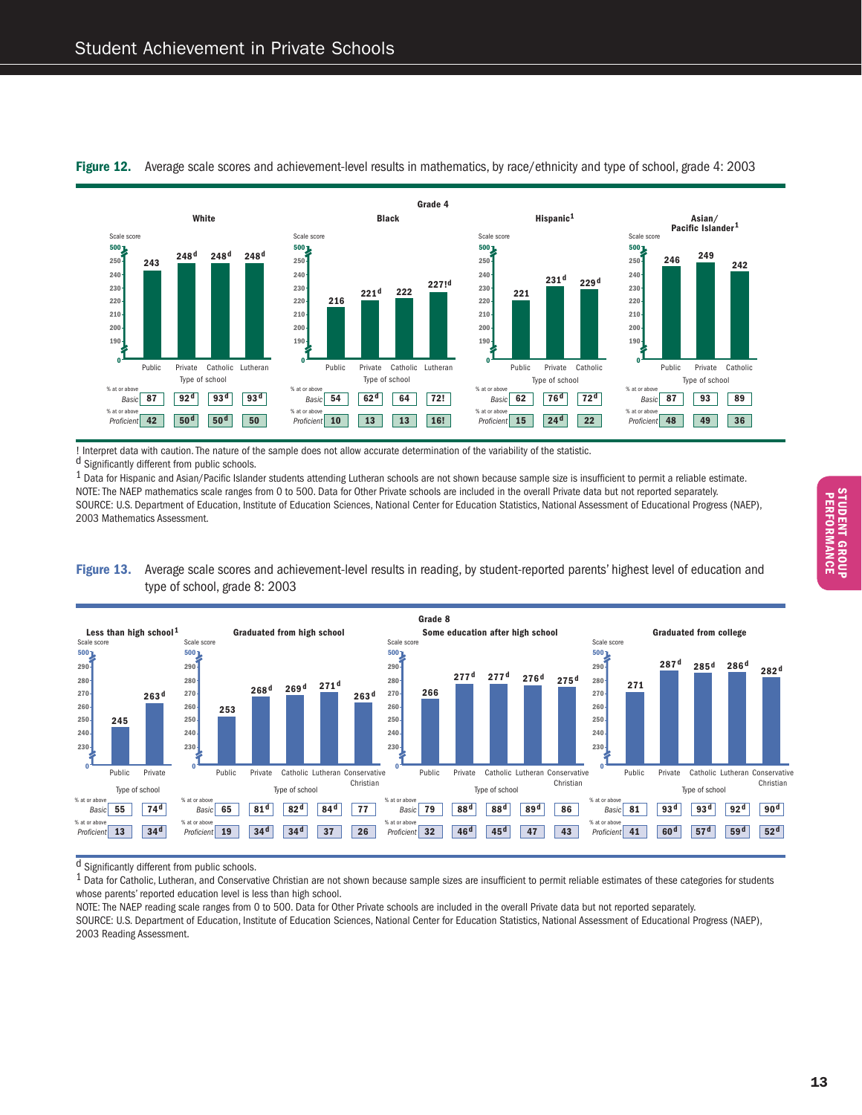

**Figure 12.** Average scale scores and achievement-level results in mathematics, by race/ethnicity and type of school, grade 4: 2003

! Interpret data with caution. The nature of the sample does not allow accurate determination of the variability of the statistic. d Significantly different from public schools.

 $1$  Data for Hispanic and Asian/Pacific Islander students attending Lutheran schools are not shown because sample size is insufficient to permit a reliable estimate. NOTE: The NAEP mathematics scale ranges from 0 to 500. Data for Other Private schools are included in the overall Private data but not reported separately. SOURCE: U.S. Department of Education, Institute of Education Sciences, National Center for Educations Statistics, National Assessment of Educational Progress (NAEP), 2003 Mathematics Assessment.





 $\overline{d}$  Significantly different from public schools.

<sup>1</sup> Data for Catholic, Lutheran, and Conservative Christian are not shown because sample sizes are insufficient to permit reliable estimates of these categories for students whose parents' reported education level is less than high school.

NOTE: The NAEP reading scale ranges from 0 to 500. Data for Other Private schools are included in the overall Private data but not reported separately. SOURCE: U.S. Department of Education, Institute of Education Sciences, National Center for Education Statistics, National Assessment of Educational Progress (NAEP), 2003 Reading Assessment.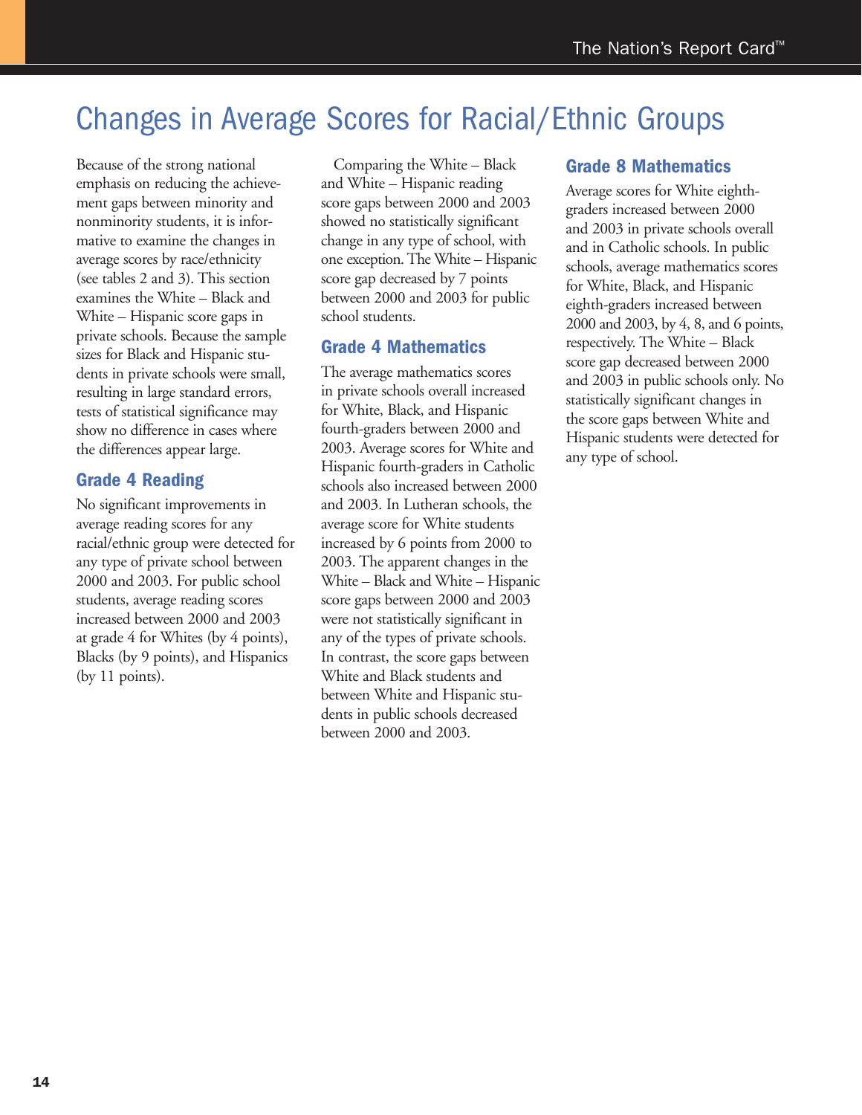## Changes in Average Scores for Racial/Ethnic Groups

Because of the strong national emphasis on reducing the achievement gaps between minority and nonminority students, it is informative to examine the changes in average scores by race/ethnicity (see tables 2 and 3). This section examines the White – Black and White – Hispanic score gaps in private schools. Because the sample sizes for Black and Hispanic students in private schools were small, resulting in large standard errors, tests of statistical significance may show no difference in cases where the differences appear large.

#### **Grade 4 Reading**

No significant improvements in average reading scores for any racial/ethnic group were detected for any type of private school between 2000 and 2003. For public school students, average reading scores increased between 2000 and 2003 at grade 4 for Whites (by 4 points), Blacks (by 9 points), and Hispanics (by 11 points).

 Comparing the White – Black and White – Hispanic reading score gaps between 2000 and 2003 showed no statistically significant change in any type of school, with one exception. The White – Hispanic score gap decreased by 7 points between 2000 and 2003 for public school students.

#### **Grade 4 Mathematics**

The average mathematics scores in private schools overall increased for White, Black, and Hispanic fourth-graders between 2000 and 2003. Average scores for White and Hispanic fourth-graders in Catholic schools also increased between 2000 and 2003. In Lutheran schools, the average score for White students increased by 6 points from 2000 to 2003. The apparent changes in the White – Black and White – Hispanic score gaps between 2000 and 2003 were not statistically significant in any of the types of private schools. In contrast, the score gaps between White and Black students and between White and Hispanic students in public schools decreased between 2000 and 2003.

#### **Grade 8 Mathematics**

Average scores for White eighthgraders increased between 2000 and 2003 in private schools overall and in Catholic schools. In public schools, average mathematics scores for White, Black, and Hispanic eighth-graders increased between 2000 and 2003, by 4, 8, and 6 points, respectively. The White – Black score gap decreased between 2000 and 2003 in public schools only. No statistically significant changes in the score gaps between White and Hispanic students were detected for any type of school.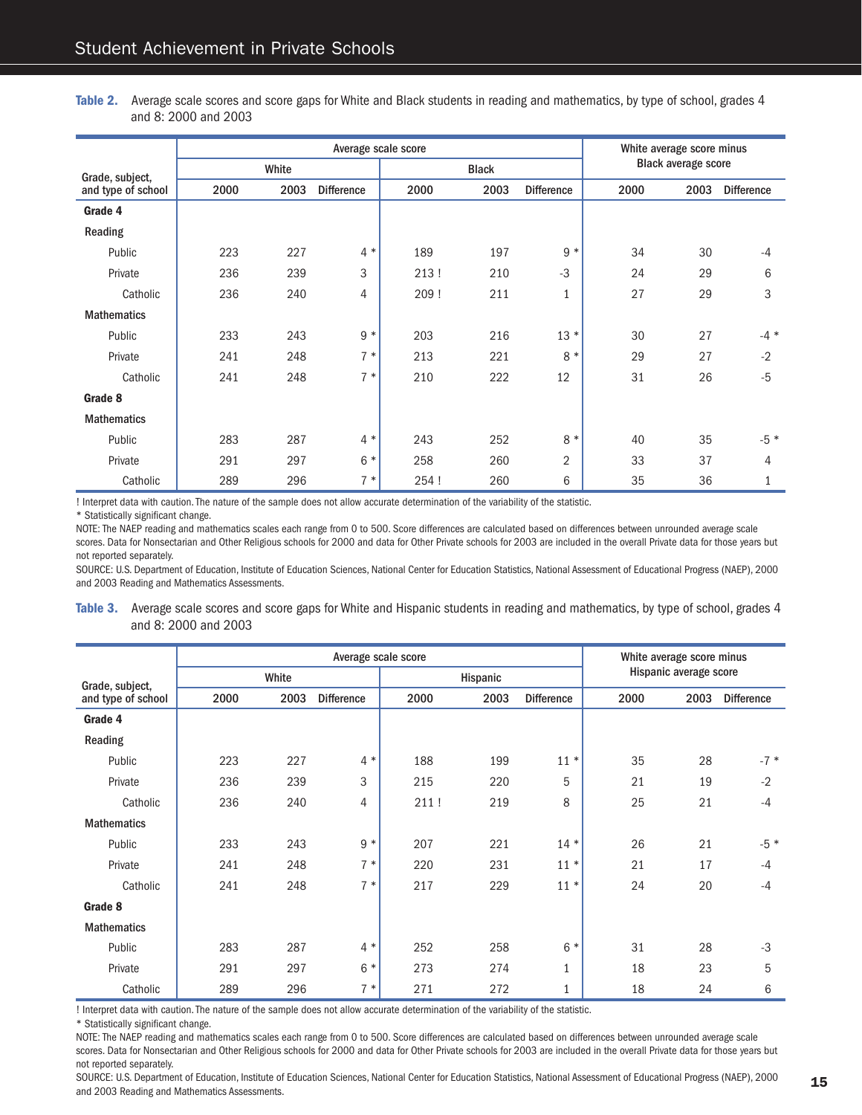**Table 2.** Average scale scores and score gaps for White and Black students in reading and mathematics, by type of school, grades 4 and 8: 2000 and 2003

|                    |      |       |                   | White average score minus |              |                   |                            |      |                   |  |
|--------------------|------|-------|-------------------|---------------------------|--------------|-------------------|----------------------------|------|-------------------|--|
| Grade, subject,    |      | White |                   |                           | <b>Black</b> |                   | <b>Black average score</b> |      |                   |  |
| and type of school | 2000 | 2003  | <b>Difference</b> | 2000                      | 2003         | <b>Difference</b> |                            | 2003 | <b>Difference</b> |  |
| Grade 4            |      |       |                   |                           |              |                   |                            |      |                   |  |
| Reading            |      |       |                   |                           |              |                   |                            |      |                   |  |
| Public             | 223  | 227   | $4 *$             | 189                       | 197          | $9 *$             | 34                         | 30   | $-4$              |  |
| Private            | 236  | 239   | 3                 | 213!                      | 210          | $-3$              | 24                         | 29   | 6                 |  |
| Catholic           | 236  | 240   | 4                 | 209!                      | 211          | $\mathbf{1}$      | 27                         | 29   | 3                 |  |
| <b>Mathematics</b> |      |       |                   |                           |              |                   |                            |      |                   |  |
| Public             | 233  | 243   | $9 *$             | 203                       | 216          | $13 *$            | 30                         | 27   | $-4$ *            |  |
| Private            | 241  | 248   | $7 *$             | 213                       | 221          | 8<br>$\ast$       | 29                         | 27   | $-2$              |  |
| Catholic           | 241  | 248   | $7 *$             | 210                       | 222          | 12                | 31                         | 26   | $-5$              |  |
| Grade 8            |      |       |                   |                           |              |                   |                            |      |                   |  |
| <b>Mathematics</b> |      |       |                   |                           |              |                   |                            |      |                   |  |
| Public             | 283  | 287   | $4 *$             | 243                       | 252          | 8<br>$\ast$       | 40                         | 35   | $-5 *$            |  |
| Private            | 291  | 297   | $6*$              | 258                       | 260          | $\overline{2}$    | 33                         | 37   | 4                 |  |
| Catholic           | 289  | 296   | $7 *$             | 254 !                     | 260          | 6                 | 35                         | 36   | 1                 |  |

! Interpret data with caution. The nature of the sample does not allow accurate determination of the variability of the statistic.

\* Statistically significant change.

NOTE: The NAEP reading and mathematics scales each range from 0 to 500. Score differences are calculated based on differences between unrounded average scale scores. Data for Nonsectarian and Other Religious schools for 2000 and data for Other Private schools for 2003 are included in the overall Private data for those years but not reported separately.

SOURCE: U.S. Department of Education, Institute of Education Sciences, National Center for Education Statistics, National Assessment of Educational Progress (NAEP), 2000 and 2003 Reading and Mathematics Assessments.

**Table 3.** Average scale scores and score gaps for White and Hispanic students in reading and mathematics, by type of school, grades 4 and 8: 2000 and 2003

|                    |      |       | White average score minus |      |          |                   |                        |      |                   |  |
|--------------------|------|-------|---------------------------|------|----------|-------------------|------------------------|------|-------------------|--|
| Grade, subject,    |      | White |                           |      | Hispanic |                   | Hispanic average score |      |                   |  |
| and type of school | 2000 | 2003  | <b>Difference</b>         | 2000 | 2003     | <b>Difference</b> | 2000                   | 2003 | <b>Difference</b> |  |
| Grade 4            |      |       |                           |      |          |                   |                        |      |                   |  |
| Reading            |      |       |                           |      |          |                   |                        |      |                   |  |
| Public             | 223  | 227   | $4 *$                     | 188  | 199      | $11 *$            | 35                     | 28   | $-7*$             |  |
| Private            | 236  | 239   | 3                         | 215  | 220      | 5                 | 21                     | 19   | $-2$              |  |
| Catholic           | 236  | 240   | 4                         | 211! | 219      | 8                 | 25                     | 21   | $-4$              |  |
| <b>Mathematics</b> |      |       |                           |      |          |                   |                        |      |                   |  |
| Public             | 233  | 243   | $9 *$                     | 207  | 221      | $14 *$            | 26                     | 21   | $-5 *$            |  |
| Private            | 241  | 248   | $7 *$                     | 220  | 231      | $11 *$            | 21                     | 17   | $-4$              |  |
| Catholic           | 241  | 248   | $7 *$                     | 217  | 229      | $11*$             | 24                     | 20   | $-4$              |  |
| Grade 8            |      |       |                           |      |          |                   |                        |      |                   |  |
| <b>Mathematics</b> |      |       |                           |      |          |                   |                        |      |                   |  |
| Public             | 283  | 287   | $4 *$                     | 252  | 258      | $6*$              | 31                     | 28   | $-3$              |  |
| Private            | 291  | 297   | $6*$                      | 273  | 274      | $\mathbf{1}$      | 18                     | 23   | 5                 |  |
| Catholic           | 289  | 296   | $7 *$                     | 271  | 272      | $\mathbf{1}$      | 18                     | 24   | 6                 |  |

! Interpret data with caution. The nature of the sample does not allow accurate determination of the variability of the statistic.

\* Statistically significant change.

NOTE: The NAEP reading and mathematics scales each range from 0 to 500. Score differences are calculated based on differences between unrounded average scale scores. Data for Nonsectarian and Other Religious schools for 2000 and data for Other Private schools for 2003 are included in the overall Private data for those years but not reported separately.

SOURCE: U.S. Department of Education, Institute of Education Sciences, National Center for Education Statistics, National Assessment of Educational Progress (NAEP), 2000 and 2003 Reading and Mathematics Assessments.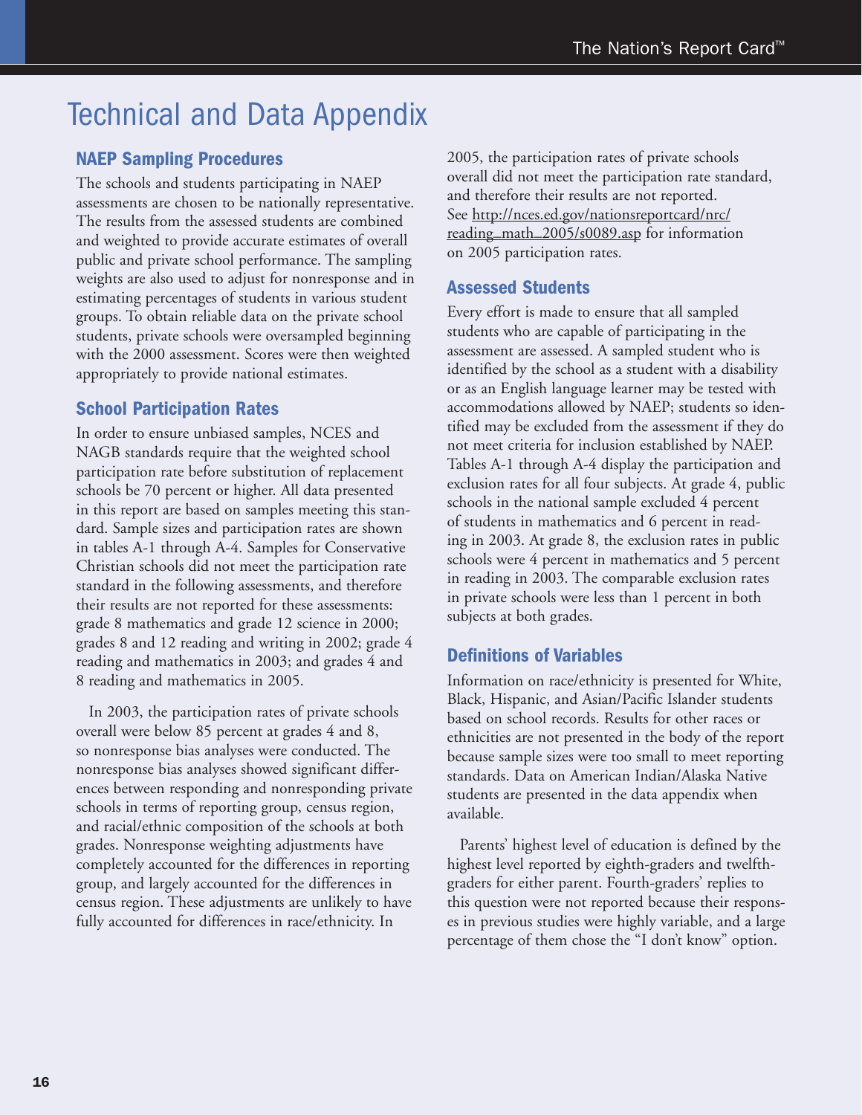### Technical and Data Appendix

#### **NAEP Sampling Procedures**

The schools and students participating in NAEP assessments are chosen to be nationally representative. The results from the assessed students are combined and weighted to provide accurate estimates of overall public and private school performance. The sampling weights are also used to adjust for nonresponse and in estimating percentages of students in various student groups. To obtain reliable data on the private school students, private schools were oversampled beginning with the 2000 assessment. Scores were then weighted appropriately to provide national estimates.

#### **School Participation Rates**

In order to ensure unbiased samples, NCES and NAGB standards require that the weighted school participation rate before substitution of replacement schools be 70 percent or higher. All data presented in this report are based on samples meeting this standard. Sample sizes and participation rates are shown in tables A-1 through A-4. Samples for Conservative Christian schools did not meet the participation rate standard in the following assessments, and therefore their results are not reported for these assessments: grade 8 mathematics and grade 12 science in 2000; grades 8 and 12 reading and writing in 2002; grade 4 reading and mathematics in 2003; and grades 4 and 8 reading and mathematics in 2005.

 In 2003, the participation rates of private schools overall were below 85 percent at grades 4 and 8, so nonresponse bias analyses were conducted. The nonresponse bias analyses showed significant differences between responding and nonresponding private schools in terms of reporting group, census region, and racial/ethnic composition of the schools at both grades. Nonresponse weighting adjustments have completely accounted for the differences in reporting group, and largely accounted for the differences in census region. These adjustments are unlikely to have fully accounted for differences in race/ethnicity. In

2005, the participation rates of private schools overall did not meet the participation rate standard, and therefore their results are not reported. See http://nces.ed.gov/nationsreportcard/nrc/ reading\_math\_2005/s0089.asp for information on 2005 participation rates.

#### **Assessed Students**

Every effort is made to ensure that all sampled students who are capable of participating in the assessment are assessed. A sampled student who is identified by the school as a student with a disability or as an English language learner may be tested with accommodations allowed by NAEP; students so identified may be excluded from the assessment if they do not meet criteria for inclusion established by NAEP. Tables A-1 through A-4 display the participation and exclusion rates for all four subjects. At grade 4, public schools in the national sample excluded 4 percent of students in mathematics and 6 percent in reading in 2003. At grade 8, the exclusion rates in public schools were 4 percent in mathematics and 5 percent in reading in 2003. The comparable exclusion rates in private schools were less than 1 percent in both subjects at both grades.

#### **Definitions of Variables**

Information on race/ethnicity is presented for White, Black, Hispanic, and Asian/Pacific Islander students based on school records. Results for other races or ethnicities are not presented in the body of the report because sample sizes were too small to meet reporting standards. Data on American Indian/Alaska Native students are presented in the data appendix when available.

 Parents' highest level of education is defined by the highest level reported by eighth-graders and twelfthgraders for either parent. Fourth-graders' replies to this question were not reported because their responses in previous studies were highly variable, and a large percentage of them chose the "I don't know" option.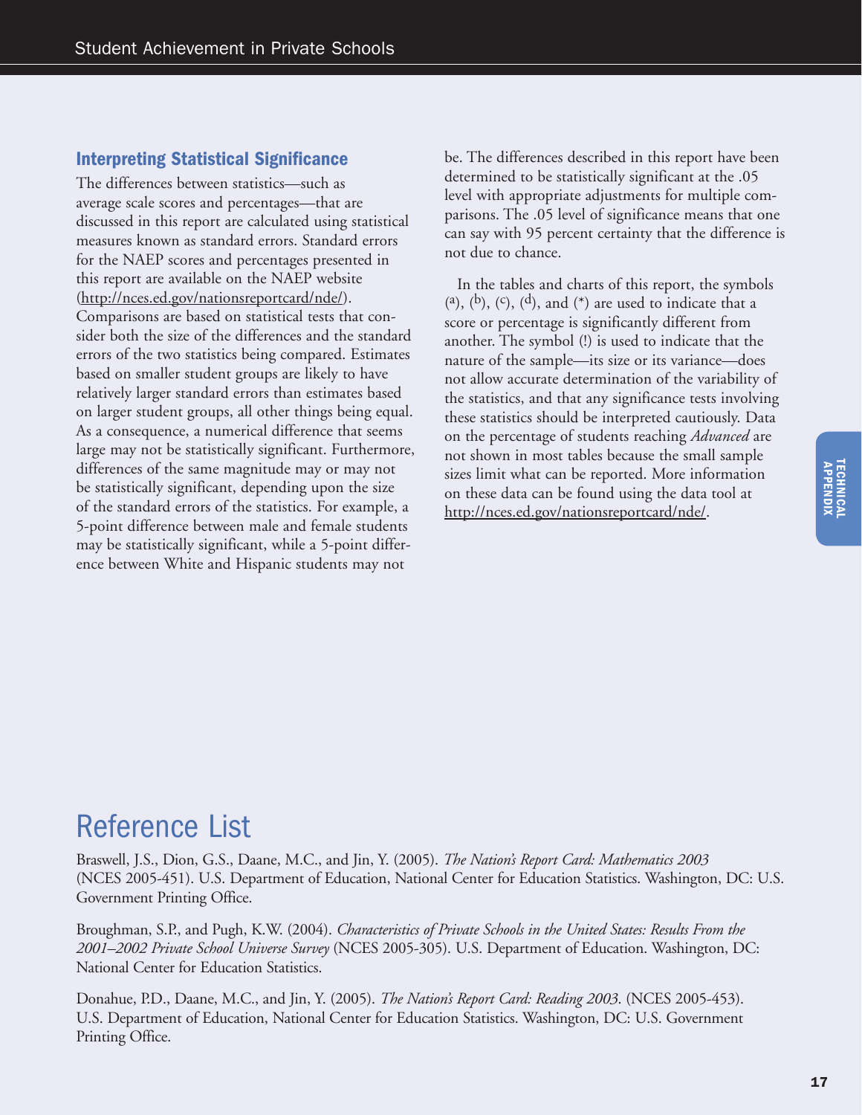#### **Interpreting Statistical Significance**

The differences between statistics—such as average scale scores and percentages—that are discussed in this report are calculated using statistical measures known as standard errors. Standard errors for the NAEP scores and percentages presented in this report are available on the NAEP website (http://nces.ed.gov/nationsreportcard/nde/). Comparisons are based on statistical tests that consider both the size of the differences and the standard errors of the two statistics being compared. Estimates based on smaller student groups are likely to have relatively larger standard errors than estimates based on larger student groups, all other things being equal. As a consequence, a numerical difference that seems large may not be statistically significant. Furthermore, differences of the same magnitude may or may not be statistically significant, depending upon the size of the standard errors of the statistics. For example, a 5-point difference between male and female students may be statistically significant, while a 5-point difference between White and Hispanic students may not

be. The differences described in this report have been determined to be statistically significant at the .05 level with appropriate adjustments for multiple comparisons. The .05 level of significance means that one can say with 95 percent certainty that the difference is not due to chance.

 In the tables and charts of this report, the symbols (a), (b), (c), (d), and (\*) are used to indicate that a score or percentage is significantly different from another. The symbol (!) is used to indicate that the nature of the sample—its size or its variance—does not allow accurate determination of the variability of the statistics, and that any significance tests involving these statistics should be interpreted cautiously. Data on the percentage of students reaching *Advanced* are not shown in most tables because the small sample sizes limit what can be reported. More information on these data can be found using the data tool at http://nces.ed.gov/nationsreportcard/nde/.

### Reference List

Braswell, J.S., Dion, G.S., Daane, M.C., and Jin, Y. (2005). *The Nation's Report Card: Mathematics 2003* (NCES 2005-451). U.S. Department of Education, National Center for Education Statistics. Washington, DC: U.S. Government Printing Office.

Broughman, S.P., and Pugh, K.W. (2004). *Characteristics of Private Schools in the United States: Results From the 2001–2002 Private School Universe Survey* (NCES 2005-305). U.S. Department of Education. Washington, DC: National Center for Education Statistics.

Donahue, P.D., Daane, M.C., and Jin, Y. (2005). *The Nation's Report Card: Reading 2003*. (NCES 2005-453). U.S. Department of Education, National Center for Education Statistics. Washington, DC: U.S. Government Printing Office.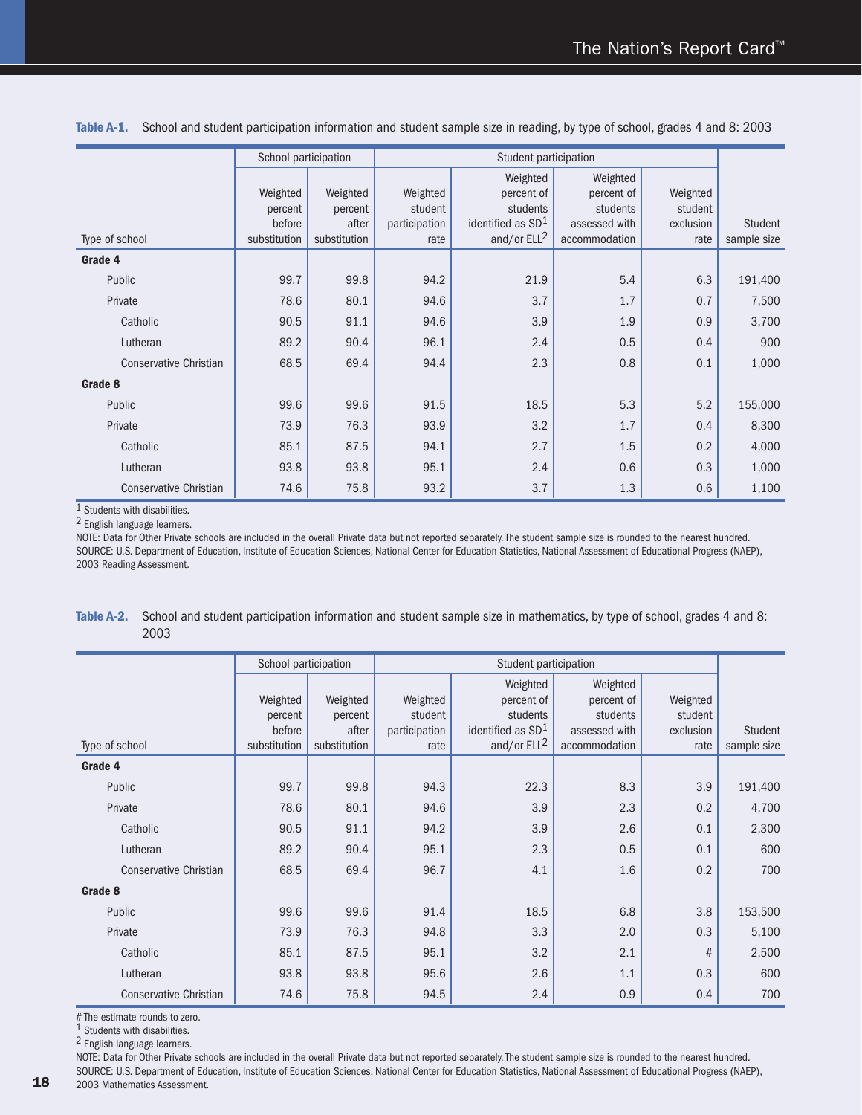|                               | School participation |              |               | Student participation         |               |           |                |
|-------------------------------|----------------------|--------------|---------------|-------------------------------|---------------|-----------|----------------|
|                               |                      |              |               | Weighted                      | Weighted      |           |                |
|                               | Weighted             | Weighted     | Weighted      | percent of                    | percent of    | Weighted  |                |
|                               | percent              | percent      | student       | students                      | students      | student   |                |
|                               | before               | after        | participation | identified as SD <sup>1</sup> | assessed with | exclusion | <b>Student</b> |
| Type of school                | substitution         | substitution | rate          | and/or ELL <sup>2</sup>       | accommodation | rate      | sample size    |
| Grade 4                       |                      |              |               |                               |               |           |                |
| Public                        | 99.7                 | 99.8         | 94.2          | 21.9                          | 5.4           | 6.3       | 191,400        |
| Private                       | 78.6                 | 80.1         | 94.6          | 3.7                           | 1.7           | 0.7       | 7,500          |
| Catholic                      | 90.5                 | 91.1         | 94.6          | 3.9                           | 1.9           | 0.9       | 3,700          |
| Lutheran                      | 89.2                 | 90.4         | 96.1          | 2.4                           | 0.5           | 0.4       | 900            |
| <b>Conservative Christian</b> | 68.5                 | 69.4         | 94.4          | 2.3                           | 0.8           | 0.1       | 1,000          |
| Grade 8                       |                      |              |               |                               |               |           |                |
| Public                        | 99.6                 | 99.6         | 91.5          | 18.5                          | 5.3           | 5.2       | 155,000        |
| Private                       | 73.9                 | 76.3         | 93.9          | 3.2                           | 1.7           | 0.4       | 8,300          |
| Catholic                      | 85.1                 | 87.5         | 94.1          | 2.7                           | 1.5           | 0.2       | 4,000          |
| Lutheran                      | 93.8                 | 93.8         | 95.1          | 2.4                           | 0.6           | 0.3       | 1,000          |
| <b>Conservative Christian</b> | 74.6                 | 75.8         | 93.2          | 3.7                           | 1.3           | 0.6       | 1,100          |

**Table A-1.** School and student participation information and student sample size in reading, by type of school, grades 4 and 8: 2003

1 Students with disabilities.

2 English language learners.

NOTE: Data for Other Private schools are included in the overall Private data but not reported separately. The student sample size is rounded to the nearest hundred. SOURCE: U.S. Department of Education, Institute of Education Sciences, National Center for Education Statistics, National Assessment of Educational Progress (NAEP), 2003 Reading Assessment.

| Table A-2. School and student participation information and student sample size in mathematics, by type of school, grades 4 and 8: |
|------------------------------------------------------------------------------------------------------------------------------------|
| 2003                                                                                                                               |

|                               | School participation                          |                                              |                                              | Student participation                                                                 |                                                                      |                                          |                        |
|-------------------------------|-----------------------------------------------|----------------------------------------------|----------------------------------------------|---------------------------------------------------------------------------------------|----------------------------------------------------------------------|------------------------------------------|------------------------|
| Type of school                | Weighted<br>percent<br>before<br>substitution | Weighted<br>percent<br>after<br>substitution | Weighted<br>student<br>participation<br>rate | Weighted<br>percent of<br>students<br>identified as SD <sup>1</sup><br>and/or $ELL^2$ | Weighted<br>percent of<br>students<br>assessed with<br>accommodation | Weighted<br>student<br>exclusion<br>rate | Student<br>sample size |
| Grade 4                       |                                               |                                              |                                              |                                                                                       |                                                                      |                                          |                        |
| Public                        | 99.7                                          | 99.8                                         | 94.3                                         | 22.3                                                                                  | 8.3                                                                  | 3.9                                      | 191,400                |
| Private                       | 78.6                                          | 80.1                                         | 94.6                                         | 3.9                                                                                   | 2.3                                                                  | 0.2                                      | 4,700                  |
| Catholic                      | 90.5                                          | 91.1                                         | 94.2                                         | 3.9                                                                                   | 2.6                                                                  | 0.1                                      | 2,300                  |
| Lutheran                      | 89.2                                          | 90.4                                         | 95.1                                         | 2.3                                                                                   | 0.5                                                                  | 0.1                                      | 600                    |
| <b>Conservative Christian</b> | 68.5                                          | 69.4                                         | 96.7                                         | 4.1                                                                                   | 1.6                                                                  | 0.2                                      | 700                    |
| Grade 8                       |                                               |                                              |                                              |                                                                                       |                                                                      |                                          |                        |
| Public                        | 99.6                                          | 99.6                                         | 91.4                                         | 18.5                                                                                  | 6.8                                                                  | 3.8                                      | 153,500                |
| Private                       | 73.9                                          | 76.3                                         | 94.8                                         | 3.3                                                                                   | 2.0                                                                  | 0.3                                      | 5,100                  |
| Catholic                      | 85.1                                          | 87.5                                         | 95.1                                         | 3.2                                                                                   | 2.1                                                                  | #                                        | 2,500                  |
| Lutheran                      | 93.8                                          | 93.8                                         | 95.6                                         | 2.6                                                                                   | 1.1                                                                  | 0.3                                      | 600                    |
| <b>Conservative Christian</b> | 74.6                                          | 75.8                                         | 94.5                                         | 2.4                                                                                   | 0.9                                                                  | 0.4                                      | 700                    |

# The estimate rounds to zero.

1 Students with disabilities.

2 English language learners.

NOTE: Data for Other Private schools are included in the overall Private data but not reported separately. The student sample size is rounded to the nearest hundred.

SOURCE: U.S. Department of Education, Institute of Education Sciences, National Center for Education Statistics, National Assessment of Educational Progress (NAEP),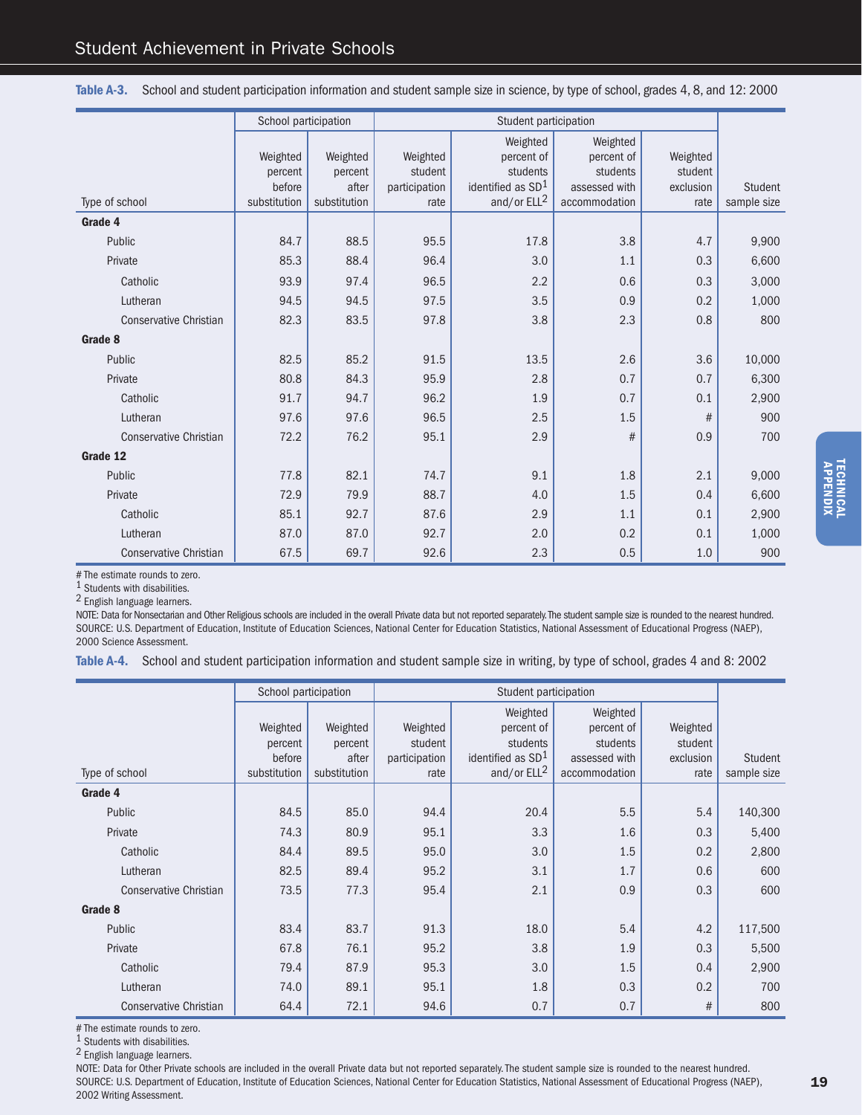|                               | School participation |              |               | Student participation         |               |           |             |
|-------------------------------|----------------------|--------------|---------------|-------------------------------|---------------|-----------|-------------|
|                               |                      |              |               | Weighted                      | Weighted      |           |             |
|                               | Weighted             | Weighted     | Weighted      | percent of                    | percent of    | Weighted  |             |
|                               | percent              | percent      | student       | students                      | students      | student   |             |
|                               | before               | after        | participation | identified as SD <sup>1</sup> | assessed with | exclusion | Student     |
| Type of school                | substitution         | substitution | rate          | and/or $ELL^2$                | accommodation | rate      | sample size |
| Grade 4                       |                      |              |               |                               |               |           |             |
| Public                        | 84.7                 | 88.5         | 95.5          | 17.8                          | 3.8           | 4.7       | 9,900       |
| Private                       | 85.3                 | 88.4         | 96.4          | 3.0                           | 1.1           | 0.3       | 6,600       |
| Catholic                      | 93.9                 | 97.4         | 96.5          | 2.2                           | 0.6           | 0.3       | 3,000       |
| Lutheran                      | 94.5                 | 94.5         | 97.5          | 3.5                           | 0.9           | 0.2       | 1,000       |
| <b>Conservative Christian</b> | 82.3                 | 83.5         | 97.8          | 3.8                           | 2.3           | 0.8       | 800         |
| Grade 8                       |                      |              |               |                               |               |           |             |
| Public                        | 82.5                 | 85.2         | 91.5          | 13.5                          | 2.6           | 3.6       | 10,000      |
| Private                       | 80.8                 | 84.3         | 95.9          | 2.8                           | 0.7           | 0.7       | 6,300       |
| Catholic                      | 91.7                 | 94.7         | 96.2          | 1.9                           | 0.7           | 0.1       | 2,900       |
| Lutheran                      | 97.6                 | 97.6         | 96.5          | 2.5                           | 1.5           | #         | 900         |
| <b>Conservative Christian</b> | 72.2                 | 76.2         | 95.1          | 2.9                           | #             | 0.9       | 700         |
| Grade 12                      |                      |              |               |                               |               |           |             |
| Public                        | 77.8                 | 82.1         | 74.7          | 9.1                           | 1.8           | 2.1       | 9,000       |
| Private                       | 72.9                 | 79.9         | 88.7          | 4.0                           | 1.5           | 0.4       | 6,600       |
| Catholic                      | 85.1                 | 92.7         | 87.6          | 2.9                           | 1.1           | 0.1       | 2,900       |
| Lutheran                      | 87.0                 | 87.0         | 92.7          | 2.0                           | 0.2           | 0.1       | 1,000       |
| <b>Conservative Christian</b> | 67.5                 | 69.7         | 92.6          | 2.3                           | 0.5           | 1.0       | 900         |

**Table A-3.** School and student participation information and student sample size in science, by type of school, grades 4, 8, and 12: 2000

# The estimate rounds to zero.

1 Students with disabilities.

2 English language learners.

NOTE: Data for Nonsectarian and Other Religious schools are included in the overall Private data but not reported separately. The student sample size is rounded to the nearest hundred. SOURCE: U.S. Department of Education, Institute of Education Sciences, National Center for Education Statistics, National Assessment of Educational Progress (NAEP), 2000 Science Assessment.

| Table A-4. School and student participation information and student sample size in writing, by type of school, grades 4 and 8: 2002 |  |  |  |  |
|-------------------------------------------------------------------------------------------------------------------------------------|--|--|--|--|
|-------------------------------------------------------------------------------------------------------------------------------------|--|--|--|--|

|                               | School participation |              |               | Student participation         |               |           |                |
|-------------------------------|----------------------|--------------|---------------|-------------------------------|---------------|-----------|----------------|
|                               |                      |              |               | Weighted                      | Weighted      |           |                |
|                               | Weighted             | Weighted     | Weighted      | percent of                    | percent of    | Weighted  |                |
|                               | percent              | percent      | student       | students                      | students      | student   |                |
|                               | before               | after        | participation | identified as SD <sup>1</sup> | assessed with | exclusion | <b>Student</b> |
| Type of school                | substitution         | substitution | rate          | and/or ELL <sup>2</sup>       | accommodation | rate      | sample size    |
| Grade 4                       |                      |              |               |                               |               |           |                |
| Public                        | 84.5                 | 85.0         | 94.4          | 20.4                          | 5.5           | 5.4       | 140,300        |
| Private                       | 74.3                 | 80.9         | 95.1          | 3.3                           | 1.6           | 0.3       | 5,400          |
| Catholic                      | 84.4                 | 89.5         | 95.0          | 3.0                           | 1.5           | 0.2       | 2,800          |
| Lutheran                      | 82.5                 | 89.4         | 95.2          | 3.1                           | 1.7           | 0.6       | 600            |
| <b>Conservative Christian</b> | 73.5                 | 77.3         | 95.4          | 2.1                           | 0.9           | 0.3       | 600            |
| Grade 8                       |                      |              |               |                               |               |           |                |
| Public                        | 83.4                 | 83.7         | 91.3          | 18.0                          | 5.4           | 4.2       | 117,500        |
| Private                       | 67.8                 | 76.1         | 95.2          | 3.8                           | 1.9           | 0.3       | 5,500          |
| Catholic                      | 79.4                 | 87.9         | 95.3          | 3.0                           | 1.5           | 0.4       | 2,900          |
| Lutheran                      | 74.0                 | 89.1         | 95.1          | 1.8                           | 0.3           | 0.2       | 700            |
| <b>Conservative Christian</b> | 64.4                 | 72.1         | 94.6          | 0.7                           | 0.7           | #         | 800            |

# The estimate rounds to zero.

1 Students with disabilities.

2 English language learners.

NOTE: Data for Other Private schools are included in the overall Private data but not reported separately. The student sample size is rounded to the nearest hundred. SOURCE: U.S. Department of Education, Institute of Education Sciences, National Center for Education Statistics, National Assessment of Educational Progress (NAEP), 2002 Writing Assessment.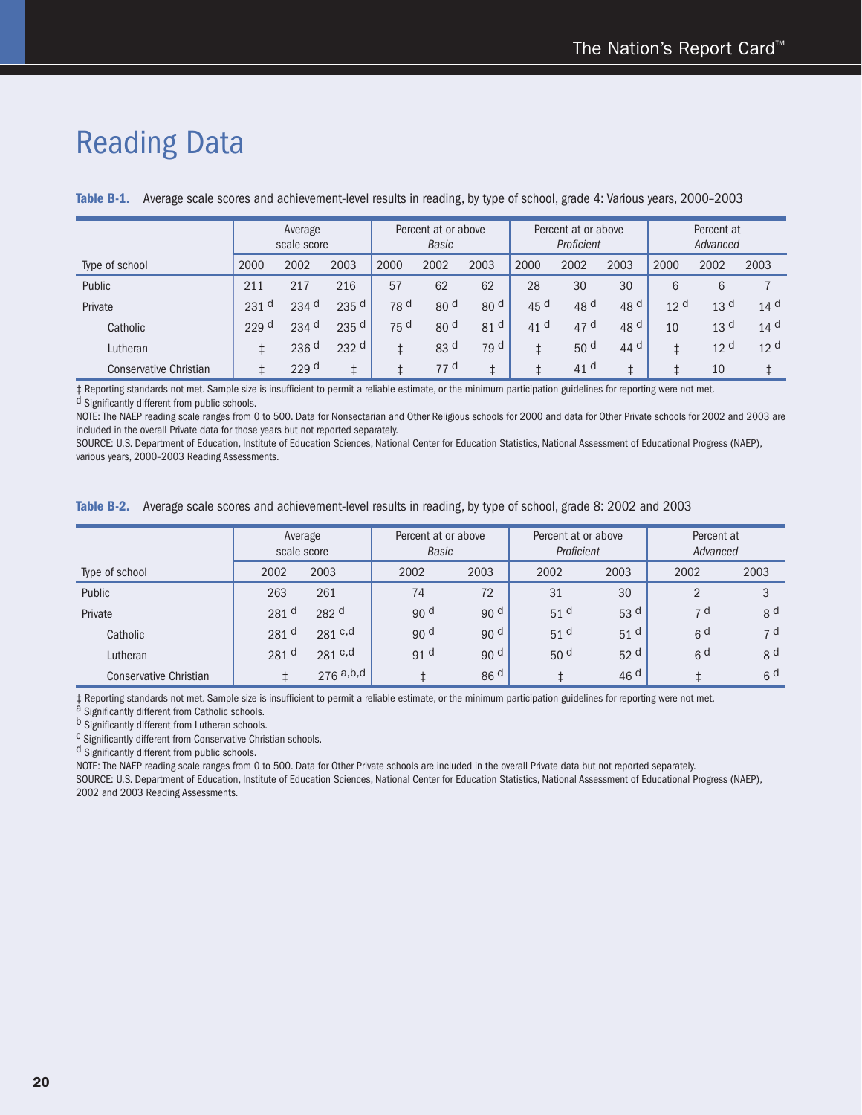### Reading Data

|                               | Average<br>scale score |                    |                  |                 | Percent at or above<br><b>Basic</b> |                 |                 | Percent at or above<br>Proficient |                 | Percent at<br>Advanced |                 |                 |
|-------------------------------|------------------------|--------------------|------------------|-----------------|-------------------------------------|-----------------|-----------------|-----------------------------------|-----------------|------------------------|-----------------|-----------------|
| Type of school                | 2000                   | 2002               | 2003             | 2000            | 2002                                | 2003            | 2000            | 2002                              | 2003            | 2000                   | 2002            | 2003            |
| Public                        | 211                    | 217                | 216              | 57              | 62                                  | 62              | 28              | 30                                | 30              | 6                      | 6               |                 |
| Private                       | 231<br>d               | $234$ d            | 235 <sup>d</sup> | 78 d            | 80 <sup>d</sup>                     | 80 <sup>d</sup> | 45 <sup>d</sup> | 48 d                              | 48 <sup>d</sup> | 12 <sup>d</sup>        | 13 <sup>d</sup> | 14 <sup>d</sup> |
| Catholic                      | 229 <sup>d</sup>       | $234$ <sup>d</sup> | 235 <sup>d</sup> | 75 <sup>d</sup> | 80 <sup>d</sup>                     | 81 <sup>d</sup> | 41 $d$          | 47 d                              | 48 <sup>d</sup> | 10                     | 13 <sup>d</sup> | 14 <sup>d</sup> |
| Lutheran                      |                        | 236 <sup>d</sup>   | 232 <sup>d</sup> |                 | 83 <sup>d</sup>                     | 79 d            |                 | 50 <sup>d</sup>                   | 44 $d$          |                        | 12 <sup>d</sup> | 12 <sup>d</sup> |
| <b>Conservative Christian</b> |                        | 229 <sup>d</sup>   |                  |                 | 77 <sup>d</sup>                     |                 |                 | 41 $d$                            |                 |                        | 10              |                 |

**Table B-1.** Average scale scores and achievement-level results in reading, by type of school, grade 4: Various years, 2000–2003

 $\ddagger$  Reporting standards not met. Sample size is insufficient to permit a reliable estimate, or the minimum participation guidelines for reporting were not met. d Significantly different from public schools.

NOTE: The NAEP reading scale ranges from 0 to 500. Data for Nonsectarian and Other Religious schools for 2000 and data for Other Private schools for 2002 and 2003 are included in the overall Private data for those years but not reported separately.

SOURCE: U.S. Department of Education, Institute of Education Sciences, National Center for Education Statistics, National Assessment of Educational Progress (NAEP), various years, 2000–2003 Reading Assessments.

| Average scale scores and achievement-level results in reading, by type of school, grade 8: 2002 and 2003<br>Table B-2. |  |  |  |  |  |  |  |
|------------------------------------------------------------------------------------------------------------------------|--|--|--|--|--|--|--|
|------------------------------------------------------------------------------------------------------------------------|--|--|--|--|--|--|--|

|                               | Average<br>scale score |                  | Percent at or above<br><b>Basic</b> |                 | Percent at or above<br>Proficient |                 | Percent at<br>Advanced |                |
|-------------------------------|------------------------|------------------|-------------------------------------|-----------------|-----------------------------------|-----------------|------------------------|----------------|
| Type of school                | 2002                   | 2003             | 2002                                | 2003            | 2002                              | 2003            | 2002                   | 2003           |
| Public                        | 263                    | 261              | 74                                  | 72              | 31                                | 30              |                        | 3              |
| Private                       | 281 <sup>d</sup>       | 282 <sup>d</sup> | 90 <sup>d</sup>                     | 90 <sup>d</sup> | 51 <sup>d</sup>                   | 53 <sup>d</sup> | 7 d                    | g d            |
| Catholic                      | 281 <sup>d</sup>       | 281 c,d          | 90 <sup>d</sup>                     | 90 <sup>d</sup> | 51 <sup>d</sup>                   | 51 <sup>d</sup> | 6 <sup>d</sup>         | 7 d            |
| Lutheran                      | 281 d                  | 281 c,d          | 91 <sup>d</sup>                     | 90 <sup>d</sup> | 50 <sup>d</sup>                   | 52 <sup>d</sup> | 6 <sup>d</sup>         | 8 <sup>d</sup> |
| <b>Conservative Christian</b> |                        | $276$ a,b,d      |                                     | 86 <sup>d</sup> |                                   | 46 <sup>d</sup> |                        | 6 <sup>d</sup> |

 $\ddagger$  Reporting standards not met. Sample size is insufficient to permit a reliable estimate, or the minimum participation guidelines for reporting were not met. a Significantly different from Catholic schools. b Signific

 $c$  Significantly different from Conservative Christian schools.

d Significantly different from public schools.

NOTE: The NAEP reading scale ranges from 0 to 500. Data for Other Private schools are included in the overall Private data but not reported separately.

SOURCE: U.S. Department of Education, Institute of Education Sciences, National Center for Education Statistics, National Assessment of Educational Progress (NAEP), 2002 and 2003 Reading Assessments.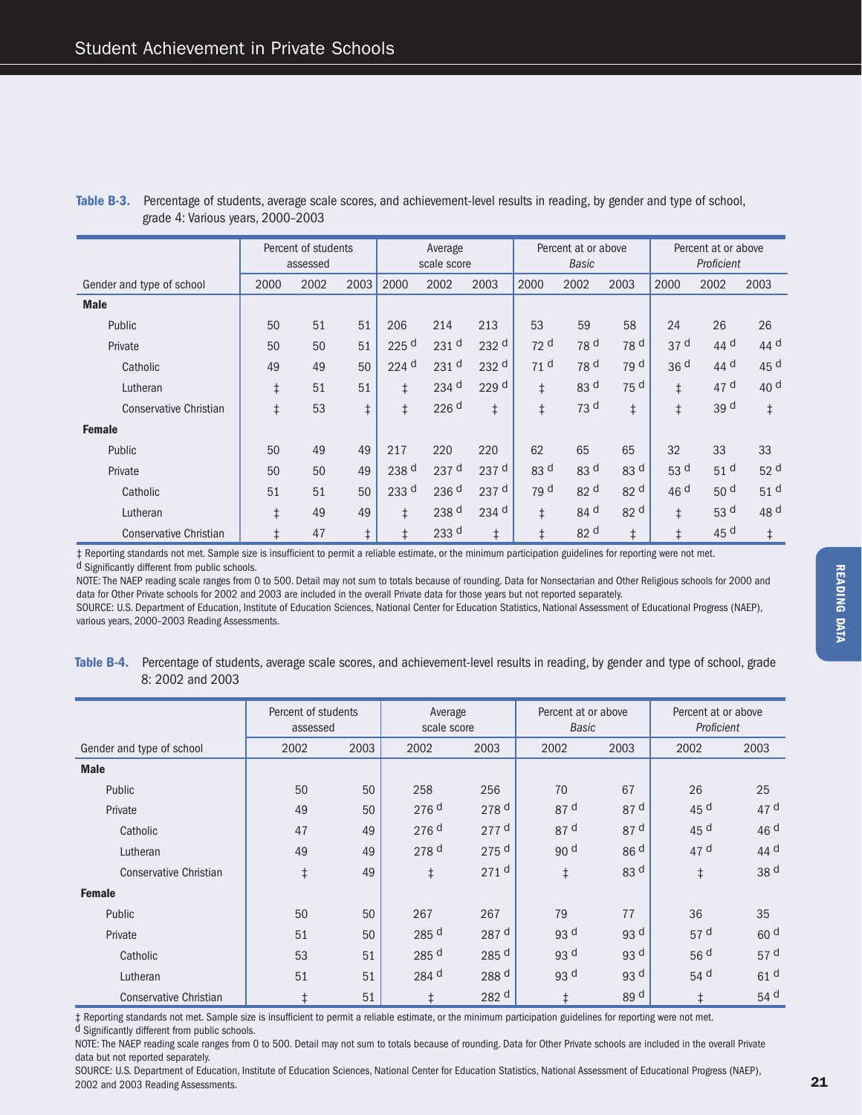|                               |            | Percent of students<br>assessed |            |                    | Average<br>scale score |                  |                 | Percent at or above<br>Basic |                 |                 | Percent at or above<br>Proficient |                 |
|-------------------------------|------------|---------------------------------|------------|--------------------|------------------------|------------------|-----------------|------------------------------|-----------------|-----------------|-----------------------------------|-----------------|
| Gender and type of school     | 2000       | 2002                            | 2003       | 2000               | 2002                   | 2003             | 2000            | 2002                         | 2003            | 2000            | 2002                              | 2003            |
| <b>Male</b>                   |            |                                 |            |                    |                        |                  |                 |                              |                 |                 |                                   |                 |
| Public                        | 50         | 51                              | 51         | 206                | 214                    | 213              | 53              | 59                           | 58              | 24              | 26                                | 26              |
| Private                       | 50         | 50                              | 51         | 225 <sup>d</sup>   | 231 <sup>d</sup>       | 232 <sup>d</sup> | 72 <sup>d</sup> | 78 <sup>d</sup>              | 78 <sup>d</sup> | 37 <sup>d</sup> | 44 <sup>d</sup>                   | 44 d            |
| Catholic                      | 49         | 49                              | 50         | $224$ <sup>d</sup> | 231 <sup>d</sup>       | 232 <sup>d</sup> | 71 <sup>d</sup> | 78 <sup>d</sup>              | 79 d            | 36 <sup>d</sup> | 44 $d$                            | 45 d            |
| Lutheran                      | $\ddagger$ | 51                              | 51         | $\ddagger$         | $234$ <sup>d</sup>     | 229 d            | $\ddagger$      | 83 d                         | 75 d            | $\ddagger$      | 47 d                              | 40 <sup>d</sup> |
| <b>Conservative Christian</b> | $\ddagger$ | 53                              | $\ddagger$ | $\ddagger$         | 226 <sup>d</sup>       | $\ddagger$       | $\ddagger$      | 73 d                         | $\ddagger$      | $\ddagger$      | 39 d                              | $\ddagger$      |
| <b>Female</b>                 |            |                                 |            |                    |                        |                  |                 |                              |                 |                 |                                   |                 |
| Public                        | 50         | 49                              | 49         | 217                | 220                    | 220              | 62              | 65                           | 65              | 32              | 33                                | 33              |
| Private                       | 50         | 50                              | 49         | 238 <sup>d</sup>   | 237 <sup>d</sup>       | 237 <sup>d</sup> | 83 d            | 83 d                         | 83 <sup>d</sup> | 53 d            | 51 <sup>d</sup>                   | 52 <sup>d</sup> |
| Catholic                      | 51         | 51                              | 50         | 233 <sup>d</sup>   | 236 <sup>d</sup>       | 237 <sup>d</sup> | 79 d            | 82 d                         | 82 <sup>d</sup> | 46 <sup>d</sup> | 50 <sup>d</sup>                   | 51 <sup>d</sup> |
| Lutheran                      | $\ddagger$ | 49                              | 49         | $\ddagger$         | 238 d                  | $234$ d          | $\ddagger$      | 84 d                         | 82 d            | $\ddagger$      | 53 d                              | 48 d            |
| <b>Conservative Christian</b> | $\ddagger$ | 47                              | $\ddagger$ | $\ddagger$         | 233 <sup>d</sup>       | $\ddagger$       | $\ddagger$      | 82 d                         | $\ddagger$      | $\ddagger$      | 45 d                              | $\ddagger$      |

#### **Table B-3.** Percentage of students, average scale scores, and achievement-level results in reading, by gender and type of school, grade 4: Various years, 2000–2003

 $\ddagger$  Reporting standards not met. Sample size is insufficient to permit a reliable estimate, or the minimum participation guidelines for reporting were not met. d Significantly different from public schools.

NOTE: The NAEP reading scale ranges from 0 to 500. Detail may not sum to totals because of rounding. Data for Nonsectarian and Other Religious schools for 2000 and data for Other Private schools for 2002 and 2003 are included in the overall Private data for those years but not reported separately.

SOURCE: U.S. Department of Education, Institute of Education Sciences, National Center for Education Statistics, National Assessment of Educational Progress (NAEP), various years, 2000–2003 Reading Assessments.

**Table B-4.** Percentage of students, average scale scores, and achievement-level results in reading, by gender and type of school, grade 8: 2002 and 2003

|                               | Percent of students<br>assessed |      | Average<br>scale score |                    | Percent at or above<br><b>Basic</b> |                 | Percent at or above<br>Proficient |                 |
|-------------------------------|---------------------------------|------|------------------------|--------------------|-------------------------------------|-----------------|-----------------------------------|-----------------|
| Gender and type of school     | 2002                            | 2003 | 2002                   | 2003               | 2002                                | 2003            | 2002                              | 2003            |
| <b>Male</b>                   |                                 |      |                        |                    |                                     |                 |                                   |                 |
| Public                        | 50                              | 50   | 258                    | 256                | 70                                  | 67              | 26                                | 25              |
| Private                       | 49                              | 50   | 276 <sup>d</sup>       | 278 <sup>d</sup>   | 87 d                                | 87 <sup>d</sup> | 45 d                              | 47 <sup>d</sup> |
| Catholic                      | 47                              | 49   | 276 d                  | $277$ d            | 87 d                                | 87 <sup>d</sup> | 45 d                              | 46 <sup>d</sup> |
| Lutheran                      | 49                              | 49   | 278 <sup>d</sup>       | $275$ <sup>d</sup> | 90 d                                | 86 <sup>d</sup> | 47 <sup>d</sup>                   | 44 d            |
| <b>Conservative Christian</b> | $\ddagger$                      | 49   | $\ddagger$             | 271 <sup>d</sup>   | $\ddagger$                          | 83 <sup>d</sup> | $\ddagger$                        | 38 d            |
| <b>Female</b>                 |                                 |      |                        |                    |                                     |                 |                                   |                 |
| Public                        | 50                              | 50   | 267                    | 267                | 79                                  | 77              | 36                                | 35              |
| Private                       | 51                              | 50   | 285 <sup>d</sup>       | 287 <sup>d</sup>   | 93 d                                | 93 <sup>d</sup> | 57 <sup>d</sup>                   | 60 <sup>d</sup> |
| Catholic                      | 53                              | 51   | 285 <sup>d</sup>       | 285 d              | 93 d                                | 93 <sup>d</sup> | 56 d                              | 57 <sup>d</sup> |
| Lutheran                      | 51                              | 51   | 284 d                  | 288 d              | 93 d                                | 93 d            | 54 d                              | 61 <sup>d</sup> |
| <b>Conservative Christian</b> | $\ddagger$                      | 51   | $\ddagger$             | 282 d              | $\ddagger$                          | 89 <sup>d</sup> | $\ddagger$                        | 54 d            |

‡ Reporting standards not met. Sample size is insufficient to permit a reliable estimate, or the minimum participation guidelines for reporting were not met.<br><sup>d</sup> Significantly different from public schools.

NOTE: The NAEP reading scale ranges from 0 to 500. Detail may not sum to totals because of rounding. Data for Other Private schools are included in the overall Private data but not reported separately.

SOURCE: U.S. Department of Education, Institute of Education Sciences, National Center for Education Statistics, National Assessment of Educational Progress (NAEP), 2002 and 2003 Reading Assessments. 21  $\sim$  21  $\sim$  21  $\sim$  21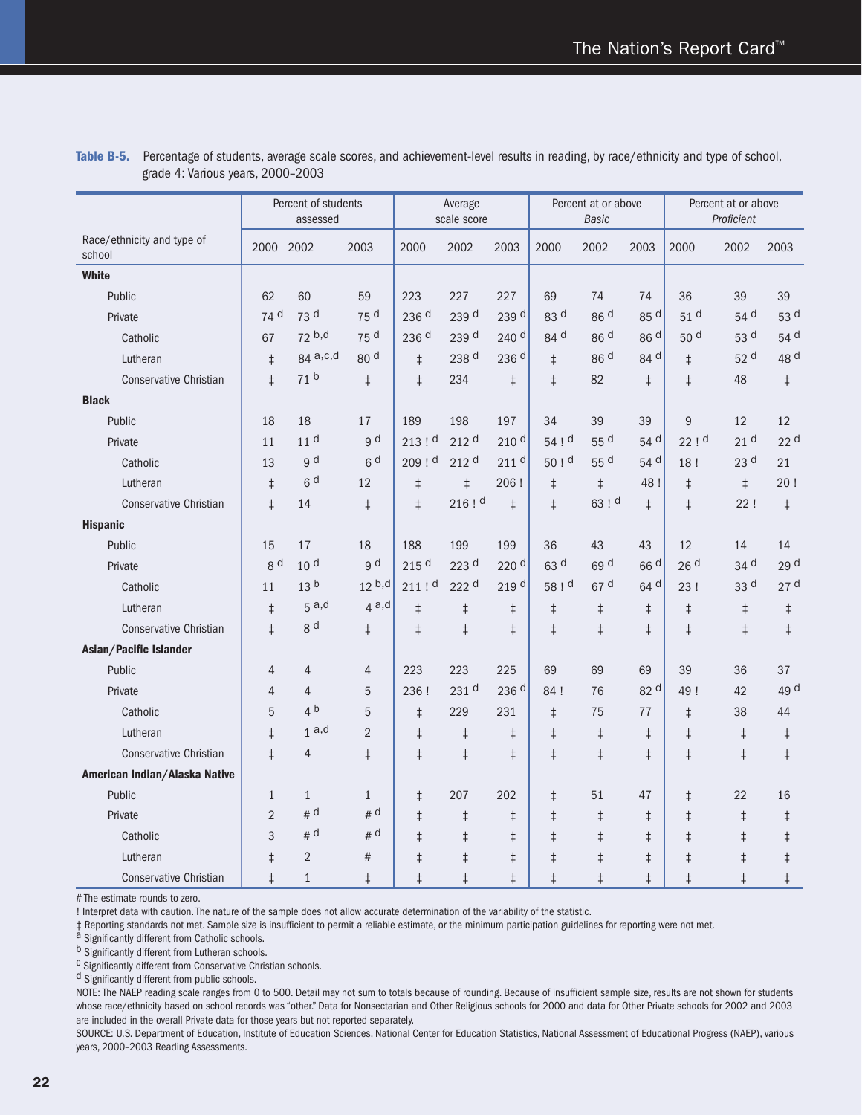|                                      |                | Percent of students<br>assessed |                   |                  | Average<br>scale score |                  |                   | Percent at or above<br><b>Basic</b> |            |                 | Percent at or above<br>Proficient |                 |
|--------------------------------------|----------------|---------------------------------|-------------------|------------------|------------------------|------------------|-------------------|-------------------------------------|------------|-----------------|-----------------------------------|-----------------|
| Race/ethnicity and type of<br>school | 2000 2002      |                                 | 2003              | 2000             | 2002                   | 2003             | 2000              | 2002                                | 2003       | 2000            | 2002                              | 2003            |
| <b>White</b>                         |                |                                 |                   |                  |                        |                  |                   |                                     |            |                 |                                   |                 |
| Public                               | 62             | 60                              | 59                | 223              | 227                    | 227              | 69                | 74                                  | 74         | 36              | 39                                | 39              |
| Private                              | 74 d           | 73 d                            | 75 d              | 236 d            | 239 d                  | 239 <sup>d</sup> | 83 d              | 86 d                                | 85 d       | 51 <sup>d</sup> | 54 d                              | 53 d            |
| Catholic                             | 67             | 72 b,d                          | 75 d              | 236 <sup>d</sup> | 239 d                  | 240 <sup>d</sup> | 84 d              | 86 d                                | 86 d       | 50 <sup>d</sup> | 53 d                              | 54 d            |
| Lutheran                             | $\ddagger$     | 84 a,c,d                        | 80 d              | $\ddagger$       | 238 d                  | 236 <sup>d</sup> | $\ddagger$        | 86 d                                | 84 d       | $\ddagger$      | 52 d                              | 48 d            |
| <b>Conservative Christian</b>        | $\ddagger$     | 71 <sup>b</sup>                 | $\ddagger$        | $\ddagger$       | 234                    | $\ddagger$       | $\ddagger$        | 82                                  | $\ddagger$ | $\ddagger$      | 48                                | $\ddagger$      |
| <b>Black</b>                         |                |                                 |                   |                  |                        |                  |                   |                                     |            |                 |                                   |                 |
| Public                               | 18             | 18                              | 17                | 189              | 198                    | 197              | 34                | 39                                  | 39         | 9               | 12                                | 12              |
| Private                              | 11             | 11 <sup>d</sup>                 | g d               | 213 ! d          | 212 d                  | 210 d            | 54 ! d            | 55 d                                | 54 d       | 22!d            | 21 <sup>d</sup>                   | 22 <sup>d</sup> |
| Catholic                             | 13             | g d                             | 6 <sup>d</sup>    | 209 ! d          | 212 <sup>d</sup>       | 211 <sup>d</sup> | 50 <sup>1 d</sup> | 55 d                                | 54 d       | 18!             | 23 d                              | 21              |
| Lutheran                             | $\ddagger$     | 6 <sup>d</sup>                  | 12                | $\ddagger$       | $\ddagger$             | 206 !            | $\ddagger$        | $\ddagger$                          | 48 !       | $\ddagger$      | $\ddagger$                        | 20!             |
| <b>Conservative Christian</b>        | $\ddagger$     | 14                              | $\ddagger$        | $\ddagger$       | 216!                   | $\ddagger$       | $\ddagger$        | 63 ! d                              | $\ddagger$ | $\ddagger$      | 22!                               | $\ddagger$      |
| <b>Hispanic</b>                      |                |                                 |                   |                  |                        |                  |                   |                                     |            |                 |                                   |                 |
| Public                               | 15             | 17                              | 18                | 188              | 199                    | 199              | 36                | 43                                  | 43         | 12              | 14                                | 14              |
| Private                              | g d            | 10 <sup>d</sup>                 | g d               | 215 d            | 223 d                  | 220 <sup>d</sup> | 63 d              | 69 d                                | 66 d       | 26 <sup>d</sup> | 34 d                              | 29 d            |
| Catholic                             | 11             | 13 <sup>b</sup>                 | 12 <sup>b,d</sup> | $211$ ! d        | 222 d                  | 219 d            | 58 ! d            | 67 d                                | 64 d       | 23!             | 33 d                              | 27 <sup>d</sup> |
| Lutheran                             | $\ddagger$     | 5a,d                            | 4a,d              | $\ddagger$       | $\ddagger$             | $\ddagger$       | $\ddagger$        | $\ddagger$                          | $\ddagger$ | $\ddagger$      | $\ddagger$                        | $\ddagger$      |
| <b>Conservative Christian</b>        | $\ddagger$     | 8 <sup>d</sup>                  | $\ddagger$        | $\ddagger$       | $\ddagger$             | $\ddagger$       | $\ddagger$        | $\ddagger$                          | $\ddagger$ | $\ddagger$      | $\ddagger$                        | $\ddagger$      |
| Asian/Pacific Islander               |                |                                 |                   |                  |                        |                  |                   |                                     |            |                 |                                   |                 |
| Public                               | 4              | $\overline{4}$                  | $\overline{4}$    | 223              | 223                    | 225              | 69                | 69                                  | 69         | 39              | 36                                | 37              |
| Private                              | $\overline{4}$ | $\overline{4}$                  | 5                 | 236 !            | 231 d                  | 236 <sup>d</sup> | 84!               | 76                                  | 82 d       | 49!             | 42                                | 49 d            |
| Catholic                             | 5              | 4 <sup>b</sup>                  | 5                 | $\ddagger$       | 229                    | 231              | $\ddagger$        | 75                                  | 77         | $\ddagger$      | 38                                | 44              |
| Lutheran                             | $\ddagger$     | 1a,d                            | $\overline{2}$    | $\ddagger$       | $\ddagger$             | $\ddagger$       | $\ddagger$        | $\ddagger$                          | $\ddagger$ | $\ddagger$      | $\ddagger$                        | $\ddagger$      |
| <b>Conservative Christian</b>        | $\ddagger$     | $\overline{4}$                  | $\ddagger$        | $\ddagger$       | $\ddagger$             | $\ddagger$       | $\ddagger$        | $\ddagger$                          | $\ddagger$ | $\ddagger$      | $\ddagger$                        | $\ddagger$      |
| American Indian/Alaska Native        |                |                                 |                   |                  |                        |                  |                   |                                     |            |                 |                                   |                 |
| Public                               | $\mathbf{1}$   | $\mathbf{1}$                    | $\mathbf{1}$      | $\ddagger$       | 207                    | 202              | $\ddagger$        | 51                                  | 47         | $\ddagger$      | 22                                | 16              |
| Private                              | $\overline{2}$ | # d                             | # d               | $\ddagger$       | $\ddagger$             | $\ddagger$       | $\ddagger$        | $\ddagger$                          | $\ddagger$ | $\ddagger$      | $\ddagger$                        | $\ddagger$      |
| Catholic                             | 3              | # d                             | # d               | $\ddagger$       | $\ddagger$             | $\ddagger$       | $\ddagger$        | $\ddagger$                          | $\ddagger$ | $\ddagger$      | $\ddagger$                        | $\ddagger$      |
| Lutheran                             | $\ddagger$     | $\overline{2}$                  | #                 | $\ddagger$       | $\ddagger$             | $\ddagger$       | $\ddagger$        | $\ddagger$                          | $\ddagger$ | $\ddagger$      | $\ddagger$                        | $\ddagger$      |
| <b>Conservative Christian</b>        | $\ddagger$     | $\mathbf{1}$                    | $\ddagger$        | $\ddagger$       | $\ddagger$             | $\ddagger$       | $\ddagger$        | $\ddagger$                          | $\ddagger$ | $\ddagger$      | $\ddagger$                        | $\ddagger$      |

**Table B-5.** Percentage of students, average scale scores, and achievement-level results in reading, by race/ethnicity and type of school, grade 4: Various years, 2000–2003

# The estimate rounds to zero.

! Interpret data with caution. The nature of the sample does not allow accurate determination of the variability of the statistic.

‡ Reporting standards not met. Sample size is insufficient to permit a reliable estimate, or the minimum participation guidelines for reporting were not met.<br><sup>a</sup> Significantly different from Catholic schools.<br><sup>b</sup> Significa

<sup>C</sup> Significantly different from Conservative Christian schools.

d Significantly different from public schools.

NOTE: The NAEP reading scale ranges from 0 to 500. Detail may not sum to totals because of rounding. Because of insufficient sample size, results are not shown for students whose race/ethnicity based on school records was "other." Data for Nonsectarian and Other Religious schools for 2000 and data for Other Private schools for 2002 and 2003 are included in the overall Private data for those years but not reported separately.

SOURCE: U.S. Department of Education, Institute of Education Sciences, National Center for Education Statistics, National Assessment of Educational Progress (NAEP), various years, 2000–2003 Reading Assessments.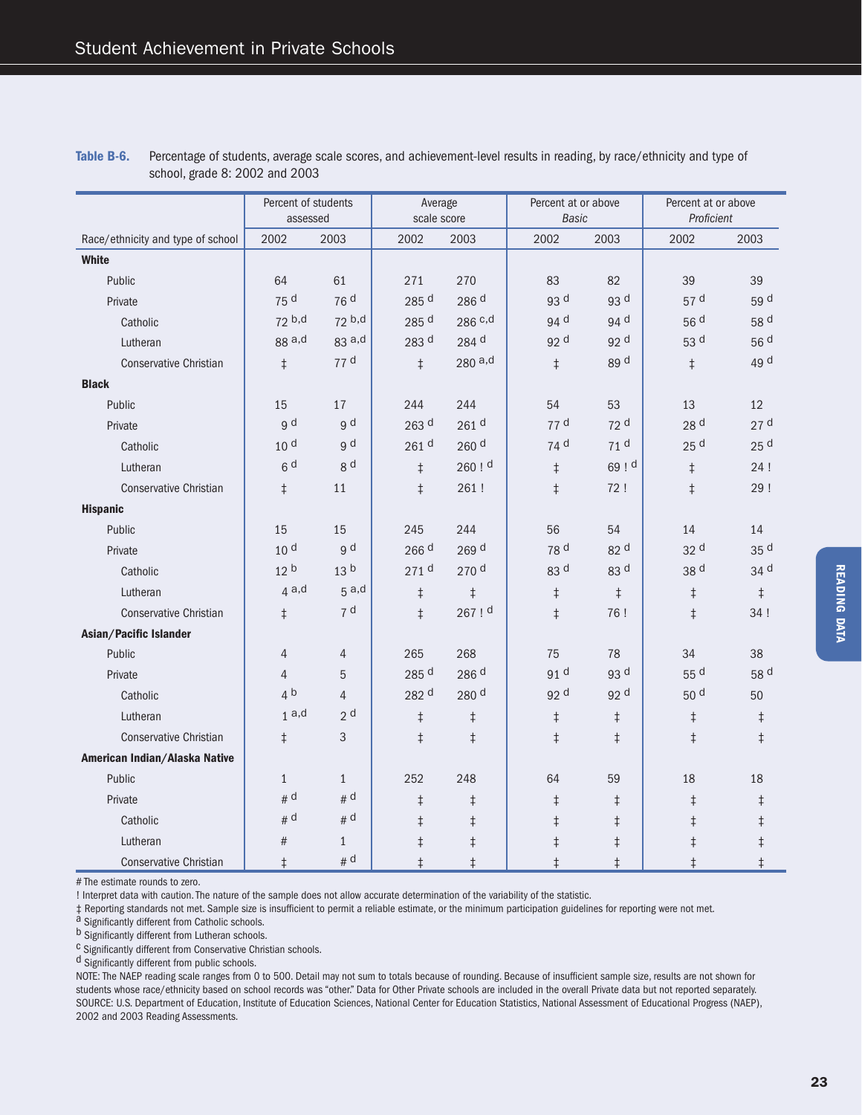|                                   | Percent of students<br>assessed |                 | Average<br>scale score |                  | Percent at or above<br>Basic |                 | Percent at or above<br>Proficient |                 |
|-----------------------------------|---------------------------------|-----------------|------------------------|------------------|------------------------------|-----------------|-----------------------------------|-----------------|
| Race/ethnicity and type of school | 2002                            | 2003            | 2002                   | 2003             | 2002                         | 2003            | 2002                              | 2003            |
| <b>White</b>                      |                                 |                 |                        |                  |                              |                 |                                   |                 |
| Public                            | 64                              | 61              | 271                    | 270              | 83                           | 82              | 39                                | 39              |
| Private                           | 75 d                            | 76d             | 285 <sup>d</sup>       | 286 d            | 93 <sup>d</sup>              | 93 d            | 57 <sup>d</sup>                   | 59 d            |
| Catholic                          | 72 b,d                          | 72 b,d          | 285 d                  | 286 c,d          | 94 d                         | 94 d            | 56 <sup>d</sup>                   | 58 d            |
| Lutheran                          | 88 a,d                          | $83$ a,d        | 283 d                  | 284 d            | 92 <sup>d</sup>              | 92 <sup>d</sup> | 53 <sup>d</sup>                   | 56 d            |
| <b>Conservative Christian</b>     | $\ddagger$                      | 77d             | $\ddagger$             | 280a,d           | $\ddagger$                   | 89 d            | $\ddagger$                        | 49 d            |
| <b>Black</b>                      |                                 |                 |                        |                  |                              |                 |                                   |                 |
| Public                            | 15                              | 17              | 244                    | 244              | 54                           | 53              | 13                                | 12              |
| Private                           | g d                             | g d             | 263 <sup>d</sup>       | 261 <sup>d</sup> | 77 d                         | 72 <sup>d</sup> | 28 <sup>d</sup>                   | 27 <sup>d</sup> |
| Catholic                          | 10 <sup>d</sup>                 | g d             | 261 d                  | 260 <sup>d</sup> | 74 <sup>d</sup>              | 71 <sup>d</sup> | 25 <sup>d</sup>                   | 25 <sup>d</sup> |
| Lutheran                          | 6 <sup>d</sup>                  | g d             | $\ddagger$             | 260!             | $\ddagger$                   | 69 ! d          | $\ddagger$                        | 24!             |
| <b>Conservative Christian</b>     | $\ddagger$                      | 11              | $\ddagger$             | 261!             | $\ddagger$                   | 72!             | $\ddagger$                        | 29!             |
| <b>Hispanic</b>                   |                                 |                 |                        |                  |                              |                 |                                   |                 |
| Public                            | 15                              | 15              | 245                    | 244              | 56                           | 54              | 14                                | 14              |
| Private                           | 10 <sup>d</sup>                 | g d             | 266 <sup>d</sup>       | 269 d            | 78 d                         | 82 d            | 32 d                              | 35 d            |
| Catholic                          | 12 <sup>b</sup>                 | 13 <sup>b</sup> | 271 <sup>d</sup>       | 270 <sup>d</sup> | 83 d                         | 83 d            | 38 d                              | 34 d            |
| Lutheran                          | 4a,d                            | 5a,d            | $\ddagger$             | $\ddagger$       | $\ddagger$                   | $\ddagger$      | $\ddagger$                        | $\ddagger$      |
| <b>Conservative Christian</b>     | $\ddagger$                      | 7 <sup>d</sup>  | $\ddagger$             | 267!             | $\ddagger$                   | 76!             | $\ddagger$                        | 34 !            |
| Asian/Pacific Islander            |                                 |                 |                        |                  |                              |                 |                                   |                 |
| Public                            | $\overline{4}$                  | 4               | 265                    | 268              | 75                           | 78              | 34                                | 38              |
| Private                           | $\overline{4}$                  | 5               | 285 d                  | 286 <sup>d</sup> | 91 <sup>d</sup>              | 93 d            | 55 d                              | 58 d            |
| Catholic                          | 4 <sup>b</sup>                  | $\overline{4}$  | 282 d                  | 280 d            | 92 d                         | 92 <sup>d</sup> | 50 <sup>d</sup>                   | 50              |
| Lutheran                          | 1a,d                            | 2 <sup>d</sup>  | $\ddagger$             | $\ddagger$       | $\ddagger$                   | $\ddagger$      | $\ddagger$                        | $\ddagger$      |
| <b>Conservative Christian</b>     | $\ddagger$                      | 3               | $\ddagger$             | $\ddagger$       | $\ddagger$                   | $\ddagger$      | $\ddagger$                        | $\ddagger$      |
| American Indian/Alaska Native     |                                 |                 |                        |                  |                              |                 |                                   |                 |
| Public                            | $\mathbf{1}$                    | $\mathbf{1}$    | 252                    | 248              | 64                           | 59              | 18                                | 18              |
| Private                           | # d                             | # d             | $\ddagger$             | $\ddagger$       | ŧ                            | $\ddagger$      | $\ddagger$                        | $\ddagger$      |
| Catholic                          | # d                             | # d             | $\ddagger$             | $\ddagger$       | $\ddagger$                   | $\ddagger$      | $\ddagger$                        | $\ddagger$      |
| Lutheran                          | $\#$                            | $\mathbf{1}$    | $\ddagger$             | $\ddagger$       | $\ddagger$                   | $\ddagger$      | $\ddagger$                        | $\ddagger$      |
| <b>Conservative Christian</b>     | $\ddagger$                      | # d             | $\ddagger$             | $\ddagger$       | $\ddagger$                   | $\ddagger$      | $\ddagger$                        | $\ddagger$      |

**Table B-6.** Percentage of students, average scale scores, and achievement-level results in reading, by race/ethnicity and type of school, grade 8: 2002 and 2003

# The estimate rounds to zero.

! Interpret data with caution. The nature of the sample does not allow accurate determination of the variability of the statistic.

‡ Reporting standards not met. Sample size is insufficient to permit a reliable estimate, or the minimum participation guidelines for reporting were not met.<br>a Significantly different from Catholic schools.<br>b Significantly

 $c$  Significantly different from Conservative Christian schools.

d Significantly different from public schools.

NOTE: The NAEP reading scale ranges from 0 to 500. Detail may not sum to totals because of rounding. Because of insufficient sample size, results are not shown for students whose race/ethnicity based on school records was "other." Data for Other Private schools are included in the overall Private data but not reported separately. SOURCE: U.S. Department of Education, Institute of Education Sciences, National Center for Education Statistics, National Assessment of Educational Progress (NAEP), 2002 and 2003 Reading Assessments.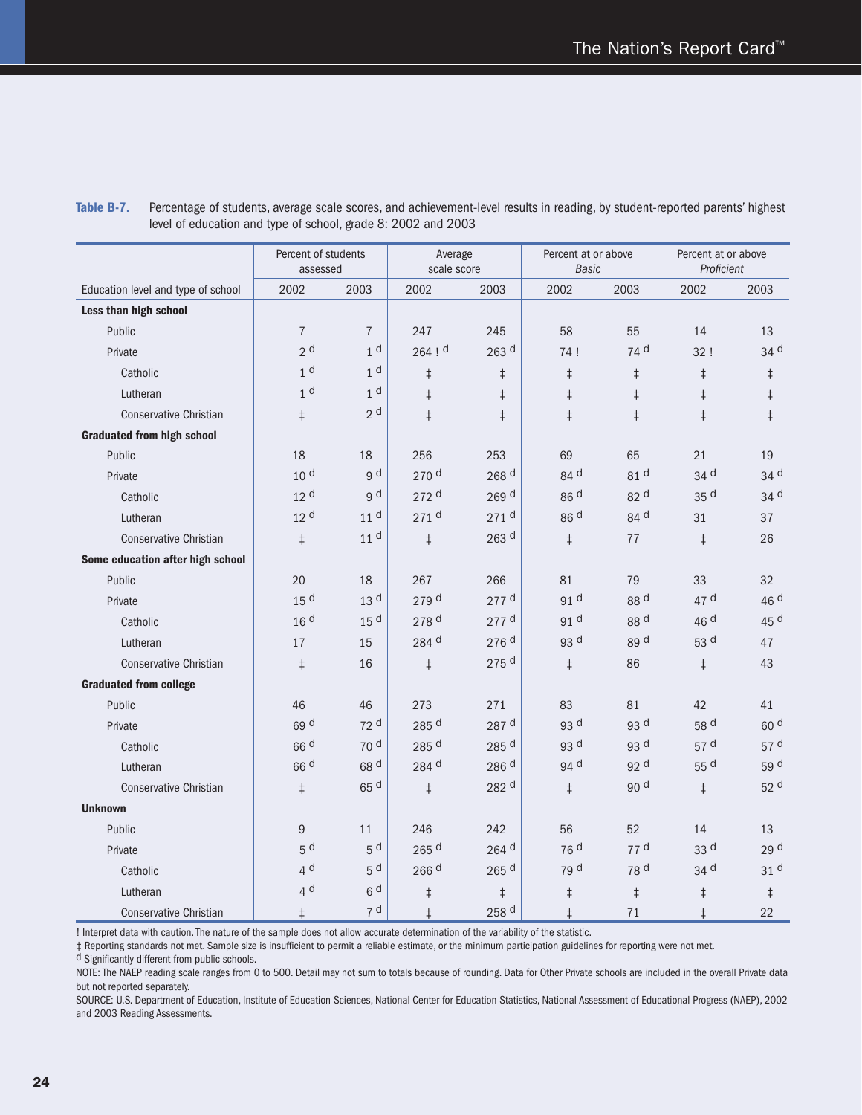|                                    | Percent of students<br>assessed |                 | Average<br>scale score |                    | Percent at or above<br>Basic |                 | Percent at or above<br>Proficient |                 |
|------------------------------------|---------------------------------|-----------------|------------------------|--------------------|------------------------------|-----------------|-----------------------------------|-----------------|
| Education level and type of school | 2002                            | 2003            | 2002                   | 2003               | 2002                         | 2003            | 2002                              | 2003            |
| Less than high school              |                                 |                 |                        |                    |                              |                 |                                   |                 |
| Public                             | $\overline{7}$                  | $\overline{7}$  | 247                    | 245                | 58                           | 55              | 14                                | 13              |
| Private                            | 2 <sup>d</sup>                  | 1 <sup>d</sup>  | 264!                   | 263 <sup>d</sup>   | 74!                          | 74 <sup>d</sup> | 32!                               | 34 d            |
| Catholic                           | 1 <sup>d</sup>                  | 1 <sup>d</sup>  | $\ddagger$             | $\ddagger$         | $\ddagger$                   | $\ddagger$      | $\ddagger$                        | $\ddagger$      |
| Lutheran                           | 1 <sup>d</sup>                  | 1 <sup>d</sup>  | $\ddagger$             | $\ddagger$         | $\ddagger$                   | $\ddagger$      | $\ddagger$                        | $\ddagger$      |
| <b>Conservative Christian</b>      | $\ddagger$                      | 2 <sup>d</sup>  | $\ddagger$             | $\ddagger$         | $\ddagger$                   | $\ddagger$      | $\ddagger$                        | $\ddagger$      |
| <b>Graduated from high school</b>  |                                 |                 |                        |                    |                              |                 |                                   |                 |
| Public                             | 18                              | 18              | 256                    | 253                | 69                           | 65              | 21                                | 19              |
| Private                            | 10 <sup>d</sup>                 | g d             | 270 <sup>d</sup>       | 268 <sup>d</sup>   | 84 d                         | 81 d            | 34 d                              | 34 d            |
| Catholic                           | 12 <sup>d</sup>                 | g d             | $272$ d                | 269 <sup>d</sup>   | 86 <sup>d</sup>              | 82 d            | 35 <sup>d</sup>                   | 34 <sup>d</sup> |
| Lutheran                           | 12 <sup>d</sup>                 | 11 <sup>d</sup> | 271 <sup>d</sup>       | 271 <sup>d</sup>   | 86 <sup>d</sup>              | 84 d            | 31                                | 37              |
| <b>Conservative Christian</b>      | $\ddagger$                      | 11 <sup>d</sup> | $\ddagger$             | $263$ d            | $\ddagger$                   | 77              | $\ddagger$                        | 26              |
| Some education after high school   |                                 |                 |                        |                    |                              |                 |                                   |                 |
| Public                             | 20                              | 18              | 267                    | 266                | 81                           | 79              | 33                                | 32              |
| Private                            | 15 <sup>d</sup>                 | 13 <sup>d</sup> | 279 d                  | 277 d              | 91 d                         | 88 d            | 47 d                              | 46 d            |
| Catholic                           | 16 <sup>d</sup>                 | 15 <sup>d</sup> | 278 d                  | $277$ d            | 91 d                         | 88 d            | 46 d                              | 45 d            |
| Lutheran                           | 17                              | 15              | 284 d                  | 276 d              | 93 d                         | 89 d            | 53 d                              | 47              |
| <b>Conservative Christian</b>      | $\ddagger$                      | 16              | $\ddagger$             | 275 <sup>d</sup>   | $\ddagger$                   | 86              | $\ddagger$                        | 43              |
| <b>Graduated from college</b>      |                                 |                 |                        |                    |                              |                 |                                   |                 |
| Public                             | 46                              | 46              | 273                    | 271                | 83                           | 81              | 42                                | 41              |
| Private                            | 69 d                            | 72 <sup>d</sup> | 285 d                  | 287 d              | 93 d                         | 93 d            | 58 d                              | 60 <sup>d</sup> |
| Catholic                           | 66 <sup>d</sup>                 | 70 <sup>d</sup> | 285 d                  | 285 d              | 93 d                         | 93 d            | 57 <sup>d</sup>                   | 57 d            |
| Lutheran                           | 66 <sup>d</sup>                 | 68 <sup>d</sup> | 284 d                  | 286 d              | 94 <sup>d</sup>              | 92 d            | 55 d                              | 59 d            |
| <b>Conservative Christian</b>      | $\ddagger$                      | 65 <sup>d</sup> | $\ddagger$             | 282 d              | $\ddagger$                   | 90 d            | $\ddagger$                        | 52 d            |
| <b>Unknown</b>                     |                                 |                 |                        |                    |                              |                 |                                   |                 |
| Public                             | 9                               | 11              | 246                    | 242                | 56                           | 52              | 14                                | 13              |
| Private                            | 5 <sup>d</sup>                  | 5 <sup>d</sup>  | $265$ <sup>d</sup>     | 264 d              | 76 <sup>d</sup>              | 77d             | 33 d                              | 29 d            |
| Catholic                           | 4 <sup>d</sup>                  | 5 <sup>d</sup>  | 266 d                  | $265$ <sup>d</sup> | 79 d                         | 78 d            | 34 d                              | 31 d            |
| Lutheran                           | 4 <sup>d</sup>                  | 6 <sup>d</sup>  | $\ddagger$             | $\ddagger$         | $\ddagger$                   | $\ddagger$      | $\ddagger$                        | $\ddagger$      |
| <b>Conservative Christian</b>      | $\ddagger$                      | 7 d             | $\ddagger$             | 258 d              | $\ddagger$                   | 71              | $\ddagger$                        | 22              |

**Table B-7.** Percentage of students, average scale scores, and achievement-level results in reading, by student-reported parents' highest level of education and type of school, grade 8: 2002 and 2003

! Interpret data with caution. The nature of the sample does not allow accurate determination of the variability of the statistic.

 $\ddagger$  Reporting standards not met. Sample size is insufficient to permit a reliable estimate, or the minimum participation guidelines for reporting were not met.

d Significantly different from public schools.

NOTE: The NAEP reading scale ranges from 0 to 500. Detail may not sum to totals because of rounding. Data for Other Private schools are included in the overall Private data but not reported separately.

SOURCE: U.S. Department of Education, Institute of Education Sciences, National Center for Education Statistics, National Assessment of Educational Progress (NAEP), 2002 and 2003 Reading Assessments.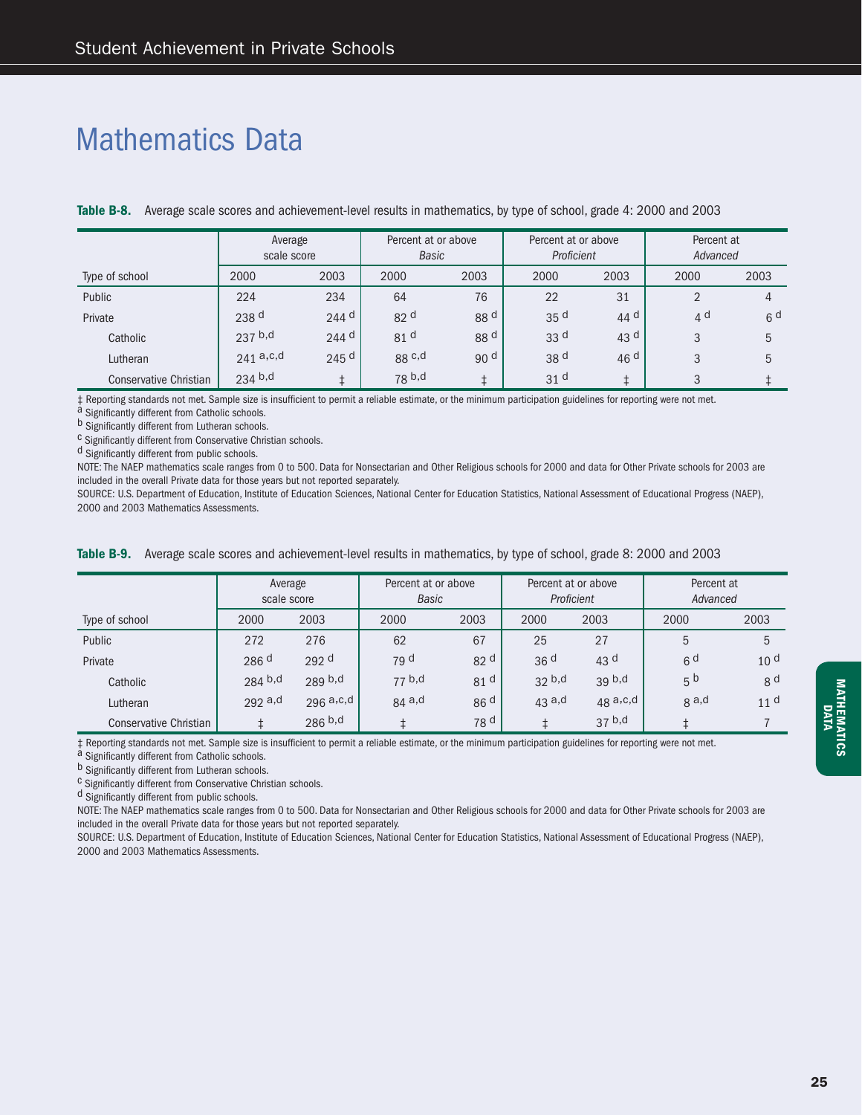### Mathematics Data

|                        | Average<br>scale score |                  | Percent at or above<br>Basic |                 | Percent at or above<br>Proficient |                 | Percent at<br>Advanced |                |
|------------------------|------------------------|------------------|------------------------------|-----------------|-----------------------------------|-----------------|------------------------|----------------|
| Type of school         | 2000                   | 2003             | 2000                         | 2003            | 2000                              | 2003            | 2000                   | 2003           |
| Public                 | 224                    | 234              | 64                           | 76              | 22                                | 31              | ◠                      | 4              |
| Private                | 238 <sup>d</sup>       | $244$ d          | 82 <sup>d</sup>              | 88 <sup>d</sup> | 35 <sup>d</sup>                   | 44 <sup>d</sup> | 4 <sup>d</sup>         | 6 <sup>d</sup> |
| Catholic               | $237$ b,d              | $244$ d          | 81 <sup>d</sup>              | 88 <sup>d</sup> | 33 <sup>d</sup>                   | 43 $d$          | 3                      | 5              |
| Lutheran               | 241a.c.d               | 245 <sup>d</sup> | $88 \text{ c,d}$             | 90 <sup>d</sup> | 38 <sup>d</sup>                   | 46 <sup>d</sup> | 3                      | 5              |
| Conservative Christian | $234$ b,d              |                  | 78 <sup>b,d</sup>            |                 | 31 <sup>d</sup>                   |                 | 3                      |                |

**Table B-8.** Average scale scores and achievement-level results in mathematics, by type of school, grade 4: 2000 and 2003

‡ Reporting standards not met. Sample size is insufficient to permit a reliable estimate, or the minimum participation guidelines for reporting were not met.<br><sup>a</sup> Significantly different from Catholic schools.<br><sup>b</sup> Signific

<sup>C</sup> Significantly different from Conservative Christian schools.

<sup>d</sup> Significantly different from public schools.

NOTE: The NAEP mathematics scale ranges from 0 to 500. Data for Nonsectarian and Other Religious schools for 2000 and data for Other Private schools for 2003 are included in the overall Private data for those years but not reported separately.

SOURCE: U.S. Department of Education, Institute of Education Sciences, National Center for Education Statistics, National Assessment of Educational Progress (NAEP), 2000 and 2003 Mathematics Assessments.

|  |  | Table B-9. Average scale scores and achievement-level results in mathematics, by type of school, grade 8: 2000 and 2003 |
|--|--|-------------------------------------------------------------------------------------------------------------------------|
|--|--|-------------------------------------------------------------------------------------------------------------------------|

|                        | Average<br>scale score |                  | Percent at or above<br>Basic |                 |                 | Percent at or above<br>Proficient | Percent at<br>Advanced |                 |
|------------------------|------------------------|------------------|------------------------------|-----------------|-----------------|-----------------------------------|------------------------|-----------------|
| Type of school         | 2000                   | 2003             | 2000                         | 2003            | 2000            | 2003                              | 2000                   | 2003            |
| Public                 | 272                    | 276              | 62                           | 67              | 25              | 27                                | 5                      | 5               |
| Private                | 286 <sup>d</sup>       | 292 <sup>d</sup> | 79 <sup>d</sup>              | 82 <sup>d</sup> | 36 <sup>d</sup> | 43 $d$                            | 6 <sup>d</sup>         | 10 <sup>d</sup> |
| Catholic               | $284$ b,d              | $289$ b,d        | 77 b,d                       | 81 <sup>d</sup> | 32 b,d          | 39 <sup>b,d</sup>                 | 5 <sup>b</sup>         | 8 <sup>d</sup>  |
| Lutheran               | $292$ a,d              | 296a, c, d       | $84$ a,d                     | 86 <sup>d</sup> | $43$ a,d        | $48a$ , c, d                      | g a,d                  | 11 <sup>d</sup> |
| Conservative Christian |                        | $286^{b,d}$      |                              | 78 <sup>d</sup> |                 | 37 <sup>b,d</sup>                 |                        |                 |

 $\ddagger$  Reporting standards not met. Sample size is insufficient to permit a reliable estimate, or the minimum participation guidelines for reporting were not met.<br>a Significantly different from Catholic schools.<br>b Signific

 $c$  Significantly different from Conservative Christian schools.

d Significantly different from public schools.

NOTE: The NAEP mathematics scale ranges from 0 to 500. Data for Nonsectarian and Other Religious schools for 2000 and data for Other Private schools for 2003 are included in the overall Private data for those years but not reported separately.

SOURCE: U.S. Department of Education, Institute of Education Sciences, National Center for Education Statistics, National Assessment of Educational Progress (NAEP), 2000 and 2003 Mathematics Assessments.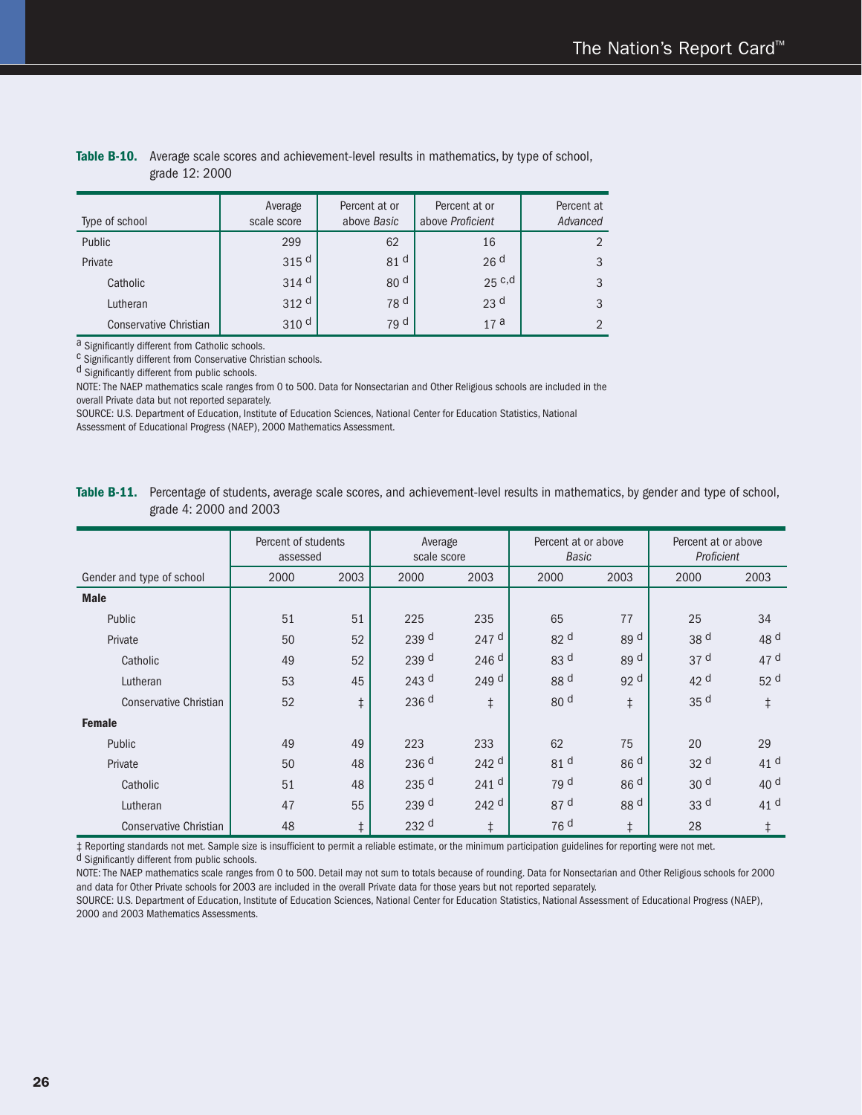| Type of school         | Average<br>scale score | Percent at or<br>above Basic | Percent at or<br>above Proficient | Percent at<br>Advanced |
|------------------------|------------------------|------------------------------|-----------------------------------|------------------------|
| Public                 | 299                    | 62                           | 16                                |                        |
| Private                | 315 <sup>d</sup>       | 81 <sup>d</sup>              | 26 <sup>d</sup>                   | 3                      |
| Catholic               | $314$ <sup>d</sup>     | 80 <sup>d</sup>              | $25$ c,d                          | 3                      |
| Lutheran               | 312 <sup>d</sup>       | 78 <sup>d</sup>              | 23 <sup>d</sup>                   | 3                      |
| Conservative Christian | 310 <sup>d</sup>       | 79 <sup>d</sup>              | 17a                               |                        |

#### **Table B-10.** Average scale scores and achievement-level results in mathematics, by type of school, grade 12: 2000

 $\alpha$  Significantly different from Catholic schools.<br>C Significantly different from Conservative Christian schools.

d Significantly different from public schools.

NOTE: The NAEP mathematics scale ranges from 0 to 500. Data for Nonsectarian and Other Religious schools are included in the overall Private data but not reported separately.

SOURCE: U.S. Department of Education, Institute of Education Sciences, National Center for Education Statistics, National Assessment of Educational Progress (NAEP), 2000 Mathematics Assessment.

**Table B-11.** Percentage of students, average scale scores, and achievement-level results in mathematics, by gender and type of school, grade 4: 2000 and 2003

|                           | Percent of students<br>assessed |            | Average<br>scale score |                  | Percent at or above<br><b>Basic</b> |                 | Percent at or above<br>Proficient |                 |
|---------------------------|---------------------------------|------------|------------------------|------------------|-------------------------------------|-----------------|-----------------------------------|-----------------|
| Gender and type of school | 2000                            | 2003       | 2000                   | 2003             | 2000                                | 2003            | 2000                              | 2003            |
| <b>Male</b>               |                                 |            |                        |                  |                                     |                 |                                   |                 |
| Public                    | 51                              | 51         | 225                    | 235              | 65                                  | 77              | 25                                | 34              |
| Private                   | 50                              | 52         | 239 d                  | 247 <sup>d</sup> | 82 d                                | 89 d            | 38 d                              | 48 <sup>d</sup> |
| Catholic                  | 49                              | 52         | 239 d                  | 246 <sup>d</sup> | 83 d                                | 89 d            | 37 <sup>d</sup>                   | 47 d            |
| Lutheran                  | 53                              | 45         | 243 <sup>d</sup>       | 249 <sup>d</sup> | 88 <sup>d</sup>                     | 92 d            | 42 <sup>d</sup>                   | 52 <sup>d</sup> |
| Conservative Christian    | 52                              | $\ddagger$ | 236 d                  | $\ddagger$       | 80 d                                | $\ddagger$      | 35 d                              | $\ddagger$      |
| <b>Female</b>             |                                 |            |                        |                  |                                     |                 |                                   |                 |
| Public                    | 49                              | 49         | 223                    | 233              | 62                                  | 75              | 20                                | 29              |
| Private                   | 50                              | 48         | 236 <sup>d</sup>       | 242 <sup>d</sup> | 81 <sup>d</sup>                     | 86 <sup>d</sup> | 32 <sup>d</sup>                   | 41 <sup>d</sup> |
| Catholic                  | 51                              | 48         | 235 d                  | 241 <sup>d</sup> | 79 d                                | 86 <sup>d</sup> | 30 <sup>d</sup>                   | 40 d            |
| Lutheran                  | 47                              | 55         | 239 <sup>d</sup>       | 242 <sup>d</sup> | 87 <sup>d</sup>                     | 88 d            | 33 d                              | 41 <sup>d</sup> |
| Conservative Christian    | 48                              | $\ddagger$ | 232 <sup>d</sup>       | $\ddagger$       | 76 <sup>d</sup>                     | $\ddagger$      | 28                                | $\ddagger$      |

 $\ddagger$  Reporting standards not met. Sample size is insufficient to permit a reliable estimate, or the minimum participation guidelines for reporting were not met. d Significantly different from public schools.

NOTE: The NAEP mathematics scale ranges from 0 to 500. Detail may not sum to totals because of rounding. Data for Nonsectarian and Other Religious schools for 2000 and data for Other Private schools for 2003 are included in the overall Private data for those years but not reported separately.

SOURCE: U.S. Department of Education, Institute of Education Sciences, National Center for Education Statistics, National Assessment of Educational Progress (NAEP), 2000 and 2003 Mathematics Assessments.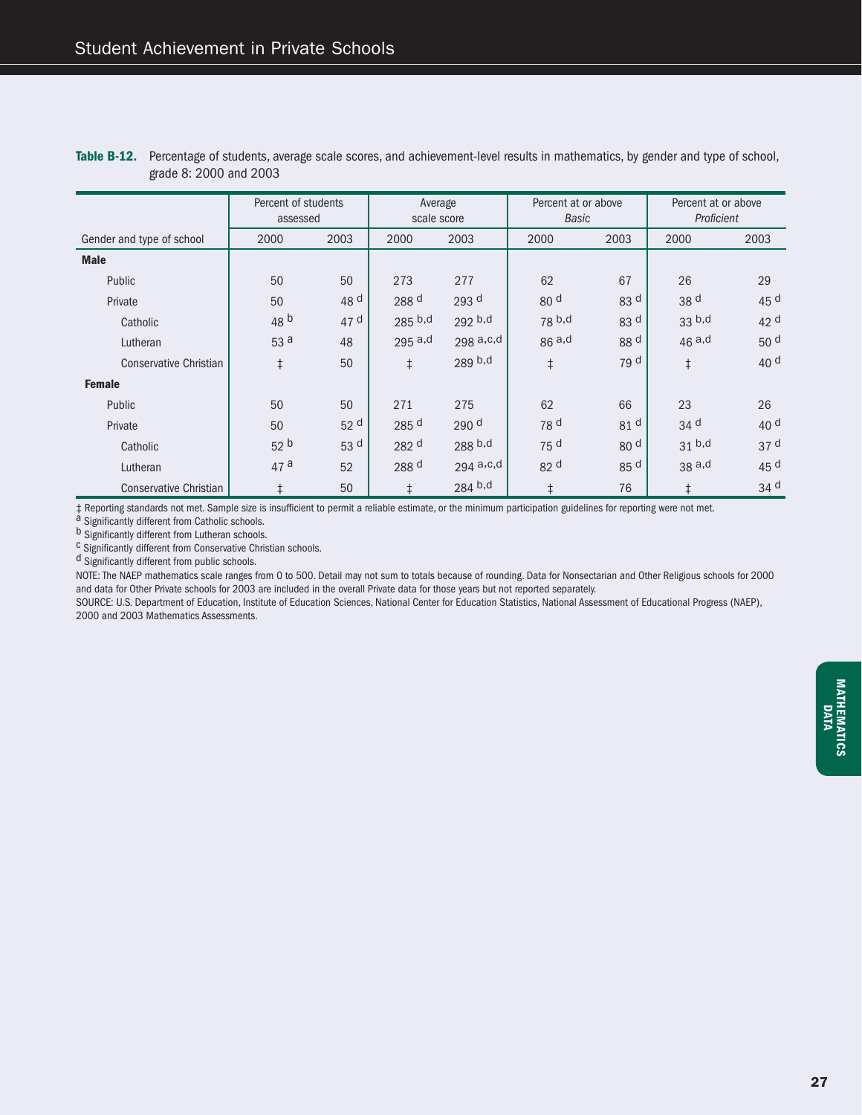|                               | Percent of students<br>assessed |                 | Average<br>scale score |                  | Percent at or above<br><b>Basic</b> |                 | Percent at or above<br>Proficient |                 |
|-------------------------------|---------------------------------|-----------------|------------------------|------------------|-------------------------------------|-----------------|-----------------------------------|-----------------|
| Gender and type of school     | 2000                            | 2003            | 2000                   | 2003             | 2000                                | 2003            | 2000                              | 2003            |
| <b>Male</b>                   |                                 |                 |                        |                  |                                     |                 |                                   |                 |
| Public                        | 50                              | 50              | 273                    | 277              | 62                                  | 67              | 26                                | 29              |
| Private                       | 50                              | 48 <sup>d</sup> | 288 d                  | 293 <sup>d</sup> | 80 d                                | 83 d            | 38 <sup>d</sup>                   | 45 d            |
| Catholic                      | 48 <sup>b</sup>                 | 47 d            | $285$ b,d              | $292$ b,d        | 78 <sup>b,d</sup>                   | 83 d            | 33 <sup>b,d</sup>                 | 42 d            |
| Lutheran                      | 53 a                            | 48              | $295$ a,d              | $298a$ , c, d    | 86a,d                               | 88 d            | $46a$ ,d                          | 50 <sup>d</sup> |
| <b>Conservative Christian</b> | $\ddagger$                      | 50              | $\ddagger$             | 289 b,d          | $\ddagger$                          | 79 d            | $\ddagger$                        | 40 d            |
| <b>Female</b>                 |                                 |                 |                        |                  |                                     |                 |                                   |                 |
| Public                        | 50                              | 50              | 271                    | 275              | 62                                  | 66              | 23                                | 26              |
| Private                       | 50                              | 52 <sup>d</sup> | 285 d                  | 290 <sup>d</sup> | 78 d                                | 81 <sup>d</sup> | 34 <sup>d</sup>                   | 40 <sup>d</sup> |
| Catholic                      | 52 <sup>b</sup>                 | 53 d            | 282 d                  | 288 b,d          | 75 <sup>d</sup>                     | 80 <sup>d</sup> | 31 <sup>b,d</sup>                 | 37 <sup>d</sup> |
| Lutheran                      | 47a                             | 52              | 288 d                  | 294 a,c,d        | 82 d                                | 85 d            | 38a,d                             | 45 d            |
| Conservative Christian        | $\ddagger$                      | 50              | $\ddagger$             | 284 b,d          | $\ddagger$                          | 76              | $\ddagger$                        | 34 d            |

**Table B-12.** Percentage of students, average scale scores, and achievement-level results in mathematics, by gender and type of school, grade 8: 2000 and 2003

 $\ddagger$  Reporting standards not met. Sample size is insufficient to permit a reliable estimate, or the minimum participation guidelines for reporting were not met.<br>a Significantly different from Lutheran schools.<br>b Signific

 $c$  Significantly different from Conservative Christian schools.

d Significantly different from public schools.

NOTE: The NAEP mathematics scale ranges from 0 to 500. Detail may not sum to totals because of rounding. Data for Nonsectarian and Other Religious schools for 2000 and data for Other Private schools for 2003 are included in the overall Private data for those years but not reported separately.

SOURCE: U.S. Department of Education, Institute of Education Sciences, National Center for Education Statistics, National Assessment of Educational Progress (NAEP), 2000 and 2003 Mathematics Assessments.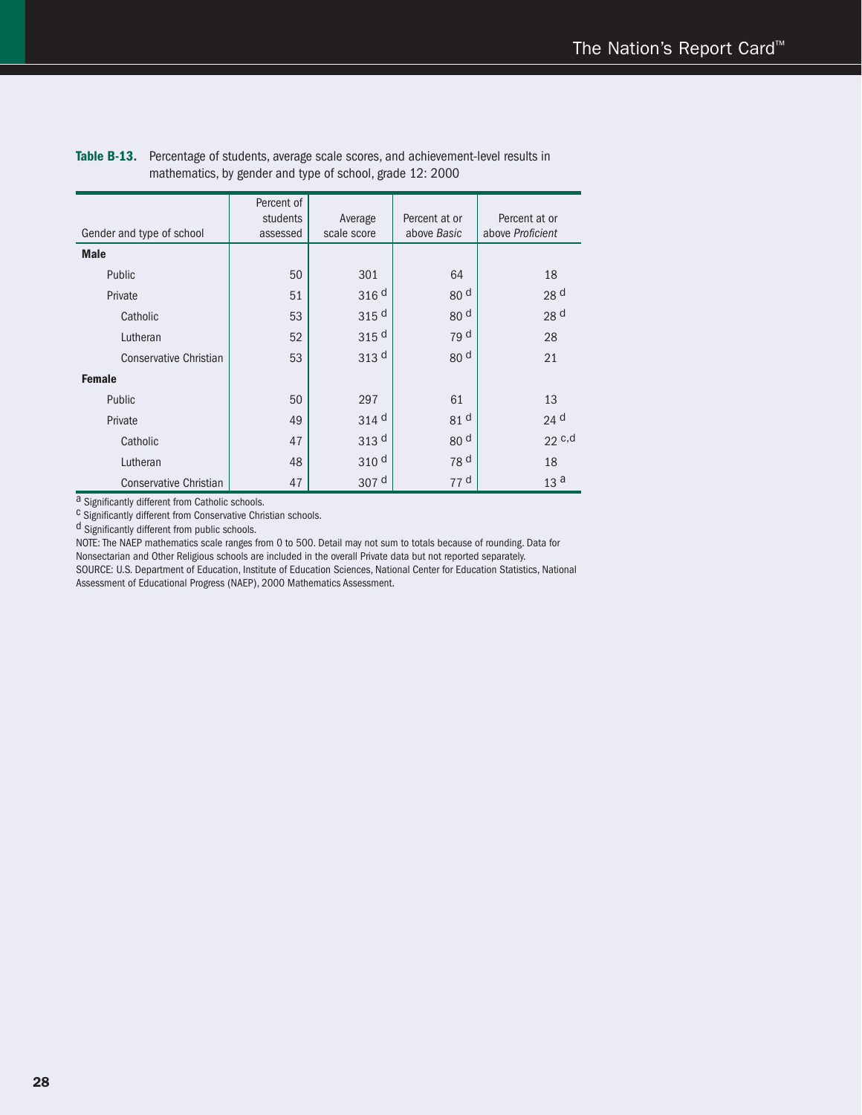| Gender and type of school     | Percent of<br>students<br>assessed | Average<br>scale score | Percent at or<br>above Basic | Percent at or<br>above Proficient |
|-------------------------------|------------------------------------|------------------------|------------------------------|-----------------------------------|
| <b>Male</b>                   |                                    |                        |                              |                                   |
| Public                        | 50                                 | 301                    | 64                           | 18                                |
| Private                       | 51                                 | 316 <sup>d</sup>       | 80 <sup>d</sup>              | 28 <sup>d</sup>                   |
| Catholic                      | 53                                 | 315 <sup>d</sup>       | 80 <sup>d</sup>              | 28 d                              |
| Lutheran                      | 52                                 | 315 <sup>d</sup>       | 79 d                         | 28                                |
| <b>Conservative Christian</b> | 53                                 | 313 <sup>d</sup>       | 80 <sup>d</sup>              | 21                                |
| <b>Female</b>                 |                                    |                        |                              |                                   |
| Public                        | 50                                 | 297                    | 61                           | 13                                |
| Private                       | 49                                 | 314 <sup>d</sup>       | 81 d                         | 24 <sup>d</sup>                   |
| Catholic                      | 47                                 | 313 <sup>d</sup>       | 80 <sup>d</sup>              | $22$ c,d                          |
| Lutheran                      | 48                                 | 310 <sup>d</sup>       | 78 d                         | 18                                |
| <b>Conservative Christian</b> | 47                                 | 307 <sup>d</sup>       | 77 d                         | 13 <sup>a</sup>                   |

Table B-13. Percentage of students, average scale scores, and achievement-level results in mathematics, by gender and type of school, grade 12: 2000

a Significantly different from Catholic schools.<br><sup>c</sup> Significantly different from Conservative Christian schools.

d Significantly different from public schools.

NOTE: The NAEP mathematics scale ranges from 0 to 500. Detail may not sum to totals because of rounding. Data for

Nonsectarian and Other Religious schools are included in the overall Private data but not reported separately. SOURCE: U.S. Department of Education, Institute of Education Sciences, National Center for Education Statistics, National Assessment of Educational Progress (NAEP), 2000 Mathematics Assessment.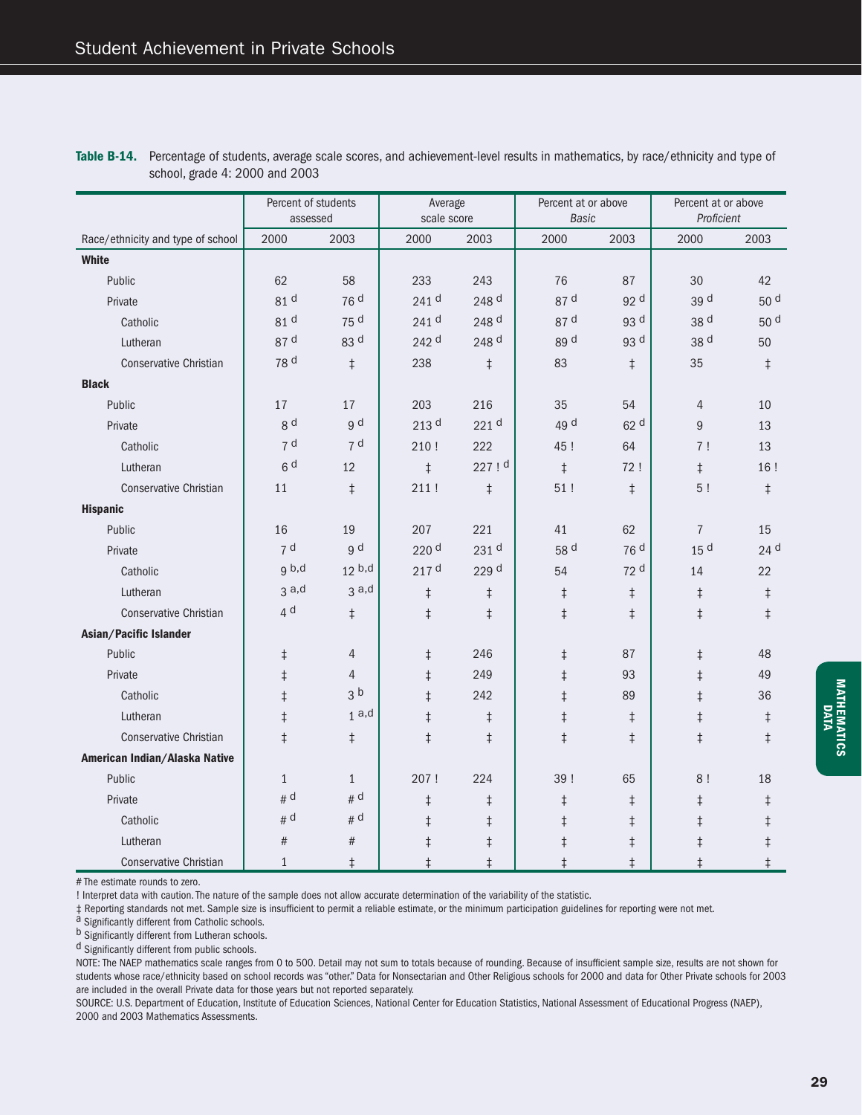|                                   | Percent of students<br>assessed |                   | Average<br>scale score |                  | Percent at or above<br><b>Basic</b> |                 | Percent at or above<br>Proficient |                 |
|-----------------------------------|---------------------------------|-------------------|------------------------|------------------|-------------------------------------|-----------------|-----------------------------------|-----------------|
| Race/ethnicity and type of school | 2000                            | 2003              | 2000                   | 2003             | 2000                                | 2003            | 2000                              | 2003            |
| <b>White</b>                      |                                 |                   |                        |                  |                                     |                 |                                   |                 |
| Public                            | 62                              | 58                | 233                    | 243              | 76                                  | 87              | 30                                | 42              |
| Private                           | 81 d                            | 76 <sup>d</sup>   | 241 <sup>d</sup>       | 248 d            | 87 d                                | 92 d            | 39 d                              | 50 <sup>d</sup> |
| Catholic                          | 81 d                            | 75 d              | 241 d                  | 248 d            | 87 d                                | 93 d            | 38 d                              | 50 <sup>d</sup> |
| Lutheran                          | 87 d                            | 83 d              | 242 d                  | 248 d            | 89 d                                | 93 d            | 38 d                              | 50              |
| <b>Conservative Christian</b>     | 78 d                            | $\ddagger$        | 238                    | $\ddagger$       | 83                                  | $\ddagger$      | 35                                | $\ddagger$      |
| <b>Black</b>                      |                                 |                   |                        |                  |                                     |                 |                                   |                 |
| Public                            | 17                              | 17                | 203                    | 216              | 35                                  | 54              | $\overline{4}$                    | 10              |
| Private                           | g d                             | g d               | 213 <sup>d</sup>       | 221 <sup>d</sup> | 49 d                                | 62 <sup>d</sup> | 9                                 | 13              |
| Catholic                          | 7 <sup>d</sup>                  | 7 <sup>d</sup>    | 210!                   | 222              | 45!                                 | 64              | 7!                                | 13              |
| Lutheran                          | 6 <sup>d</sup>                  | 12                | $\ddagger$             | 227 ! d          | $\ddagger$                          | 72!             | $\ddagger$                        | 16!             |
| <b>Conservative Christian</b>     | 11                              | $\ddagger$        | 211!                   | $\ddagger$       | 51!                                 | $\ddagger$      | 5!                                | $\ddagger$      |
| <b>Hispanic</b>                   |                                 |                   |                        |                  |                                     |                 |                                   |                 |
| Public                            | 16                              | 19                | 207                    | 221              | 41                                  | 62              | $\overline{7}$                    | 15              |
| Private                           | 7 <sup>d</sup>                  | g d               | 220 <sup>d</sup>       | 231 d            | 58 d                                | 76 d            | 15 <sup>d</sup>                   | 24 d            |
| Catholic                          | g b,d                           | 12 <sup>b,d</sup> | 217 <sup>d</sup>       | 229 d            | 54                                  | 72 d            | 14                                | 22              |
| Lutheran                          | 3a,d                            | 3a,d              | $\ddagger$             | $\ddagger$       | $\ddagger$                          | $\ddagger$      | $\ddagger$                        | $\ddagger$      |
| <b>Conservative Christian</b>     | 4 <sup>d</sup>                  | $\ddagger$        | $\ddagger$             | $\ddagger$       | $\ddagger$                          | $\ddagger$      | $\ddagger$                        | $\ddagger$      |
| Asian/Pacific Islander            |                                 |                   |                        |                  |                                     |                 |                                   |                 |
| Public                            | $\ddagger$                      | $\overline{4}$    | $\ddagger$             | 246              | $\ddagger$                          | 87              | $\ddagger$                        | 48              |
| Private                           | $\ddagger$                      | $\overline{4}$    | $\ddagger$             | 249              | $\ddagger$                          | 93              | $\ddagger$                        | 49              |
| Catholic                          | $\ddagger$                      | 3 <sup>b</sup>    | $\ddagger$             | 242              | $\ddagger$                          | 89              | $\ddagger$                        | 36              |
| Lutheran                          | $\ddagger$                      | 1a,d              | $\ddagger$             | $\ddagger$       | $\ddagger$                          | $\ddagger$      | $\ddagger$                        | $\ddagger$      |
| <b>Conservative Christian</b>     | $\ddagger$                      | $\ddagger$        | $\ddagger$             | $\ddagger$       | $\ddagger$                          | $\ddagger$      | $\ddagger$                        | $\ddagger$      |
| American Indian/Alaska Native     |                                 |                   |                        |                  |                                     |                 |                                   |                 |
| Public                            | $\mathbf{1}$                    | $\mathbf{1}$      | 207!                   | 224              | 39!                                 | 65              | 8!                                | 18              |
| Private                           | # d                             | # d               | $\ddagger$             | $\ddagger$       | $\ddagger$                          | $\ddagger$      | $\ddagger$                        | $\ddagger$      |
| Catholic                          | # d                             | # d               | $\ddagger$             | $\ddagger$       | $\ddagger$                          | $\ddagger$      | $\ddagger$                        | $\ddagger$      |
| Lutheran                          | #                               | #                 | $\ddagger$             | $\ddagger$       | $\ddagger$                          | $\ddagger$      | $\ddagger$                        | $\ddagger$      |
| Conservative Christian            | $\mathbf{1}$                    | $\ddagger$        | $\ddagger$             | $\ddagger$       | $\ddagger$                          | $\ddagger$      | $\ddagger$                        | $\ddagger$      |

**Table B-14.** Percentage of students, average scale scores, and achievement-level results in mathematics, by race/ethnicity and type of school, grade 4: 2000 and 2003

# The estimate rounds to zero.

! Interpret data with caution. The nature of the sample does not allow accurate determination of the variability of the statistic.

‡ Reporting standards not met. Sample size is insufficient to permit a reliable estimate, or the minimum participation guidelines for reporting were not met. a Significantly different from Catholic schools.

b Significantly different from Lutheran schools.

d Significantly different from public schools.

NOTE: The NAEP mathematics scale ranges from 0 to 500. Detail may not sum to totals because of rounding. Because of insufficient sample size, results are not shown for students whose race/ethnicity based on school records was "other." Data for Nonsectarian and Other Religious schools for 2000 and data for Other Private schools for 2003 are included in the overall Private data for those years but not reported separately.

SOURCE: U.S. Department of Education, Institute of Education Sciences, National Center for Education Statistics, National Assessment of Educational Progress (NAEP), 2000 and 2003 Mathematics Assessments.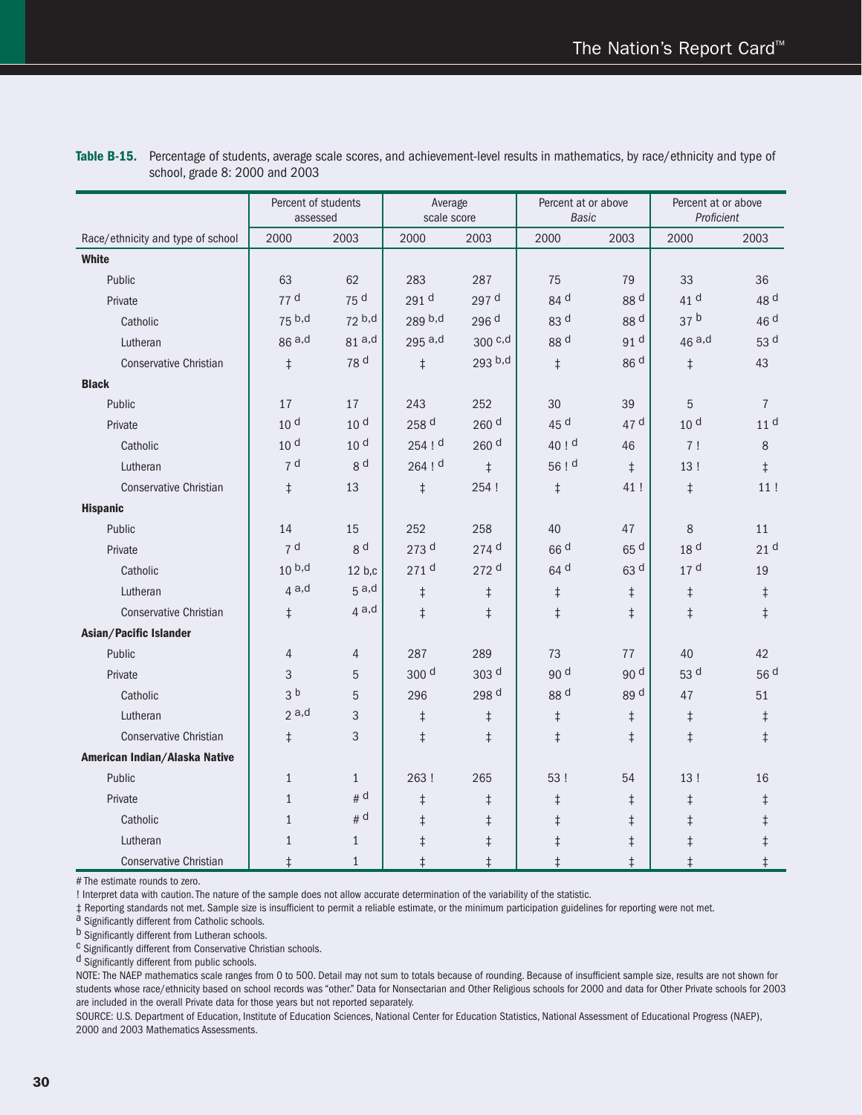|                                   | Percent of students<br>assessed |                 | Average<br>scale score |                    | Percent at or above<br><b>Basic</b> |                 | Percent at or above<br>Proficient |                 |
|-----------------------------------|---------------------------------|-----------------|------------------------|--------------------|-------------------------------------|-----------------|-----------------------------------|-----------------|
| Race/ethnicity and type of school | 2000                            | 2003            | 2000                   | 2003               | 2000                                | 2003            | 2000                              | 2003            |
| White                             |                                 |                 |                        |                    |                                     |                 |                                   |                 |
| Public                            | 63                              | 62              | 283                    | 287                | 75                                  | 79              | 33                                | 36              |
| Private                           | 77 d                            | 75 d            | 291 d                  | 297 d              | 84 d                                | 88 d            | 41 d                              | 48 d            |
| Catholic                          | 75 b,d                          | 72 b,d          | 289 b,d                | 296 d              | 83 d                                | 88 d            | 37 <sup>b</sup>                   | 46 d            |
| Lutheran                          | 86a,d                           | $81a$ ,d        | $295$ a,d              | $300$ c,d          | 88 d                                | 91 d            | 46a,d                             | 53 d            |
| <b>Conservative Christian</b>     | $\ddagger$                      | 78 d            | $\ddagger$             | 293 b,d            | $\ddagger$                          | 86 d            | $\ddagger$                        | 43              |
| <b>Black</b>                      |                                 |                 |                        |                    |                                     |                 |                                   |                 |
| Public                            | 17                              | 17              | 243                    | 252                | 30                                  | 39              | 5                                 | $\overline{7}$  |
| Private                           | 10 <sup>d</sup>                 | 10 <sup>d</sup> | 258 d                  | 260 <sup>d</sup>   | 45 d                                | 47 d            | 10 <sup>d</sup>                   | 11 <sup>d</sup> |
| Catholic                          | 10 <sup>d</sup>                 | 10 <sup>d</sup> | $254$ ! d              | 260 <sup>d</sup>   | 40 ! d                              | 46              | 7!                                | 8               |
| Lutheran                          | 7 <sup>d</sup>                  | 8 <sup>d</sup>  | $264$ ! d              | $\ddagger$         | 56 ! d                              | $\ddagger$      | 13!                               | $\ddagger$      |
| <b>Conservative Christian</b>     | $\ddagger$                      | 13              | $\ddagger$             | 254 !              | $\ddagger$                          | 41!             | $\ddagger$                        | 11!             |
| <b>Hispanic</b>                   |                                 |                 |                        |                    |                                     |                 |                                   |                 |
| Public                            | 14                              | 15              | 252                    | 258                | 40                                  | 47              | $\,8\,$                           | 11              |
| Private                           | 7 <sup>d</sup>                  | 8 <sup>d</sup>  | 273 <sup>d</sup>       | $274$ <sup>d</sup> | 66 <sup>d</sup>                     | 65 d            | 18 <sup>d</sup>                   | 21 <sup>d</sup> |
| Catholic                          | 10 <sup>b,d</sup>               | 12 b,c          | 271 <sup>d</sup>       | 272 <sup>d</sup>   | 64 <sup>d</sup>                     | 63 <sup>d</sup> | 17 <sup>d</sup>                   | 19              |
| Lutheran                          | 4a,d                            | 5a,d            | $\ddagger$             | $\ddagger$         | $\ddagger$                          | $\ddagger$      | $\ddagger$                        | $\ddagger$      |
| <b>Conservative Christian</b>     | $\ddagger$                      | 4a,d            | $\ddagger$             | $\ddagger$         | $\ddagger$                          | ŧ               | $\ddagger$                        | $\ddagger$      |
| Asian/Pacific Islander            |                                 |                 |                        |                    |                                     |                 |                                   |                 |
| Public                            | $\overline{4}$                  | 4               | 287                    | 289                | 73                                  | 77              | 40                                | 42              |
| Private                           | 3                               | 5               | 300 <sup>d</sup>       | 303 <sup>d</sup>   | 90 d                                | 90 <sup>d</sup> | 53 d                              | 56 d            |
| Catholic                          | 3 <sup>b</sup>                  | 5               | 296                    | 298 d              | 88 <sup>d</sup>                     | 89 d            | 47                                | 51              |
| Lutheran                          | 2a,d                            | 3               | $\ddagger$             | $\ddagger$         | $\ddagger$                          | $\ddagger$      | $\ddagger$                        | $\ddagger$      |
| <b>Conservative Christian</b>     | $\ddagger$                      | 3               | $\ddagger$             | $\ddagger$         | $\ddagger$                          | $\ddagger$      | $\ddagger$                        | $\ddagger$      |
| American Indian/Alaska Native     |                                 |                 |                        |                    |                                     |                 |                                   |                 |
| Public                            | $\mathbf{1}$                    | $\mathbf{1}$    | 263!                   | 265                | 53!                                 | 54              | 13!                               | 16              |
| Private                           | $\mathbf{1}$                    | # d             | $\ddagger$             | $\ddagger$         | $\dagger$                           | $\ddagger$      | $\ddagger$                        | $\ddagger$      |
| Catholic                          | $\mathbf{1}$                    | # d             | $\ddagger$             | $\ddagger$         | $\ddagger$                          | $\ddagger$      | $\ddagger$                        | $\ddagger$      |
| Lutheran                          | $\mathbf{1}$                    | $\mathbf{1}$    | $\ddagger$             | $\ddagger$         | $\ddagger$                          | $\ddagger$      | $\ddagger$                        | $\ddagger$      |
| <b>Conservative Christian</b>     | $\ddagger$                      | $\mathbf{1}$    | $\ddagger$             | $\ddagger$         | $\ddagger$                          | $\ddagger$      | $\ddagger$                        | $\ddagger$      |

| Table B-15. Percentage of students, average scale scores, and achievement-level results in mathematics, by race/ethnicity and type of |
|---------------------------------------------------------------------------------------------------------------------------------------|
| school, grade 8: 2000 and 2003                                                                                                        |

# The estimate rounds to zero.

! Interpret data with caution. The nature of the sample does not allow accurate determination of the variability of the statistic.

‡ Reporting standards not met. Sample size is insufficient to permit a reliable estimate, or the minimum participation guidelines for reporting were not met.<br>a Significantly different from Catholic schools.<br>b Significantly

 $c$  Significantly different from Conservative Christian schools.

d Significantly different from public schools.

NOTE: The NAEP mathematics scale ranges from 0 to 500. Detail may not sum to totals because of rounding. Because of insufficient sample size, results are not shown for students whose race/ethnicity based on school records was "other." Data for Nonsectarian and Other Religious schools for 2000 and data for Other Private schools for 2003 are included in the overall Private data for those years but not reported separately.

SOURCE: U.S. Department of Education, Institute of Education Sciences, National Center for Education Statistics, National Assessment of Educational Progress (NAEP), 2000 and 2003 Mathematics Assessments.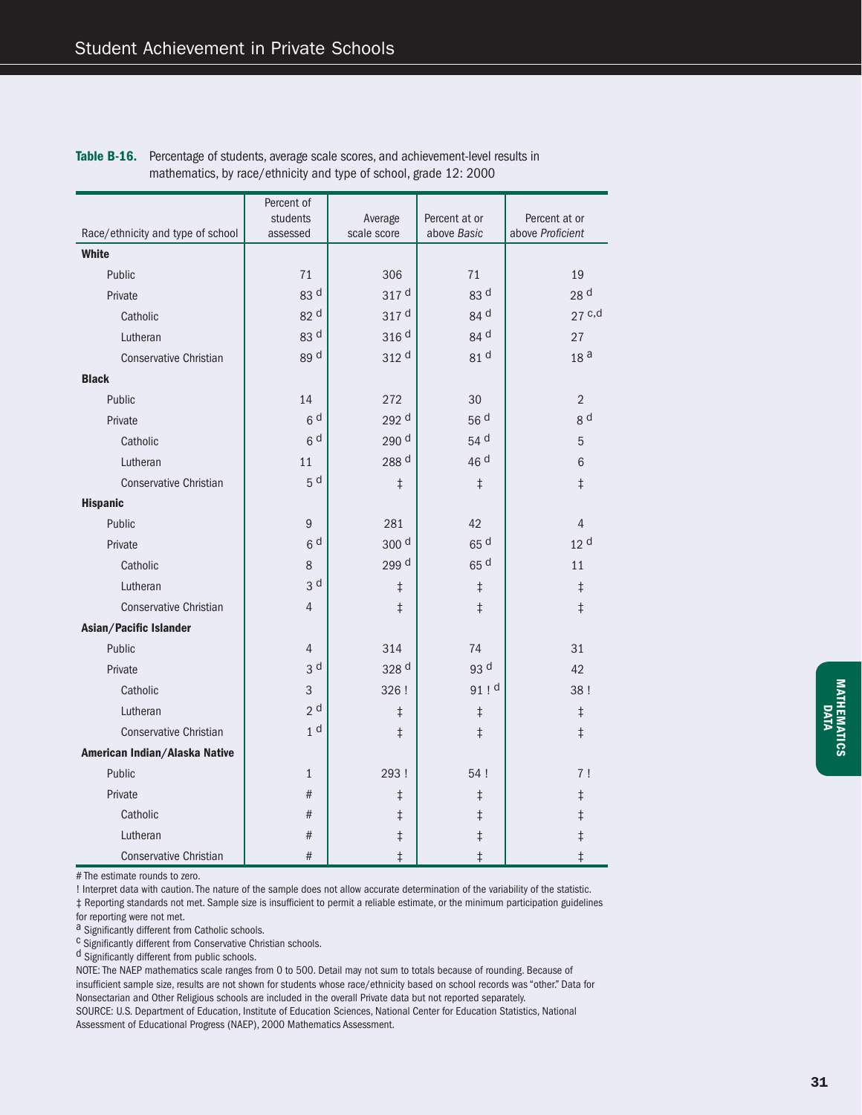|                                   | Percent of     |                  |                 |                  |  |
|-----------------------------------|----------------|------------------|-----------------|------------------|--|
|                                   | students       | Average          | Percent at or   | Percent at or    |  |
| Race/ethnicity and type of school | assessed       | scale score      | above Basic     | above Proficient |  |
| White                             |                |                  |                 |                  |  |
| Public                            | 71             | 306              | 71              | 19               |  |
| Private                           | 83 d           | 317 <sup>d</sup> | 83 <sup>d</sup> | 28 d             |  |
| Catholic                          | 82 d           | 317 d            | 84 d            | $27$ c,d         |  |
| Lutheran                          | 83 d           | 316 <sup>d</sup> | 84 d            | 27               |  |
| <b>Conservative Christian</b>     | 89 d           | 312 d            | 81 d            | 18 <sup>a</sup>  |  |
| <b>Black</b>                      |                |                  |                 |                  |  |
| Public                            | 14             | 272              | 30              | $\overline{2}$   |  |
| Private                           | 6 <sup>d</sup> | 292 d            | 56 d            | g d              |  |
| Catholic                          | 6 <sup>d</sup> | 290 d            | 54 d            | 5                |  |
| Lutheran                          | 11             | 288 d            | 46 d            | $\,6$            |  |
| <b>Conservative Christian</b>     | 5 <sup>d</sup> | $\ddagger$       | $\ddagger$      | $\ddagger$       |  |
| <b>Hispanic</b>                   |                |                  |                 |                  |  |
| Public                            | 9              | 281              | 42              | $\overline{4}$   |  |
| Private                           | 6 <sup>d</sup> | 300 d            | 65 d            | 12 <sup>d</sup>  |  |
| Catholic                          | 8              | 299 d            | 65 <sup>d</sup> | 11               |  |
| Lutheran                          | 3 <sup>d</sup> | $\ddagger$       | $\ddagger$      | $\ddagger$       |  |
| <b>Conservative Christian</b>     | $\overline{4}$ | $\ddagger$       | $\ddagger$      | $\ddagger$       |  |
| Asian/Pacific Islander            |                |                  |                 |                  |  |
| Public                            | $\overline{4}$ | 314              | 74              | 31               |  |
| Private                           | 3 <sup>d</sup> | 328 d            | 93 d            | 42               |  |
| Catholic                          | 3              | 326 !            | $91$ ! d        | 38!              |  |
| Lutheran                          | 2 <sup>d</sup> | $\ddagger$       | $\ddagger$      | $\ddagger$       |  |
| <b>Conservative Christian</b>     | 1 <sup>d</sup> | $\ddagger$       | $\ddagger$      | $\ddagger$       |  |
| American Indian/Alaska Native     |                |                  |                 |                  |  |
| Public                            | $\mathbf{1}$   | 293!             | 54 !            | 7!               |  |
| Private                           | #              | $\ddagger$       | $\ddagger$      | $\ddagger$       |  |
| Catholic                          | #              | $\ddagger$       | $\ddagger$      | $\ddagger$       |  |
| Lutheran                          | #              | $\ddagger$       | $\ddagger$      | $\ddagger$       |  |
| <b>Conservative Christian</b>     | #              | $\ddagger$       | $\ddagger$      | $\ddagger$       |  |

Table B-16. Percentage of students, average scale scores, and achievement-level results in mathematics, by race/ethnicity and type of school, grade 12: 2000

# The estimate rounds to zero.

! Interpret data with caution. The nature of the sample does not allow accurate determination of the variability of the statistic.

 $‡$  Reporting standards not met. Sample size is insufficient to permit a reliable estimate, or the minimum participation guidelines

for reporting were not met.<br>a Significantly different from Catholic schools.

 $c$  Significantly different from Conservative Christian schools.

d Significantly different from public schools.

NOTE: The NAEP mathematics scale ranges from 0 to 500. Detail may not sum to totals because of rounding. Because of insufficient sample size, results are not shown for students whose race/ethnicity based on school records was "other." Data for Nonsectarian and Other Religious schools are included in the overall Private data but not reported separately.

SOURCE: U.S. Department of Education, Institute of Education Sciences, National Center for Education Statistics, National Assessment of Educational Progress (NAEP), 2000 Mathematics Assessment.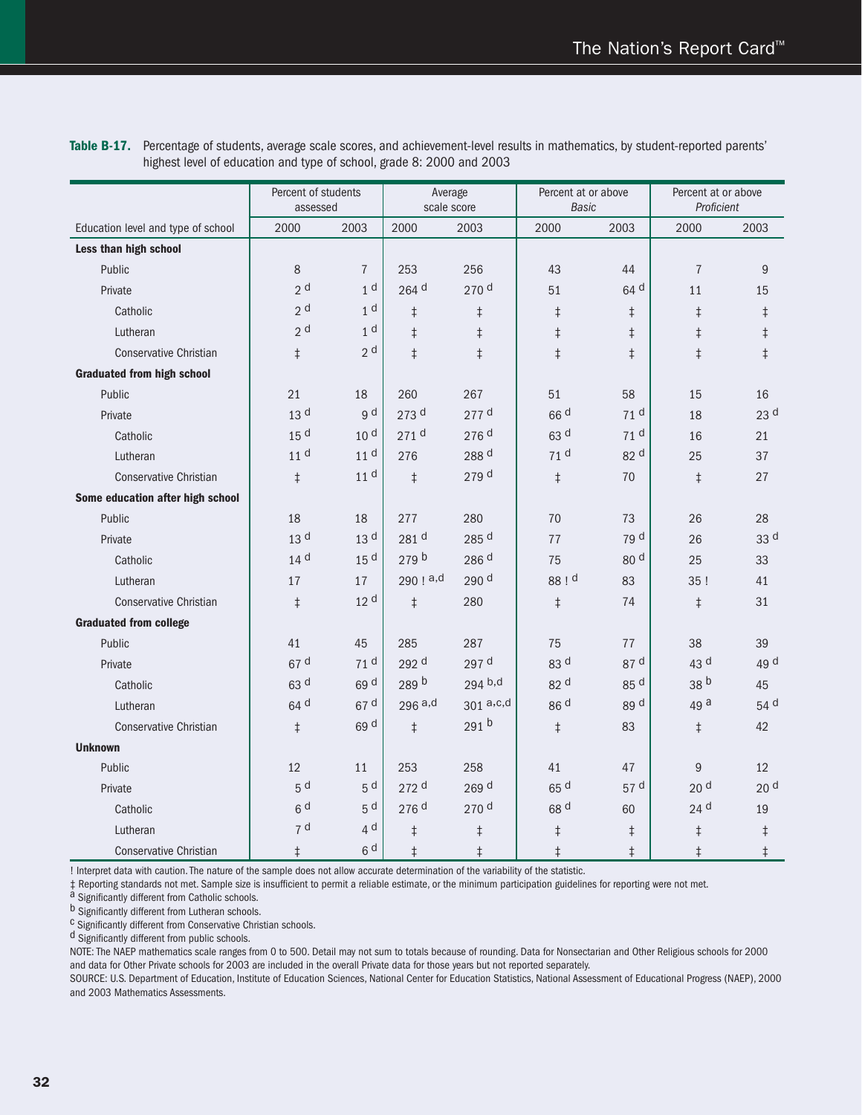|                                    | Percent of students<br>assessed |                 | Average<br>scale score |                  | Percent at or above<br><b>Basic</b> |                 | Percent at or above<br>Proficient |                 |
|------------------------------------|---------------------------------|-----------------|------------------------|------------------|-------------------------------------|-----------------|-----------------------------------|-----------------|
| Education level and type of school | 2000                            | 2003            | 2000                   | 2003             | 2000                                | 2003            | 2000                              | 2003            |
| Less than high school              |                                 |                 |                        |                  |                                     |                 |                                   |                 |
| Public                             | 8                               | $\overline{7}$  | 253                    | 256              | 43                                  | 44              | $\overline{7}$                    | 9               |
| Private                            | 2 <sup>d</sup>                  | 1 <sup>d</sup>  | 264 d                  | 270 d            | 51                                  | 64 <sup>d</sup> | 11                                | 15              |
| Catholic                           | 2 <sup>d</sup>                  | 1 <sup>d</sup>  | $\ddagger$             | $\ddagger$       | $\ddagger$                          | $\ddagger$      | $\ddagger$                        | $\ddagger$      |
| Lutheran                           | 2 <sup>d</sup>                  | 1 <sup>d</sup>  | $\ddagger$             | $\ddagger$       | $\ddagger$                          | $\ddagger$      | $\ddagger$                        | $\ddagger$      |
| <b>Conservative Christian</b>      | $\ddagger$                      | 2 <sup>d</sup>  | $\ddagger$             | $\ddagger$       | $\ddagger$                          | $\ddagger$      | $\ddagger$                        | $\ddagger$      |
| <b>Graduated from high school</b>  |                                 |                 |                        |                  |                                     |                 |                                   |                 |
| Public                             | 21                              | 18              | 260                    | 267              | 51                                  | 58              | 15                                | 16              |
| Private                            | 13 <sup>d</sup>                 | g d             | 273 d                  | $277$ d          | 66 <sup>d</sup>                     | 71 <sup>d</sup> | 18                                | 23 <sup>d</sup> |
| Catholic                           | 15 <sup>d</sup>                 | 10 <sup>d</sup> | 271 d                  | 276 d            | 63 d                                | 71 <sup>d</sup> | 16                                | 21              |
| Lutheran                           | 11 <sup>d</sup>                 | 11 <sup>d</sup> | 276                    | 288 d            | 71 <sup>d</sup>                     | 82 <sup>d</sup> | 25                                | 37              |
| <b>Conservative Christian</b>      | $\ddagger$                      | 11 <sup>d</sup> | $\ddagger$             | 279 d            | $\ddagger$                          | 70              | $\ddagger$                        | 27              |
| Some education after high school   |                                 |                 |                        |                  |                                     |                 |                                   |                 |
| Public                             | 18                              | 18              | 277                    | 280              | 70                                  | 73              | 26                                | 28              |
| Private                            | 13 <sup>d</sup>                 | 13 <sup>d</sup> | 281 d                  | 285 d            | 77                                  | 79 d            | 26                                | 33 d            |
| Catholic                           | 14 <sup>d</sup>                 | 15 <sup>d</sup> | 279 <sup>b</sup>       | 286 d            | 75                                  | 80 <sup>d</sup> | 25                                | 33              |
| Lutheran                           | 17                              | 17              | 290 ! a,d              | 290 d            | 88 ! d                              | 83              | 35!                               | 41              |
| <b>Conservative Christian</b>      | $\ddagger$                      | 12 <sup>d</sup> | $\ddagger$             | 280              | $\ddagger$                          | 74              | $\ddagger$                        | 31              |
| <b>Graduated from college</b>      |                                 |                 |                        |                  |                                     |                 |                                   |                 |
| Public                             | 41                              | 45              | 285                    | 287              | 75                                  | 77              | 38                                | 39              |
| Private                            | 67 d                            | 71 <sup>d</sup> | 292 d                  | 297 d            | 83 d                                | 87 d            | 43 d                              | 49 d            |
| Catholic                           | 63 d                            | 69 d            | 289 b                  | 294 b,d          | 82 d                                | 85 d            | 38 <sup>b</sup>                   | 45              |
| Lutheran                           | 64 d                            | 67 d            | 296a,d                 | 301a, c, d       | 86 <sup>d</sup>                     | 89 d            | 49 a                              | 54 d            |
| <b>Conservative Christian</b>      | $\ddagger$                      | 69 d            | $\ddagger$             | 291 <sup>b</sup> | $\ddagger$                          | 83              | $\ddagger$                        | 42              |
| <b>Unknown</b>                     |                                 |                 |                        |                  |                                     |                 |                                   |                 |
| Public                             | 12                              | 11              | 253                    | 258              | 41                                  | 47              | 9                                 | 12              |
| Private                            | 5 <sup>d</sup>                  | 5 <sup>d</sup>  | 272 d                  | 269 d            | 65 d                                | 57 d            | 20 <sup>d</sup>                   | 20 <sup>d</sup> |
| Catholic                           | 6d                              | 5 <sup>d</sup>  | 276 d                  | 270 <sup>d</sup> | 68 d                                | 60              | 24 <sup>d</sup>                   | 19              |
| Lutheran                           | 7 <sup>d</sup>                  | 4 <sup>d</sup>  | $\ddagger$             | $\ddagger$       | $\ddagger$                          | $\ddagger$      | $\ddagger$                        | $\ddagger$      |
| <b>Conservative Christian</b>      | $\ddagger$                      | 6 <sup>d</sup>  | $\ddagger$             | $\ddagger$       | $\ddagger$                          | $\ddagger$      | $\ddagger$                        | $\ddagger$      |

**Table B-17.** Percentage of students, average scale scores, and achievement-level results in mathematics, by student-reported parents' highest level of education and type of school, grade 8: 2000 and 2003

! Interpret data with caution. The nature of the sample does not allow accurate determination of the variability of the statistic.

‡ Reporting standards not met. Sample size is insufficient to permit a reliable estimate, or the minimum participation guidelines for reporting were not met.<br>a Significantly different from Catholic schools.<br>b Significantly

<sup>c</sup> Significantly different from Conservative Christian schools.

d Significantly different from public schools.

NOTE: The NAEP mathematics scale ranges from 0 to 500. Detail may not sum to totals because of rounding. Data for Nonsectarian and Other Religious schools for 2000 and data for Other Private schools for 2003 are included in the overall Private data for those years but not reported separately.

SOURCE: U.S. Department of Education, Institute of Education Sciences, National Center for Education Statistics, National Assessment of Educational Progress (NAEP), 2000 and 2003 Mathematics Assessments.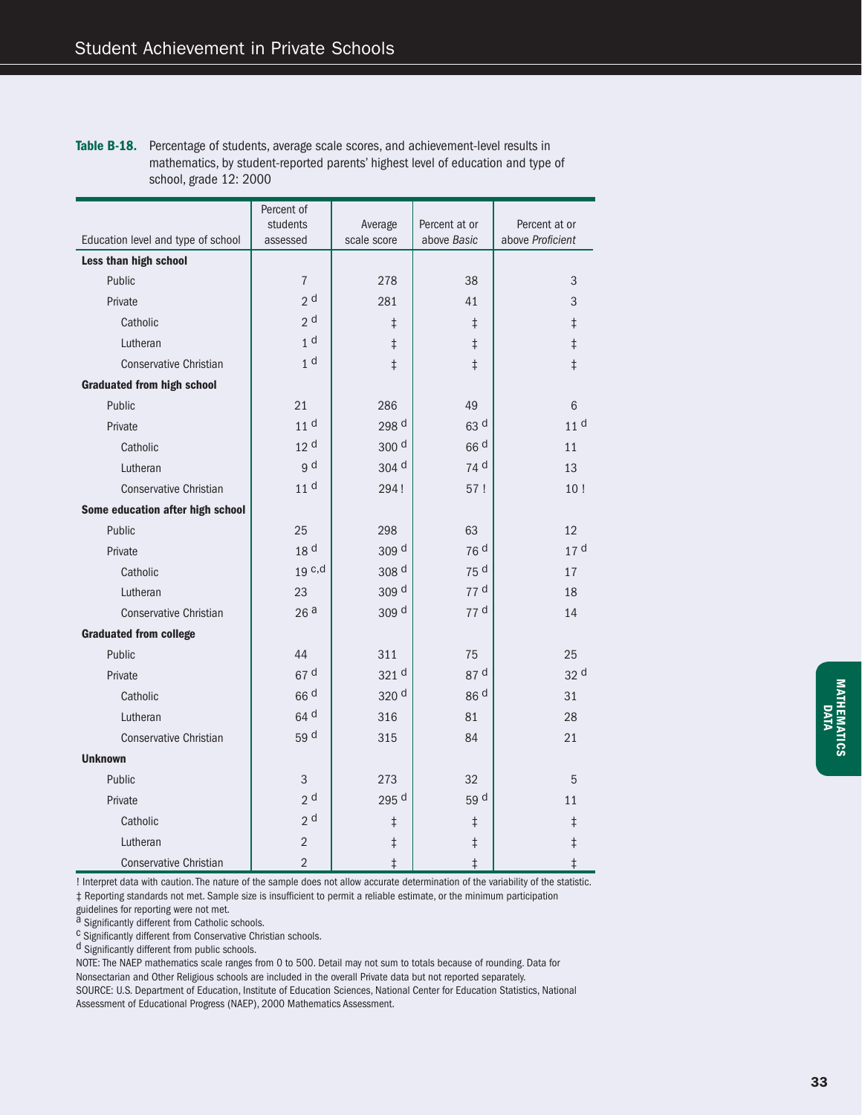Table B-18. Percentage of students, average scale scores, and achievement-level results in mathematics, by student-reported parents' highest level of education and type of school, grade 12: 2000

|                                    | Percent of      |                  |                 |                  |
|------------------------------------|-----------------|------------------|-----------------|------------------|
|                                    | students        | Average          | Percent at or   | Percent at or    |
| Education level and type of school | assessed        | scale score      | above Basic     | above Proficient |
| Less than high school              |                 |                  |                 |                  |
| Public                             | $\sqrt{ }$      | 278              | 38              | 3                |
| Private                            | 2 <sup>d</sup>  | 281              | 41              | 3                |
| Catholic                           | 2 <sup>d</sup>  | $\ddagger$       | $\ddagger$      | $\ddagger$       |
| Lutheran                           | 1 <sup>d</sup>  | $\ddagger$       | $\ddagger$      | $\ddagger$       |
| <b>Conservative Christian</b>      | 1 <sup>d</sup>  | $\ddagger$       | $\ddagger$      | $\ddagger$       |
| <b>Graduated from high school</b>  |                 |                  |                 |                  |
| Public                             | 21              | 286              | 49              | 6                |
| Private                            | 11 <sup>d</sup> | 298 d            | 63 d            | 11 <sup>d</sup>  |
| Catholic                           | 12 <sup>d</sup> | 300 <sup>d</sup> | 66 <sup>d</sup> | 11               |
| Lutheran                           | g d             | 304 d            | 74 d            | 13               |
| <b>Conservative Christian</b>      | 11 <sup>d</sup> | 294!             | 57!             | 10!              |
| Some education after high school   |                 |                  |                 |                  |
| Public                             | 25              | 298              | 63              | 12               |
| Private                            | 18 <sup>d</sup> | 309 <sup>d</sup> | 76 d            | 17 <sup>d</sup>  |
| Catholic                           | 19 c,d          | 308 d            | 75 d            | 17               |
| Lutheran                           | 23              | 309 <sup>d</sup> | 77 <sup>d</sup> | 18               |
| Conservative Christian             | 26a             | 309 d            | 77 d            | 14               |
| <b>Graduated from college</b>      |                 |                  |                 |                  |
| Public                             | 44              | 311              | 75              | 25               |
| Private                            | 67 d            | 321 <sup>d</sup> | 87 d            | 32 d             |
| Catholic                           | 66 <sup>d</sup> | 320 d            | 86 d            | 31               |
| Lutheran                           | 64 d            | 316              | 81              | 28               |
| <b>Conservative Christian</b>      | 59 d            | 315              | 84              | 21               |
| <b>Unknown</b>                     |                 |                  |                 |                  |
| Public                             | 3               | 273              | 32              | 5                |
| Private                            | 2 <sub>d</sub>  | 295 d            | 59 <sup>d</sup> | 11               |
| Catholic                           | 2 <sup>d</sup>  | $\ddagger$       | $\ddagger$      | $\ddagger$       |
| Lutheran                           | $\overline{2}$  | $\ddagger$       | $\ddagger$      | $\ddagger$       |
| <b>Conservative Christian</b>      | $\overline{2}$  | $\ddagger$       | $\ddagger$      | $\ddagger$       |

! Interpret data with caution. The nature of the sample does not allow accurate determination of the variability of the statistic.

 $‡$  Reporting standards not met. Sample size is insufficient to permit a reliable estimate, or the minimum participation

guidelines for reporting were not met.<br><sup>a</sup> Significantly different from Catholic schools.

 $\frac{c}{c}$  Significantly different from Conservative Christian schools.

d Significantly different from public schools.

NOTE: The NAEP mathematics scale ranges from 0 to 500. Detail may not sum to totals because of rounding. Data for Nonsectarian and Other Religious schools are included in the overall Private data but not reported separately. SOURCE: U.S. Department of Education, Institute of Education Sciences, National Center for Education Statistics, National

Assessment of Educational Progress (NAEP), 2000 Mathematics Assessment.